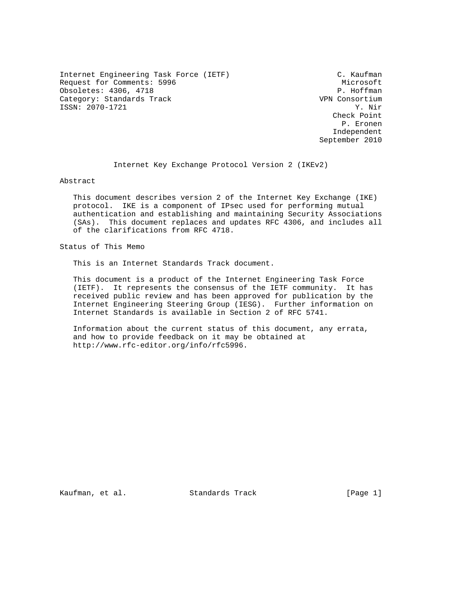Internet Engineering Task Force (IETF) C. Kaufman Request for Comments: 5996 Microsoft Microsoft Microsoft Microsoft<br>
Obsoletes: 4306, 4718 Obsoletes: 4306, 4718 P. Hoffman (Particular Politics) P. Hoffman (Particular Politics) P. Hoffman (Particular<br>
Category: Standards Track (Particular Politics) P. P. Hoffman (Particular Politics) P. P. Hoffman (Particular Category: Standards Track VPN Consortium VPN Consortium VPN Consortium VPN Consortium V. Nir ISSN: 2070-1721

 Check Point P. Eronen Independent September 2010

Internet Key Exchange Protocol Version 2 (IKEv2)

Abstract

 This document describes version 2 of the Internet Key Exchange (IKE) protocol. IKE is a component of IPsec used for performing mutual authentication and establishing and maintaining Security Associations (SAs). This document replaces and updates RFC 4306, and includes all of the clarifications from RFC 4718.

Status of This Memo

This is an Internet Standards Track document.

 This document is a product of the Internet Engineering Task Force (IETF). It represents the consensus of the IETF community. It has received public review and has been approved for publication by the Internet Engineering Steering Group (IESG). Further information on Internet Standards is available in Section 2 of RFC 5741.

 Information about the current status of this document, any errata, and how to provide feedback on it may be obtained at http://www.rfc-editor.org/info/rfc5996.

Kaufman, et al. Standards Track [Page 1]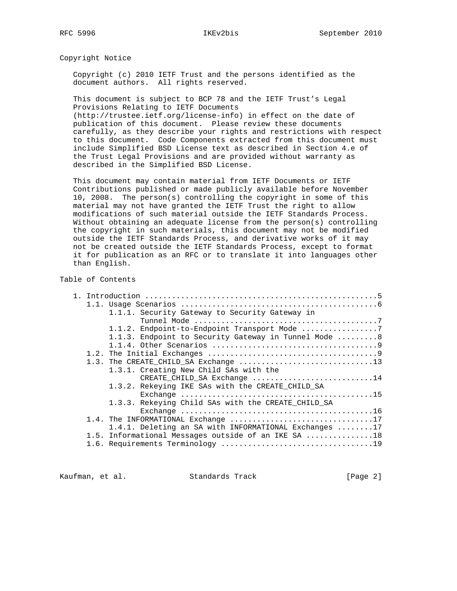Copyright Notice

 Copyright (c) 2010 IETF Trust and the persons identified as the document authors. All rights reserved.

 This document is subject to BCP 78 and the IETF Trust's Legal Provisions Relating to IETF Documents

 (http://trustee.ietf.org/license-info) in effect on the date of publication of this document. Please review these documents carefully, as they describe your rights and restrictions with respect to this document. Code Components extracted from this document must include Simplified BSD License text as described in Section 4.e of the Trust Legal Provisions and are provided without warranty as described in the Simplified BSD License.

 This document may contain material from IETF Documents or IETF Contributions published or made publicly available before November 10, 2008. The person(s) controlling the copyright in some of this material may not have granted the IETF Trust the right to allow modifications of such material outside the IETF Standards Process. Without obtaining an adequate license from the person(s) controlling the copyright in such materials, this document may not be modified outside the IETF Standards Process, and derivative works of it may not be created outside the IETF Standards Process, except to format it for publication as an RFC or to translate it into languages other than English.

Table of Contents

|  | 1.1.1. Security Gateway to Security Gateway in        |
|--|-------------------------------------------------------|
|  |                                                       |
|  | 1.1.2. Endpoint-to-Endpoint Transport Mode 7          |
|  | 1.1.3. Endpoint to Security Gateway in Tunnel Mode 8  |
|  |                                                       |
|  |                                                       |
|  |                                                       |
|  | 1.3.1. Creating New Child SAs with the                |
|  | CREATE_CHILD_SA Exchange 14                           |
|  | 1.3.2. Rekeying IKE SAs with the CREATE_CHILD_SA      |
|  |                                                       |
|  | 1.3.3. Rekeying Child SAs with the CREATE CHILD SA    |
|  |                                                       |
|  |                                                       |
|  | 1.4.1. Deleting an SA with INFORMATIONAL Exchanges 17 |
|  | 1.5. Informational Messages outside of an IKE SA 18   |
|  |                                                       |
|  |                                                       |

Kaufman, et al. Standards Track [Page 2]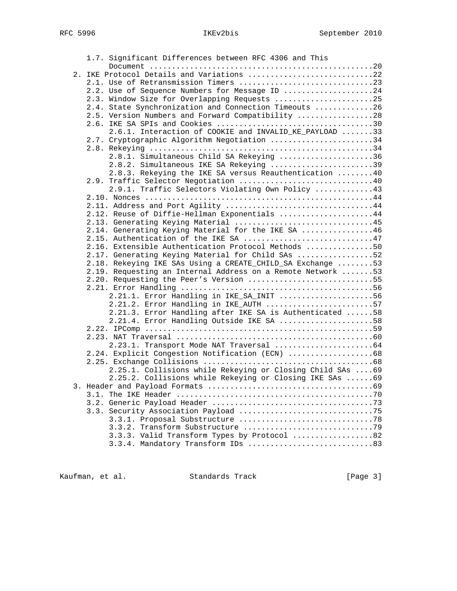| 1.7. Significant Differences between RFC 4306 and This                                 |  |
|----------------------------------------------------------------------------------------|--|
| Document $\dots\dots\dots\dots\dots\dots\dots\dots\dots\dots\dots\dots\dots\dots\dots$ |  |
| 2. IKE Protocol Details and Variations 22                                              |  |
| 2.1. Use of Retransmission Timers 23                                                   |  |
| 2.2. Use of Sequence Numbers for Message ID 24                                         |  |
| 2.3. Window Size for Overlapping Requests 25                                           |  |
| 2.4. State Synchronization and Connection Timeouts 26                                  |  |
| 2.5. Version Numbers and Forward Compatibility 28                                      |  |
|                                                                                        |  |
| 2.6.1. Interaction of COOKIE and INVALID_KE_PAYLOAD 33                                 |  |
| 2.7. Cryptographic Algorithm Negotiation 34                                            |  |
|                                                                                        |  |
| 2.8.1. Simultaneous Child SA Rekeying 36                                               |  |
| 2.8.2. Simultaneous IKE SA Rekeying 39                                                 |  |
| 2.8.3. Rekeying the IKE SA versus Reauthentication  40                                 |  |
| 2.9. Traffic Selector Negotiation 40                                                   |  |
| 2.9.1. Traffic Selectors Violating Own Policy 43                                       |  |
|                                                                                        |  |
| 2.11. Address and Port Agility 44                                                      |  |
| 2.12. Reuse of Diffie-Hellman Exponentials 44                                          |  |
| 2.13. Generating Keying Material 45                                                    |  |
| 2.14. Generating Keying Material for the IKE SA 46                                     |  |
| 2.15. Authentication of the IKE SA 47                                                  |  |
| 2.16. Extensible Authentication Protocol Methods 50                                    |  |
| 2.17. Generating Keying Material for Child SAs 52                                      |  |
| 2.18. Rekeying IKE SAs Using a CREATE_CHILD_SA Exchange 53                             |  |
| 2.19. Requesting an Internal Address on a Remote Network  53                           |  |
| 2.20. Requesting the Peer's Version 55                                                 |  |
|                                                                                        |  |
| 2.21.1. Error Handling in IKE_SA_INIT 56                                               |  |
| 2.21.2. Error Handling in IKE_AUTH 57                                                  |  |
| 2.21.3. Error Handling after IKE SA is Authenticated 58                                |  |
| 2.21.4. Error Handling Outside IKE SA 58                                               |  |
|                                                                                        |  |
|                                                                                        |  |
|                                                                                        |  |
| 2.24. Explicit Congestion Notification (ECN) 68                                        |  |
|                                                                                        |  |
| 2.25.1. Collisions while Rekeying or Closing Child SAs  69                             |  |
| 2.25.2. Collisions while Rekeying or Closing IKE SAs  69                               |  |
|                                                                                        |  |
|                                                                                        |  |
|                                                                                        |  |
|                                                                                        |  |
|                                                                                        |  |
|                                                                                        |  |
| 3.3.3. Valid Transform Types by Protocol 82                                            |  |
| 3.3.4. Mandatory Transform IDs 83                                                      |  |
|                                                                                        |  |

Kaufman, et al. Standards Track [Page 3]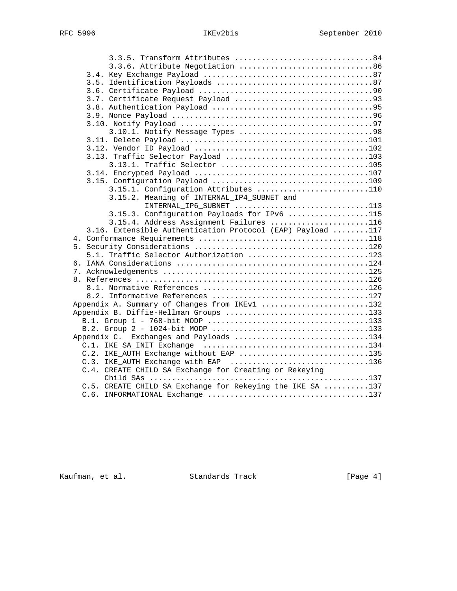| 3.3.5. Transform Attributes 84                             |  |
|------------------------------------------------------------|--|
|                                                            |  |
|                                                            |  |
|                                                            |  |
|                                                            |  |
|                                                            |  |
|                                                            |  |
|                                                            |  |
|                                                            |  |
|                                                            |  |
|                                                            |  |
|                                                            |  |
|                                                            |  |
| 3.13.1. Traffic Selector 105                               |  |
|                                                            |  |
|                                                            |  |
| 3.15.1. Configuration Attributes 110                       |  |
| 3.15.2. Meaning of INTERNAL_IP4_SUBNET and                 |  |
| INTERNAL_IP6_SUBNET 113                                    |  |
| 3.15.3. Configuration Payloads for IPv6 115                |  |
| 3.15.4. Address Assignment Failures 116                    |  |
| 3.16. Extensible Authentication Protocol (EAP) Payload 117 |  |
|                                                            |  |
|                                                            |  |
| 5.1. Traffic Selector Authorization 123                    |  |
|                                                            |  |
|                                                            |  |
|                                                            |  |
|                                                            |  |
|                                                            |  |
| Appendix A. Summary of Changes from IKEv1 132              |  |
| Appendix B. Diffie-Hellman Groups 133                      |  |
|                                                            |  |
|                                                            |  |
| Appendix C. Exchanges and Payloads 134                     |  |
|                                                            |  |
| C.2. IKE_AUTH Exchange without EAP 135                     |  |
| C.3. IKE_AUTH Exchange with EAP 136                        |  |
| C.4. CREATE_CHILD_SA Exchange for Creating or Rekeying     |  |
|                                                            |  |
| C.5. CREATE_CHILD_SA Exchange for Rekeying the IKE SA 137  |  |
|                                                            |  |

Kaufman, et al. Standards Track [Page 4]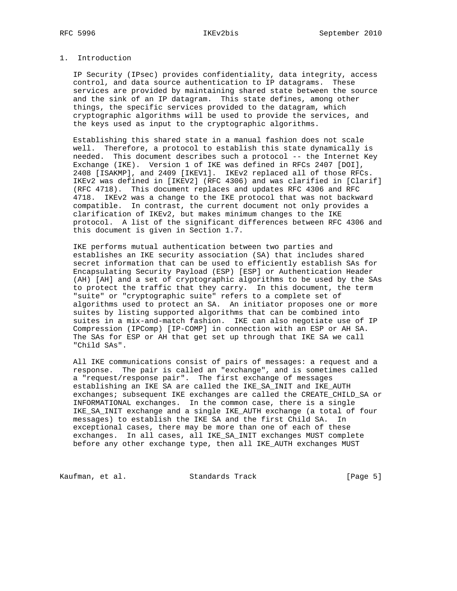# 1. Introduction

 IP Security (IPsec) provides confidentiality, data integrity, access control, and data source authentication to IP datagrams. These services are provided by maintaining shared state between the source and the sink of an IP datagram. This state defines, among other things, the specific services provided to the datagram, which cryptographic algorithms will be used to provide the services, and the keys used as input to the cryptographic algorithms.

 Establishing this shared state in a manual fashion does not scale well. Therefore, a protocol to establish this state dynamically is needed. This document describes such a protocol -- the Internet Key Exchange (IKE). Version 1 of IKE was defined in RFCs 2407 [DOI], 2408 [ISAKMP], and 2409 [IKEV1]. IKEv2 replaced all of those RFCs. IKEv2 was defined in [IKEV2] (RFC 4306) and was clarified in [Clarif] (RFC 4718). This document replaces and updates RFC 4306 and RFC 4718. IKEv2 was a change to the IKE protocol that was not backward compatible. In contrast, the current document not only provides a clarification of IKEv2, but makes minimum changes to the IKE protocol. A list of the significant differences between RFC 4306 and this document is given in Section 1.7.

 IKE performs mutual authentication between two parties and establishes an IKE security association (SA) that includes shared secret information that can be used to efficiently establish SAs for Encapsulating Security Payload (ESP) [ESP] or Authentication Header (AH) [AH] and a set of cryptographic algorithms to be used by the SAs to protect the traffic that they carry. In this document, the term "suite" or "cryptographic suite" refers to a complete set of algorithms used to protect an SA. An initiator proposes one or more suites by listing supported algorithms that can be combined into suites in a mix-and-match fashion. IKE can also negotiate use of IP Compression (IPComp) [IP-COMP] in connection with an ESP or AH SA. The SAs for ESP or AH that get set up through that IKE SA we call "Child SAs".

 All IKE communications consist of pairs of messages: a request and a response. The pair is called an "exchange", and is sometimes called a "request/response pair". The first exchange of messages establishing an IKE SA are called the IKE\_SA\_INIT and IKE\_AUTH exchanges; subsequent IKE exchanges are called the CREATE\_CHILD\_SA or INFORMATIONAL exchanges. In the common case, there is a single IKE\_SA\_INIT exchange and a single IKE\_AUTH exchange (a total of four messages) to establish the IKE SA and the first Child SA. In exceptional cases, there may be more than one of each of these exchanges. In all cases, all IKE\_SA\_INIT exchanges MUST complete before any other exchange type, then all IKE\_AUTH exchanges MUST

Kaufman, et al. Standards Track [Page 5]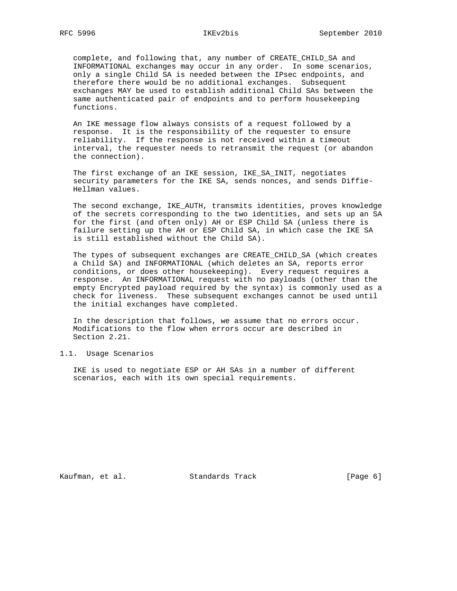complete, and following that, any number of CREATE\_CHILD\_SA and INFORMATIONAL exchanges may occur in any order. In some scenarios, only a single Child SA is needed between the IPsec endpoints, and therefore there would be no additional exchanges. Subsequent exchanges MAY be used to establish additional Child SAs between the same authenticated pair of endpoints and to perform housekeeping functions.

 An IKE message flow always consists of a request followed by a response. It is the responsibility of the requester to ensure reliability. If the response is not received within a timeout interval, the requester needs to retransmit the request (or abandon the connection).

 The first exchange of an IKE session, IKE\_SA\_INIT, negotiates security parameters for the IKE SA, sends nonces, and sends Diffie- Hellman values.

 The second exchange, IKE\_AUTH, transmits identities, proves knowledge of the secrets corresponding to the two identities, and sets up an SA for the first (and often only) AH or ESP Child SA (unless there is failure setting up the AH or ESP Child SA, in which case the IKE SA is still established without the Child SA).

 The types of subsequent exchanges are CREATE\_CHILD\_SA (which creates a Child SA) and INFORMATIONAL (which deletes an SA, reports error conditions, or does other housekeeping). Every request requires a response. An INFORMATIONAL request with no payloads (other than the empty Encrypted payload required by the syntax) is commonly used as a check for liveness. These subsequent exchanges cannot be used until the initial exchanges have completed.

 In the description that follows, we assume that no errors occur. Modifications to the flow when errors occur are described in Section 2.21.

1.1. Usage Scenarios

 IKE is used to negotiate ESP or AH SAs in a number of different scenarios, each with its own special requirements.

Kaufman, et al. Standards Track [Page 6]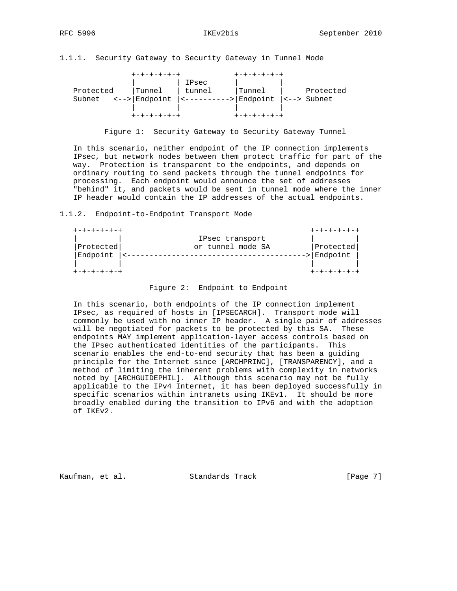1.1.1. Security Gateway to Security Gateway in Tunnel Mode

|           | +-+-+-+-+-+                                             |                                                                                                         |        |           |
|-----------|---------------------------------------------------------|---------------------------------------------------------------------------------------------------------|--------|-----------|
|           |                                                         | IPsec                                                                                                   |        |           |
| Protected | Tunnel                                                  | tunnel                                                                                                  | Tunnel | Protected |
|           | Subnet $\leftarrow -\leftarrow  \text{Endpoint}\right $ | $ \left\langle \cdots \right\rangle$ = -------->   Endpoint $ \left\langle \cdots \right\rangle$ Subnet |        |           |
|           |                                                         |                                                                                                         |        |           |
|           |                                                         |                                                                                                         |        |           |

Figure 1: Security Gateway to Security Gateway Tunnel

 In this scenario, neither endpoint of the IP connection implements IPsec, but network nodes between them protect traffic for part of the way. Protection is transparent to the endpoints, and depends on ordinary routing to send packets through the tunnel endpoints for processing. Each endpoint would announce the set of addresses "behind" it, and packets would be sent in tunnel mode where the inner IP header would contain the IP addresses of the actual endpoints.

1.1.2. Endpoint-to-Endpoint Transport Mode

| +-+-+-+-+-+ |                   | +-+-+-+-+-+ |
|-------------|-------------------|-------------|
|             | IPsec transport   |             |
| Protected   | or tunnel mode SA | Protected   |
| Endpoint    |                   | Endpoint    |
|             |                   |             |

### Figure 2: Endpoint to Endpoint

 In this scenario, both endpoints of the IP connection implement IPsec, as required of hosts in [IPSECARCH]. Transport mode will commonly be used with no inner IP header. A single pair of addresses will be negotiated for packets to be protected by this SA. These endpoints MAY implement application-layer access controls based on the IPsec authenticated identities of the participants. This scenario enables the end-to-end security that has been a guiding principle for the Internet since [ARCHPRINC], [TRANSPARENCY], and a method of limiting the inherent problems with complexity in networks noted by [ARCHGUIDEPHIL]. Although this scenario may not be fully applicable to the IPv4 Internet, it has been deployed successfully in specific scenarios within intranets using IKEv1. It should be more broadly enabled during the transition to IPv6 and with the adoption of IKEv2.

Kaufman, et al. Standards Track [Page 7]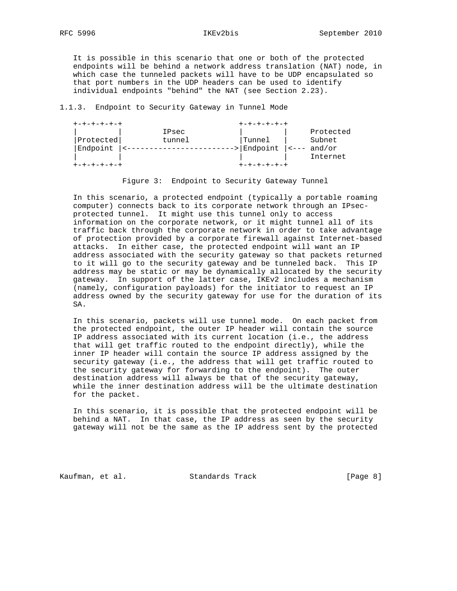It is possible in this scenario that one or both of the protected endpoints will be behind a network address translation (NAT) node, in which case the tunneled packets will have to be UDP encapsulated so that port numbers in the UDP headers can be used to identify individual endpoints "behind" the NAT (see Section 2.23).

### 1.1.3. Endpoint to Security Gateway in Tunnel Mode

| +-+-+-+-+-+ |        | +-+-+-+-+   |  |               |  |
|-------------|--------|-------------|--|---------------|--|
|             | IPsec  |             |  | Protected     |  |
| Protected   | tunnel | Tunnel      |  | Subnet        |  |
| Endpoint    |        | -> Endpoint |  | $ --- and/or$ |  |
|             |        |             |  | Internet      |  |
|             |        |             |  |               |  |

### Figure 3: Endpoint to Security Gateway Tunnel

 In this scenario, a protected endpoint (typically a portable roaming computer) connects back to its corporate network through an IPsec protected tunnel. It might use this tunnel only to access information on the corporate network, or it might tunnel all of its traffic back through the corporate network in order to take advantage of protection provided by a corporate firewall against Internet-based attacks. In either case, the protected endpoint will want an IP address associated with the security gateway so that packets returned to it will go to the security gateway and be tunneled back. This IP address may be static or may be dynamically allocated by the security gateway. In support of the latter case, IKEv2 includes a mechanism (namely, configuration payloads) for the initiator to request an IP address owned by the security gateway for use for the duration of its SA.

 In this scenario, packets will use tunnel mode. On each packet from the protected endpoint, the outer IP header will contain the source IP address associated with its current location (i.e., the address that will get traffic routed to the endpoint directly), while the inner IP header will contain the source IP address assigned by the security gateway (i.e., the address that will get traffic routed to the security gateway for forwarding to the endpoint). The outer destination address will always be that of the security gateway, while the inner destination address will be the ultimate destination for the packet.

 In this scenario, it is possible that the protected endpoint will be behind a NAT. In that case, the IP address as seen by the security gateway will not be the same as the IP address sent by the protected

Kaufman, et al. Standards Track [Page 8]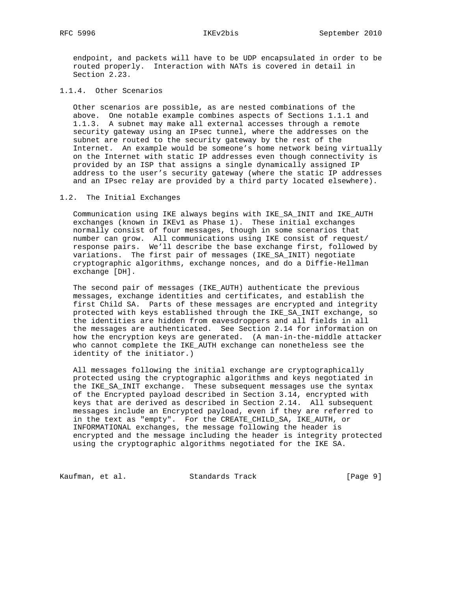endpoint, and packets will have to be UDP encapsulated in order to be routed properly. Interaction with NATs is covered in detail in Section 2.23.

## 1.1.4. Other Scenarios

 Other scenarios are possible, as are nested combinations of the above. One notable example combines aspects of Sections 1.1.1 and 1.1.3. A subnet may make all external accesses through a remote security gateway using an IPsec tunnel, where the addresses on the subnet are routed to the security gateway by the rest of the Internet. An example would be someone's home network being virtually on the Internet with static IP addresses even though connectivity is provided by an ISP that assigns a single dynamically assigned IP address to the user's security gateway (where the static IP addresses and an IPsec relay are provided by a third party located elsewhere).

### 1.2. The Initial Exchanges

 Communication using IKE always begins with IKE\_SA\_INIT and IKE\_AUTH exchanges (known in IKEv1 as Phase 1). These initial exchanges normally consist of four messages, though in some scenarios that number can grow. All communications using IKE consist of request/ response pairs. We'll describe the base exchange first, followed by variations. The first pair of messages (IKE\_SA\_INIT) negotiate cryptographic algorithms, exchange nonces, and do a Diffie-Hellman exchange [DH].

 The second pair of messages (IKE\_AUTH) authenticate the previous messages, exchange identities and certificates, and establish the first Child SA. Parts of these messages are encrypted and integrity protected with keys established through the IKE\_SA\_INIT exchange, so the identities are hidden from eavesdroppers and all fields in all the messages are authenticated. See Section 2.14 for information on how the encryption keys are generated. (A man-in-the-middle attacker who cannot complete the IKE\_AUTH exchange can nonetheless see the identity of the initiator.)

 All messages following the initial exchange are cryptographically protected using the cryptographic algorithms and keys negotiated in the IKE\_SA\_INIT exchange. These subsequent messages use the syntax of the Encrypted payload described in Section 3.14, encrypted with keys that are derived as described in Section 2.14. All subsequent messages include an Encrypted payload, even if they are referred to in the text as "empty". For the CREATE\_CHILD\_SA, IKE\_AUTH, or INFORMATIONAL exchanges, the message following the header is encrypted and the message including the header is integrity protected using the cryptographic algorithms negotiated for the IKE SA.

Kaufman, et al. Standards Track [Page 9]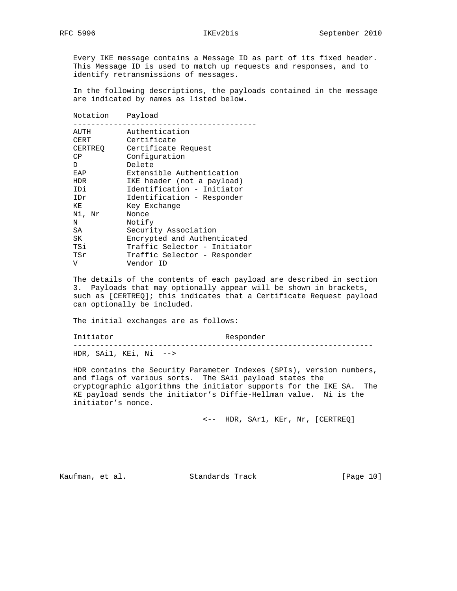Every IKE message contains a Message ID as part of its fixed header. This Message ID is used to match up requests and responses, and to identify retransmissions of messages.

 In the following descriptions, the payloads contained in the message are indicated by names as listed below.

| Notation   | Payload                      |
|------------|------------------------------|
| AUTH       | Authentication               |
| CERT       | Certificate                  |
| CERTREO    | Certificate Request          |
| CP         | Configuration                |
| D.         | Delete                       |
| EAP        | Extensible Authentication    |
| <b>HDR</b> | IKE header (not a payload)   |
| IDi        | Identification - Initiator   |
| IDr        | Identification - Responder   |
| ΚE         | Key Exchange                 |
| Ni, Nr     | Nonce                        |
| N          | Notify                       |
| SA         | Security Association         |
| SK         | Encrypted and Authenticated  |
| TSi        | Traffic Selector - Initiator |
| TSr        | Traffic Selector - Responder |
| V          | Vendor ID                    |

 The details of the contents of each payload are described in section 3. Payloads that may optionally appear will be shown in brackets, such as [CERTREQ]; this indicates that a Certificate Request payload can optionally be included.

The initial exchanges are as follows:

Initiator Responder

 ------------------------------------------------------------------- HDR, SAi1, KEi, Ni -->

 HDR contains the Security Parameter Indexes (SPIs), version numbers, and flags of various sorts. The SAi1 payload states the cryptographic algorithms the initiator supports for the IKE SA. The KE payload sends the initiator's Diffie-Hellman value. Ni is the initiator's nonce.

<-- HDR, SAr1, KEr, Nr, [CERTREQ]

Kaufman, et al. Standards Track [Page 10]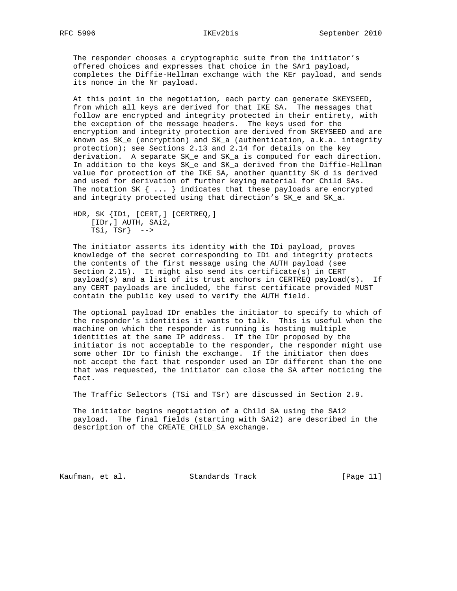The responder chooses a cryptographic suite from the initiator's offered choices and expresses that choice in the SAr1 payload, completes the Diffie-Hellman exchange with the KEr payload, and sends its nonce in the Nr payload.

 At this point in the negotiation, each party can generate SKEYSEED, from which all keys are derived for that IKE SA. The messages that follow are encrypted and integrity protected in their entirety, with the exception of the message headers. The keys used for the encryption and integrity protection are derived from SKEYSEED and are known as SK\_e (encryption) and SK\_a (authentication, a.k.a. integrity protection); see Sections 2.13 and 2.14 for details on the key derivation. A separate SK\_e and SK\_a is computed for each direction. In addition to the keys SK\_e and SK\_a derived from the Diffie-Hellman value for protection of the IKE SA, another quantity SK\_d is derived and used for derivation of further keying material for Child SAs. The notation SK  $\{ \ldots \}$  indicates that these payloads are encrypted and integrity protected using that direction's SK\_e and SK\_a.

 HDR, SK {IDi, [CERT,] [CERTREQ,] [IDr,] AUTH, SAi2, TSi, TSr} -->

 The initiator asserts its identity with the IDi payload, proves knowledge of the secret corresponding to IDi and integrity protects the contents of the first message using the AUTH payload (see Section 2.15). It might also send its certificate(s) in CERT payload(s) and a list of its trust anchors in CERTREQ payload(s). If any CERT payloads are included, the first certificate provided MUST contain the public key used to verify the AUTH field.

 The optional payload IDr enables the initiator to specify to which of the responder's identities it wants to talk. This is useful when the machine on which the responder is running is hosting multiple identities at the same IP address. If the IDr proposed by the initiator is not acceptable to the responder, the responder might use some other IDr to finish the exchange. If the initiator then does not accept the fact that responder used an IDr different than the one that was requested, the initiator can close the SA after noticing the fact.

The Traffic Selectors (TSi and TSr) are discussed in Section 2.9.

 The initiator begins negotiation of a Child SA using the SAi2 payload. The final fields (starting with SAi2) are described in the description of the CREATE\_CHILD\_SA exchange.

Kaufman, et al. Standards Track [Page 11]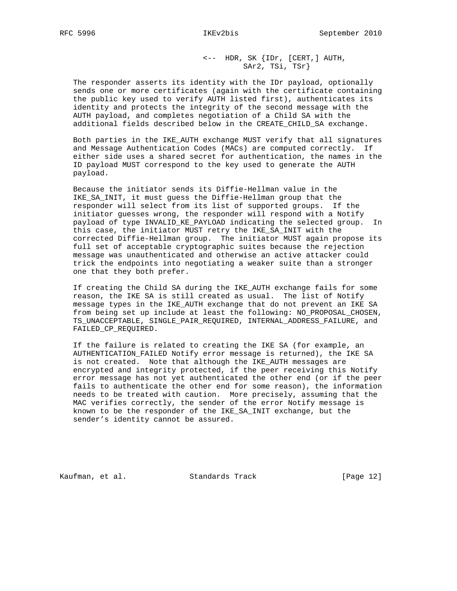<-- HDR, SK {IDr, [CERT,] AUTH, SAr2, TSi, TSr}

 The responder asserts its identity with the IDr payload, optionally sends one or more certificates (again with the certificate containing the public key used to verify AUTH listed first), authenticates its identity and protects the integrity of the second message with the AUTH payload, and completes negotiation of a Child SA with the additional fields described below in the CREATE\_CHILD\_SA exchange.

 Both parties in the IKE\_AUTH exchange MUST verify that all signatures and Message Authentication Codes (MACs) are computed correctly. If either side uses a shared secret for authentication, the names in the ID payload MUST correspond to the key used to generate the AUTH payload.

 Because the initiator sends its Diffie-Hellman value in the IKE\_SA\_INIT, it must guess the Diffie-Hellman group that the responder will select from its list of supported groups. If the initiator guesses wrong, the responder will respond with a Notify payload of type INVALID\_KE\_PAYLOAD indicating the selected group. In this case, the initiator MUST retry the IKE\_SA\_INIT with the corrected Diffie-Hellman group. The initiator MUST again propose its full set of acceptable cryptographic suites because the rejection message was unauthenticated and otherwise an active attacker could trick the endpoints into negotiating a weaker suite than a stronger one that they both prefer.

 If creating the Child SA during the IKE\_AUTH exchange fails for some reason, the IKE SA is still created as usual. The list of Notify message types in the IKE\_AUTH exchange that do not prevent an IKE SA from being set up include at least the following: NO\_PROPOSAL\_CHOSEN, TS\_UNACCEPTABLE, SINGLE\_PAIR\_REQUIRED, INTERNAL\_ADDRESS\_FAILURE, and FAILED\_CP\_REQUIRED.

 If the failure is related to creating the IKE SA (for example, an AUTHENTICATION\_FAILED Notify error message is returned), the IKE SA is not created. Note that although the IKE\_AUTH messages are encrypted and integrity protected, if the peer receiving this Notify error message has not yet authenticated the other end (or if the peer fails to authenticate the other end for some reason), the information needs to be treated with caution. More precisely, assuming that the MAC verifies correctly, the sender of the error Notify message is known to be the responder of the IKE\_SA\_INIT exchange, but the sender's identity cannot be assured.

Kaufman, et al. Standards Track [Page 12]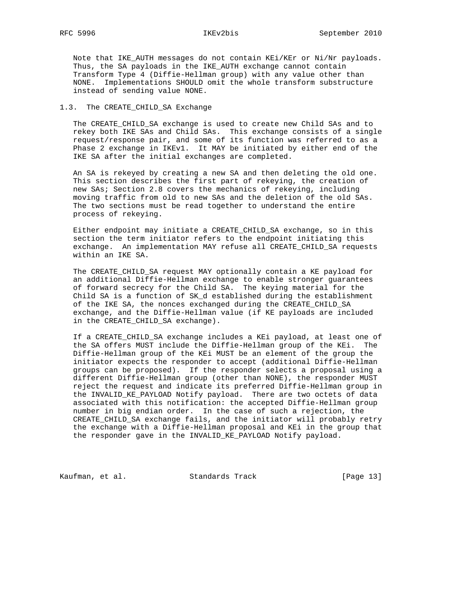Note that IKE\_AUTH messages do not contain KEi/KEr or Ni/Nr payloads. Thus, the SA payloads in the IKE\_AUTH exchange cannot contain Transform Type 4 (Diffie-Hellman group) with any value other than NONE. Implementations SHOULD omit the whole transform substructure instead of sending value NONE.

### 1.3. The CREATE\_CHILD\_SA Exchange

 The CREATE\_CHILD\_SA exchange is used to create new Child SAs and to rekey both IKE SAs and Child SAs. This exchange consists of a single request/response pair, and some of its function was referred to as a Phase 2 exchange in IKEv1. It MAY be initiated by either end of the IKE SA after the initial exchanges are completed.

 An SA is rekeyed by creating a new SA and then deleting the old one. This section describes the first part of rekeying, the creation of new SAs; Section 2.8 covers the mechanics of rekeying, including moving traffic from old to new SAs and the deletion of the old SAs. The two sections must be read together to understand the entire process of rekeying.

 Either endpoint may initiate a CREATE\_CHILD\_SA exchange, so in this section the term initiator refers to the endpoint initiating this exchange. An implementation MAY refuse all CREATE\_CHILD\_SA requests within an IKE SA.

 The CREATE\_CHILD\_SA request MAY optionally contain a KE payload for an additional Diffie-Hellman exchange to enable stronger guarantees of forward secrecy for the Child SA. The keying material for the Child SA is a function of SK\_d established during the establishment of the IKE SA, the nonces exchanged during the CREATE\_CHILD\_SA exchange, and the Diffie-Hellman value (if KE payloads are included in the CREATE\_CHILD\_SA exchange).

 If a CREATE\_CHILD\_SA exchange includes a KEi payload, at least one of the SA offers MUST include the Diffie-Hellman group of the KEi. The Diffie-Hellman group of the KEi MUST be an element of the group the initiator expects the responder to accept (additional Diffie-Hellman groups can be proposed). If the responder selects a proposal using a different Diffie-Hellman group (other than NONE), the responder MUST reject the request and indicate its preferred Diffie-Hellman group in the INVALID\_KE\_PAYLOAD Notify payload. There are two octets of data associated with this notification: the accepted Diffie-Hellman group number in big endian order. In the case of such a rejection, the CREATE\_CHILD\_SA exchange fails, and the initiator will probably retry the exchange with a Diffie-Hellman proposal and KEi in the group that the responder gave in the INVALID\_KE\_PAYLOAD Notify payload.

Kaufman, et al. Standards Track [Page 13]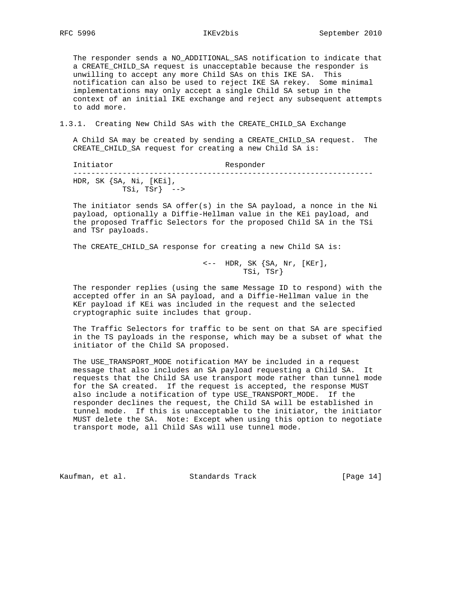The responder sends a NO\_ADDITIONAL\_SAS notification to indicate that a CREATE\_CHILD\_SA request is unacceptable because the responder is unwilling to accept any more Child SAs on this IKE SA. This notification can also be used to reject IKE SA rekey. Some minimal implementations may only accept a single Child SA setup in the context of an initial IKE exchange and reject any subsequent attempts to add more.

1.3.1. Creating New Child SAs with the CREATE\_CHILD\_SA Exchange

 A Child SA may be created by sending a CREATE\_CHILD\_SA request. The CREATE\_CHILD\_SA request for creating a new Child SA is:

| Initiator                                       | Responder |  |  |
|-------------------------------------------------|-----------|--|--|
| HDR, SK $\{SA, Ni, [KEi],\}$<br>$TSi, TSr}$ --> |           |  |  |

 The initiator sends SA offer(s) in the SA payload, a nonce in the Ni payload, optionally a Diffie-Hellman value in the KEi payload, and the proposed Traffic Selectors for the proposed Child SA in the TSi and TSr payloads.

The CREATE\_CHILD\_SA response for creating a new Child SA is:

 <-- HDR, SK {SA, Nr, [KEr], TSi, TSr}

 The responder replies (using the same Message ID to respond) with the accepted offer in an SA payload, and a Diffie-Hellman value in the KEr payload if KEi was included in the request and the selected cryptographic suite includes that group.

 The Traffic Selectors for traffic to be sent on that SA are specified in the TS payloads in the response, which may be a subset of what the initiator of the Child SA proposed.

 The USE\_TRANSPORT\_MODE notification MAY be included in a request message that also includes an SA payload requesting a Child SA. It requests that the Child SA use transport mode rather than tunnel mode for the SA created. If the request is accepted, the response MUST also include a notification of type USE\_TRANSPORT\_MODE. If the responder declines the request, the Child SA will be established in tunnel mode. If this is unacceptable to the initiator, the initiator MUST delete the SA. Note: Except when using this option to negotiate transport mode, all Child SAs will use tunnel mode.

Kaufman, et al. Standards Track [Page 14]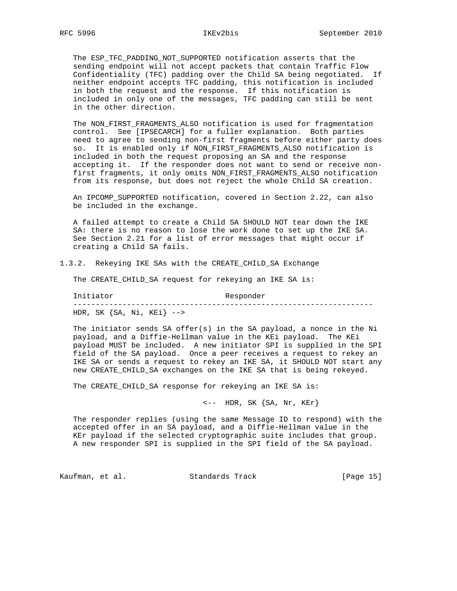The ESP\_TFC\_PADDING\_NOT\_SUPPORTED notification asserts that the sending endpoint will not accept packets that contain Traffic Flow Confidentiality (TFC) padding over the Child SA being negotiated. If neither endpoint accepts TFC padding, this notification is included in both the request and the response. If this notification is included in only one of the messages, TFC padding can still be sent in the other direction.

 The NON\_FIRST\_FRAGMENTS\_ALSO notification is used for fragmentation control. See [IPSECARCH] for a fuller explanation. Both parties need to agree to sending non-first fragments before either party does so. It is enabled only if NON\_FIRST\_FRAGMENTS\_ALSO notification is included in both the request proposing an SA and the response accepting it. If the responder does not want to send or receive non first fragments, it only omits NON\_FIRST\_FRAGMENTS\_ALSO notification from its response, but does not reject the whole Child SA creation.

 An IPCOMP\_SUPPORTED notification, covered in Section 2.22, can also be included in the exchange.

 A failed attempt to create a Child SA SHOULD NOT tear down the IKE SA: there is no reason to lose the work done to set up the IKE SA. See Section 2.21 for a list of error messages that might occur if creating a Child SA fails.

1.3.2. Rekeying IKE SAs with the CREATE\_CHILD\_SA Exchange

The CREATE CHILD SA request for rekeying an IKE SA is:

 Initiator Responder ------------------------------------------------------------------- HDR, SK  $\{SA, Ni, KEi\}$  -->

 The initiator sends SA offer(s) in the SA payload, a nonce in the Ni payload, and a Diffie-Hellman value in the KEi payload. The KEi payload MUST be included. A new initiator SPI is supplied in the SPI field of the SA payload. Once a peer receives a request to rekey an IKE SA or sends a request to rekey an IKE SA, it SHOULD NOT start any new CREATE\_CHILD\_SA exchanges on the IKE SA that is being rekeyed.

The CREATE\_CHILD\_SA response for rekeying an IKE SA is:

 $\leftarrow -$  HDR, SK  $\{SA, Nr, KEr\}$ 

 The responder replies (using the same Message ID to respond) with the accepted offer in an SA payload, and a Diffie-Hellman value in the KEr payload if the selected cryptographic suite includes that group. A new responder SPI is supplied in the SPI field of the SA payload.

Kaufman, et al. Standards Track [Page 15]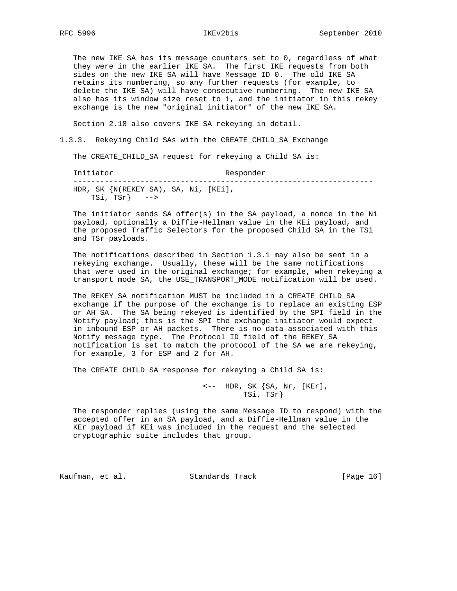The new IKE SA has its message counters set to 0, regardless of what they were in the earlier IKE SA. The first IKE requests from both sides on the new IKE SA will have Message ID 0. The old IKE SA retains its numbering, so any further requests (for example, to delete the IKE SA) will have consecutive numbering. The new IKE SA also has its window size reset to 1, and the initiator in this rekey exchange is the new "original initiator" of the new IKE SA.

Section 2.18 also covers IKE SA rekeying in detail.

1.3.3. Rekeying Child SAs with the CREATE\_CHILD\_SA Exchange

The CREATE\_CHILD\_SA request for rekeying a Child SA is:

Initiator Responder ------------------------------------------------------------------- HDR, SK {N(REKEY\_SA), SA, Ni, [KEi], TSi, TSr}  $\leftarrow$ 

 The initiator sends SA offer(s) in the SA payload, a nonce in the Ni payload, optionally a Diffie-Hellman value in the KEi payload, and the proposed Traffic Selectors for the proposed Child SA in the TSi and TSr payloads.

 The notifications described in Section 1.3.1 may also be sent in a rekeying exchange. Usually, these will be the same notifications that were used in the original exchange; for example, when rekeying a transport mode SA, the USE\_TRANSPORT\_MODE notification will be used.

 The REKEY\_SA notification MUST be included in a CREATE\_CHILD\_SA exchange if the purpose of the exchange is to replace an existing ESP or AH SA. The SA being rekeyed is identified by the SPI field in the Notify payload; this is the SPI the exchange initiator would expect in inbound ESP or AH packets. There is no data associated with this Notify message type. The Protocol ID field of the REKEY\_SA notification is set to match the protocol of the SA we are rekeying, for example, 3 for ESP and 2 for AH.

The CREATE\_CHILD\_SA response for rekeying a Child SA is:

 <-- HDR, SK {SA, Nr, [KEr], TSi, TSr}

 The responder replies (using the same Message ID to respond) with the accepted offer in an SA payload, and a Diffie-Hellman value in the KEr payload if KEi was included in the request and the selected cryptographic suite includes that group.

Kaufman, et al. Standards Track [Page 16]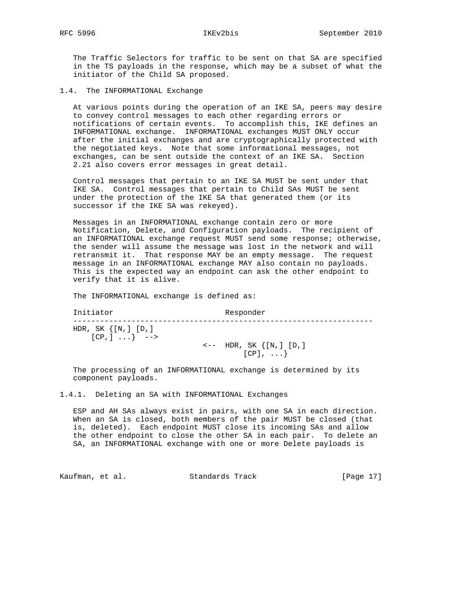The Traffic Selectors for traffic to be sent on that SA are specified in the TS payloads in the response, which may be a subset of what the initiator of the Child SA proposed.

1.4. The INFORMATIONAL Exchange

 At various points during the operation of an IKE SA, peers may desire to convey control messages to each other regarding errors or notifications of certain events. To accomplish this, IKE defines an INFORMATIONAL exchange. INFORMATIONAL exchanges MUST ONLY occur after the initial exchanges and are cryptographically protected with the negotiated keys. Note that some informational messages, not exchanges, can be sent outside the context of an IKE SA. Section 2.21 also covers error messages in great detail.

 Control messages that pertain to an IKE SA MUST be sent under that IKE SA. Control messages that pertain to Child SAs MUST be sent under the protection of the IKE SA that generated them (or its successor if the IKE SA was rekeyed).

 Messages in an INFORMATIONAL exchange contain zero or more Notification, Delete, and Configuration payloads. The recipient of an INFORMATIONAL exchange request MUST send some response; otherwise, the sender will assume the message was lost in the network and will retransmit it. That response MAY be an empty message. The request message in an INFORMATIONAL exchange MAY also contain no payloads. This is the expected way an endpoint can ask the other endpoint to verify that it is alive.

The INFORMATIONAL exchange is defined as:

 Initiator Responder ------------------------------------------------------------------- HDR, SK {[N,] [D,]  $[CP, ] \ldots \}$  -->  $\leftarrow -$  HDR, SK  $\{[N, ] [D, ]$ [CP], ...}

 The processing of an INFORMATIONAL exchange is determined by its component payloads.

1.4.1. Deleting an SA with INFORMATIONAL Exchanges

 ESP and AH SAs always exist in pairs, with one SA in each direction. When an SA is closed, both members of the pair MUST be closed (that is, deleted). Each endpoint MUST close its incoming SAs and allow the other endpoint to close the other SA in each pair. To delete an SA, an INFORMATIONAL exchange with one or more Delete payloads is

Kaufman, et al. Standards Track [Page 17]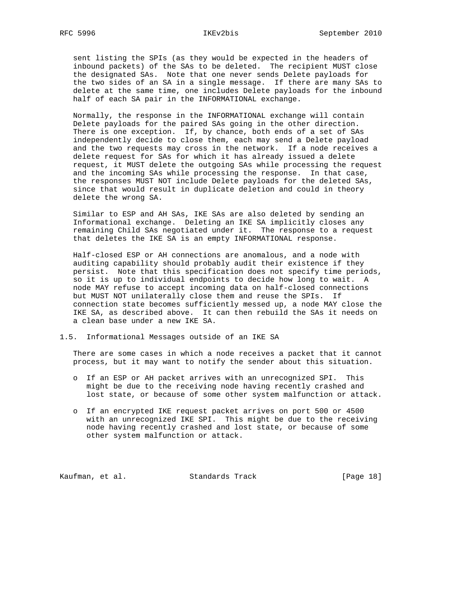sent listing the SPIs (as they would be expected in the headers of inbound packets) of the SAs to be deleted. The recipient MUST close the designated SAs. Note that one never sends Delete payloads for the two sides of an SA in a single message. If there are many SAs to delete at the same time, one includes Delete payloads for the inbound half of each SA pair in the INFORMATIONAL exchange.

 Normally, the response in the INFORMATIONAL exchange will contain Delete payloads for the paired SAs going in the other direction. There is one exception. If, by chance, both ends of a set of SAs independently decide to close them, each may send a Delete payload and the two requests may cross in the network. If a node receives a delete request for SAs for which it has already issued a delete request, it MUST delete the outgoing SAs while processing the request and the incoming SAs while processing the response. In that case, the responses MUST NOT include Delete payloads for the deleted SAs, since that would result in duplicate deletion and could in theory delete the wrong SA.

 Similar to ESP and AH SAs, IKE SAs are also deleted by sending an Informational exchange. Deleting an IKE SA implicitly closes any remaining Child SAs negotiated under it. The response to a request that deletes the IKE SA is an empty INFORMATIONAL response.

 Half-closed ESP or AH connections are anomalous, and a node with auditing capability should probably audit their existence if they persist. Note that this specification does not specify time periods, so it is up to individual endpoints to decide how long to wait. A node MAY refuse to accept incoming data on half-closed connections but MUST NOT unilaterally close them and reuse the SPIs. If connection state becomes sufficiently messed up, a node MAY close the IKE SA, as described above. It can then rebuild the SAs it needs on a clean base under a new IKE SA.

1.5. Informational Messages outside of an IKE SA

 There are some cases in which a node receives a packet that it cannot process, but it may want to notify the sender about this situation.

- o If an ESP or AH packet arrives with an unrecognized SPI. This might be due to the receiving node having recently crashed and lost state, or because of some other system malfunction or attack.
- o If an encrypted IKE request packet arrives on port 500 or 4500 with an unrecognized IKE SPI. This might be due to the receiving node having recently crashed and lost state, or because of some other system malfunction or attack.

Kaufman, et al. Standards Track [Page 18]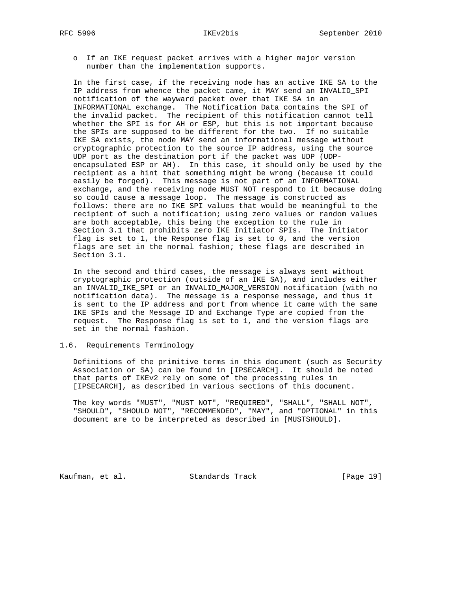o If an IKE request packet arrives with a higher major version number than the implementation supports.

 In the first case, if the receiving node has an active IKE SA to the IP address from whence the packet came, it MAY send an INVALID\_SPI notification of the wayward packet over that IKE SA in an INFORMATIONAL exchange. The Notification Data contains the SPI of the invalid packet. The recipient of this notification cannot tell whether the SPI is for AH or ESP, but this is not important because the SPIs are supposed to be different for the two. If no suitable IKE SA exists, the node MAY send an informational message without cryptographic protection to the source IP address, using the source UDP port as the destination port if the packet was UDP (UDP encapsulated ESP or AH). In this case, it should only be used by the recipient as a hint that something might be wrong (because it could easily be forged). This message is not part of an INFORMATIONAL exchange, and the receiving node MUST NOT respond to it because doing so could cause a message loop. The message is constructed as follows: there are no IKE SPI values that would be meaningful to the recipient of such a notification; using zero values or random values are both acceptable, this being the exception to the rule in Section 3.1 that prohibits zero IKE Initiator SPIs. The Initiator flag is set to 1, the Response flag is set to 0, and the version flags are set in the normal fashion; these flags are described in Section 3.1.

 In the second and third cases, the message is always sent without cryptographic protection (outside of an IKE SA), and includes either an INVALID\_IKE\_SPI or an INVALID\_MAJOR\_VERSION notification (with no notification data). The message is a response message, and thus it is sent to the IP address and port from whence it came with the same IKE SPIs and the Message ID and Exchange Type are copied from the request. The Response flag is set to 1, and the version flags are set in the normal fashion.

### 1.6. Requirements Terminology

 Definitions of the primitive terms in this document (such as Security Association or SA) can be found in [IPSECARCH]. It should be noted that parts of IKEv2 rely on some of the processing rules in [IPSECARCH], as described in various sections of this document.

 The key words "MUST", "MUST NOT", "REQUIRED", "SHALL", "SHALL NOT", "SHOULD", "SHOULD NOT", "RECOMMENDED", "MAY", and "OPTIONAL" in this document are to be interpreted as described in [MUSTSHOULD].

Kaufman, et al. Standards Track [Page 19]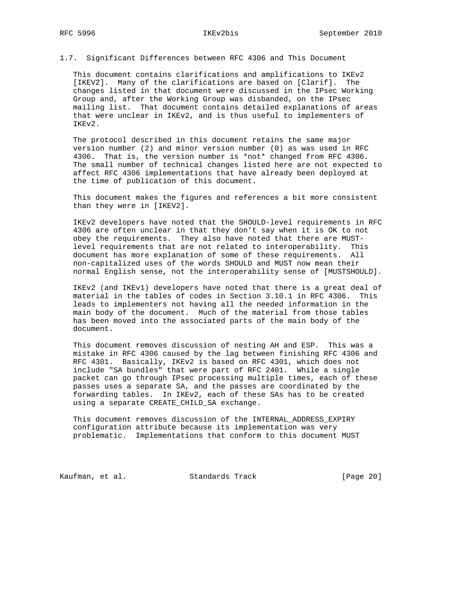## 1.7. Significant Differences between RFC 4306 and This Document

 This document contains clarifications and amplifications to IKEv2 [IKEV2]. Many of the clarifications are based on [Clarif]. The changes listed in that document were discussed in the IPsec Working Group and, after the Working Group was disbanded, on the IPsec mailing list. That document contains detailed explanations of areas that were unclear in IKEv2, and is thus useful to implementers of IKEv2.

 The protocol described in this document retains the same major version number (2) and minor version number (0) as was used in RFC 4306. That is, the version number is \*not\* changed from RFC 4306. The small number of technical changes listed here are not expected to affect RFC 4306 implementations that have already been deployed at the time of publication of this document.

 This document makes the figures and references a bit more consistent than they were in [IKEV2].

 IKEv2 developers have noted that the SHOULD-level requirements in RFC 4306 are often unclear in that they don't say when it is OK to not obey the requirements. They also have noted that there are MUST level requirements that are not related to interoperability. This document has more explanation of some of these requirements. All non-capitalized uses of the words SHOULD and MUST now mean their normal English sense, not the interoperability sense of [MUSTSHOULD].

 IKEv2 (and IKEv1) developers have noted that there is a great deal of material in the tables of codes in Section 3.10.1 in RFC 4306. This leads to implementers not having all the needed information in the main body of the document. Much of the material from those tables has been moved into the associated parts of the main body of the document.

 This document removes discussion of nesting AH and ESP. This was a mistake in RFC 4306 caused by the lag between finishing RFC 4306 and RFC 4301. Basically, IKEv2 is based on RFC 4301, which does not include "SA bundles" that were part of RFC 2401. While a single packet can go through IPsec processing multiple times, each of these passes uses a separate SA, and the passes are coordinated by the forwarding tables. In IKEv2, each of these SAs has to be created using a separate CREATE\_CHILD\_SA exchange.

 This document removes discussion of the INTERNAL\_ADDRESS\_EXPIRY configuration attribute because its implementation was very problematic. Implementations that conform to this document MUST

Kaufman, et al. Standards Track [Page 20]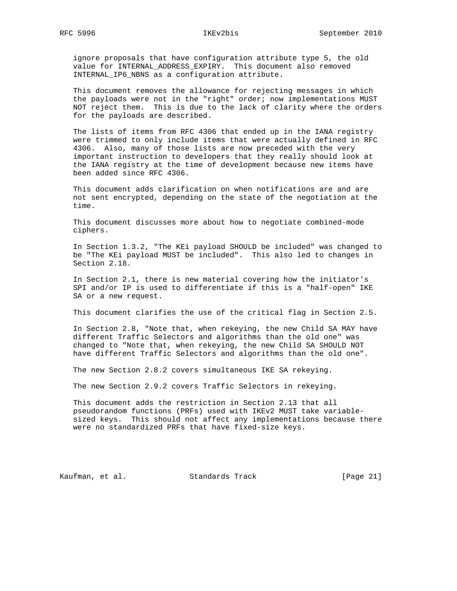# RFC 5996 IKEv2bis September 2010

 ignore proposals that have configuration attribute type 5, the old value for INTERNAL\_ADDRESS\_EXPIRY. This document also removed INTERNAL\_IP6\_NBNS as a configuration attribute.

 This document removes the allowance for rejecting messages in which the payloads were not in the "right" order; now implementations MUST NOT reject them. This is due to the lack of clarity where the orders for the payloads are described.

 The lists of items from RFC 4306 that ended up in the IANA registry were trimmed to only include items that were actually defined in RFC 4306. Also, many of those lists are now preceded with the very important instruction to developers that they really should look at the IANA registry at the time of development because new items have been added since RFC 4306.

 This document adds clarification on when notifications are and are not sent encrypted, depending on the state of the negotiation at the time.

 This document discusses more about how to negotiate combined-mode ciphers.

 In Section 1.3.2, "The KEi payload SHOULD be included" was changed to be "The KEi payload MUST be included". This also led to changes in Section 2.18.

 In Section 2.1, there is new material covering how the initiator's SPI and/or IP is used to differentiate if this is a "half-open" IKE SA or a new request.

This document clarifies the use of the critical flag in Section 2.5.

 In Section 2.8, "Note that, when rekeying, the new Child SA MAY have different Traffic Selectors and algorithms than the old one" was changed to "Note that, when rekeying, the new Child SA SHOULD NOT have different Traffic Selectors and algorithms than the old one".

The new Section 2.8.2 covers simultaneous IKE SA rekeying.

The new Section 2.9.2 covers Traffic Selectors in rekeying.

 This document adds the restriction in Section 2.13 that all pseudorandom functions (PRFs) used with IKEv2 MUST take variable sized keys. This should not affect any implementations because there were no standardized PRFs that have fixed-size keys.

Kaufman, et al. Standards Track [Page 21]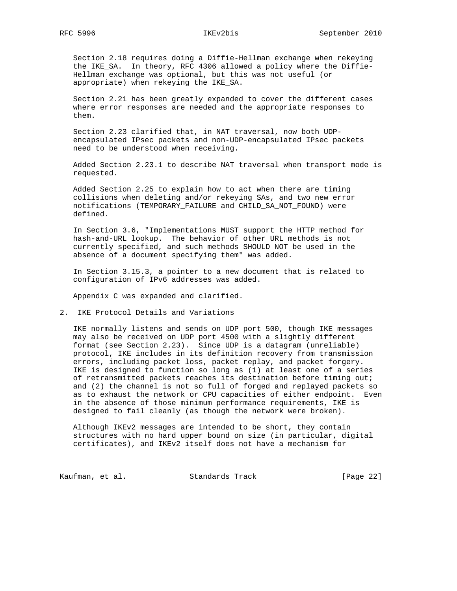Section 2.18 requires doing a Diffie-Hellman exchange when rekeying the IKE\_SA. In theory, RFC 4306 allowed a policy where the Diffie- Hellman exchange was optional, but this was not useful (or appropriate) when rekeying the IKE\_SA.

 Section 2.21 has been greatly expanded to cover the different cases where error responses are needed and the appropriate responses to them.

 Section 2.23 clarified that, in NAT traversal, now both UDP encapsulated IPsec packets and non-UDP-encapsulated IPsec packets need to be understood when receiving.

 Added Section 2.23.1 to describe NAT traversal when transport mode is requested.

 Added Section 2.25 to explain how to act when there are timing collisions when deleting and/or rekeying SAs, and two new error notifications (TEMPORARY\_FAILURE and CHILD\_SA\_NOT\_FOUND) were defined.

 In Section 3.6, "Implementations MUST support the HTTP method for hash-and-URL lookup. The behavior of other URL methods is not currently specified, and such methods SHOULD NOT be used in the absence of a document specifying them" was added.

 In Section 3.15.3, a pointer to a new document that is related to configuration of IPv6 addresses was added.

Appendix C was expanded and clarified.

2. IKE Protocol Details and Variations

 IKE normally listens and sends on UDP port 500, though IKE messages may also be received on UDP port 4500 with a slightly different format (see Section 2.23). Since UDP is a datagram (unreliable) protocol, IKE includes in its definition recovery from transmission errors, including packet loss, packet replay, and packet forgery. IKE is designed to function so long as (1) at least one of a series of retransmitted packets reaches its destination before timing out; and (2) the channel is not so full of forged and replayed packets so as to exhaust the network or CPU capacities of either endpoint. Even in the absence of those minimum performance requirements, IKE is designed to fail cleanly (as though the network were broken).

 Although IKEv2 messages are intended to be short, they contain structures with no hard upper bound on size (in particular, digital certificates), and IKEv2 itself does not have a mechanism for

Kaufman, et al. Standards Track [Page 22]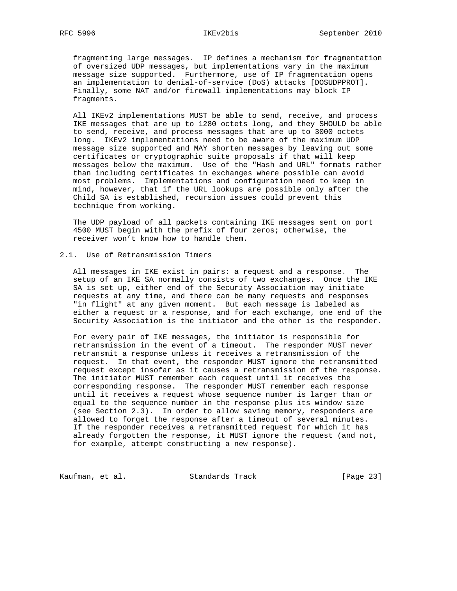fragmenting large messages. IP defines a mechanism for fragmentation of oversized UDP messages, but implementations vary in the maximum message size supported. Furthermore, use of IP fragmentation opens an implementation to denial-of-service (DoS) attacks [DOSUDPPROT]. Finally, some NAT and/or firewall implementations may block IP fragments.

 All IKEv2 implementations MUST be able to send, receive, and process IKE messages that are up to 1280 octets long, and they SHOULD be able to send, receive, and process messages that are up to 3000 octets long. IKEv2 implementations need to be aware of the maximum UDP message size supported and MAY shorten messages by leaving out some certificates or cryptographic suite proposals if that will keep messages below the maximum. Use of the "Hash and URL" formats rather than including certificates in exchanges where possible can avoid most problems. Implementations and configuration need to keep in mind, however, that if the URL lookups are possible only after the Child SA is established, recursion issues could prevent this technique from working.

 The UDP payload of all packets containing IKE messages sent on port 4500 MUST begin with the prefix of four zeros; otherwise, the receiver won't know how to handle them.

## 2.1. Use of Retransmission Timers

 All messages in IKE exist in pairs: a request and a response. The setup of an IKE SA normally consists of two exchanges. Once the IKE SA is set up, either end of the Security Association may initiate requests at any time, and there can be many requests and responses "in flight" at any given moment. But each message is labeled as either a request or a response, and for each exchange, one end of the Security Association is the initiator and the other is the responder.

 For every pair of IKE messages, the initiator is responsible for retransmission in the event of a timeout. The responder MUST never retransmit a response unless it receives a retransmission of the request. In that event, the responder MUST ignore the retransmitted request except insofar as it causes a retransmission of the response. The initiator MUST remember each request until it receives the corresponding response. The responder MUST remember each response until it receives a request whose sequence number is larger than or equal to the sequence number in the response plus its window size (see Section 2.3). In order to allow saving memory, responders are allowed to forget the response after a timeout of several minutes. If the responder receives a retransmitted request for which it has already forgotten the response, it MUST ignore the request (and not, for example, attempt constructing a new response).

Kaufman, et al. Standards Track [Page 23]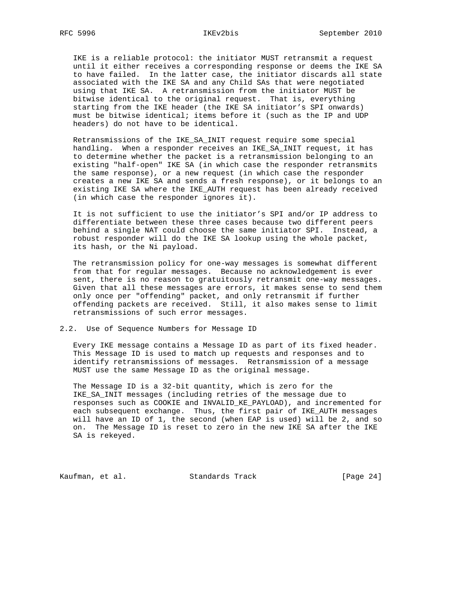IKE is a reliable protocol: the initiator MUST retransmit a request until it either receives a corresponding response or deems the IKE SA to have failed. In the latter case, the initiator discards all state associated with the IKE SA and any Child SAs that were negotiated using that IKE SA. A retransmission from the initiator MUST be bitwise identical to the original request. That is, everything starting from the IKE header (the IKE SA initiator's SPI onwards) must be bitwise identical; items before it (such as the IP and UDP headers) do not have to be identical.

 Retransmissions of the IKE\_SA\_INIT request require some special handling. When a responder receives an IKE\_SA\_INIT request, it has to determine whether the packet is a retransmission belonging to an existing "half-open" IKE SA (in which case the responder retransmits the same response), or a new request (in which case the responder creates a new IKE SA and sends a fresh response), or it belongs to an existing IKE SA where the IKE\_AUTH request has been already received (in which case the responder ignores it).

 It is not sufficient to use the initiator's SPI and/or IP address to differentiate between these three cases because two different peers behind a single NAT could choose the same initiator SPI. Instead, a robust responder will do the IKE SA lookup using the whole packet, its hash, or the Ni payload.

 The retransmission policy for one-way messages is somewhat different from that for regular messages. Because no acknowledgement is ever sent, there is no reason to gratuitously retransmit one-way messages. Given that all these messages are errors, it makes sense to send them only once per "offending" packet, and only retransmit if further offending packets are received. Still, it also makes sense to limit retransmissions of such error messages.

### 2.2. Use of Sequence Numbers for Message ID

 Every IKE message contains a Message ID as part of its fixed header. This Message ID is used to match up requests and responses and to identify retransmissions of messages. Retransmission of a message MUST use the same Message ID as the original message.

 The Message ID is a 32-bit quantity, which is zero for the IKE\_SA\_INIT messages (including retries of the message due to responses such as COOKIE and INVALID\_KE\_PAYLOAD), and incremented for each subsequent exchange. Thus, the first pair of IKE\_AUTH messages will have an ID of 1, the second (when EAP is used) will be 2, and so on. The Message ID is reset to zero in the new IKE SA after the IKE SA is rekeyed.

Kaufman, et al. Standards Track [Page 24]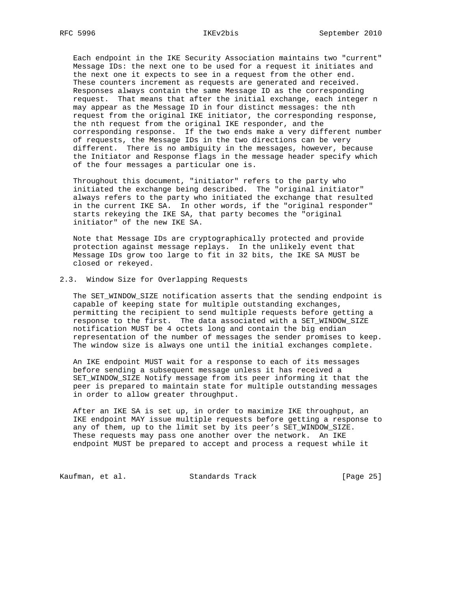Each endpoint in the IKE Security Association maintains two "current" Message IDs: the next one to be used for a request it initiates and the next one it expects to see in a request from the other end. These counters increment as requests are generated and received. Responses always contain the same Message ID as the corresponding request. That means that after the initial exchange, each integer n may appear as the Message ID in four distinct messages: the nth request from the original IKE initiator, the corresponding response, the nth request from the original IKE responder, and the corresponding response. If the two ends make a very different number of requests, the Message IDs in the two directions can be very different. There is no ambiguity in the messages, however, because the Initiator and Response flags in the message header specify which of the four messages a particular one is.

 Throughout this document, "initiator" refers to the party who initiated the exchange being described. The "original initiator" always refers to the party who initiated the exchange that resulted in the current IKE SA. In other words, if the "original responder" starts rekeying the IKE SA, that party becomes the "original initiator" of the new IKE SA.

 Note that Message IDs are cryptographically protected and provide protection against message replays. In the unlikely event that Message IDs grow too large to fit in 32 bits, the IKE SA MUST be closed or rekeyed.

### 2.3. Window Size for Overlapping Requests

 The SET\_WINDOW\_SIZE notification asserts that the sending endpoint is capable of keeping state for multiple outstanding exchanges, permitting the recipient to send multiple requests before getting a response to the first. The data associated with a SET\_WINDOW\_SIZE notification MUST be 4 octets long and contain the big endian representation of the number of messages the sender promises to keep. The window size is always one until the initial exchanges complete.

 An IKE endpoint MUST wait for a response to each of its messages before sending a subsequent message unless it has received a SET\_WINDOW\_SIZE Notify message from its peer informing it that the peer is prepared to maintain state for multiple outstanding messages in order to allow greater throughput.

 After an IKE SA is set up, in order to maximize IKE throughput, an IKE endpoint MAY issue multiple requests before getting a response to any of them, up to the limit set by its peer's SET\_WINDOW\_SIZE. These requests may pass one another over the network. An IKE endpoint MUST be prepared to accept and process a request while it

Kaufman, et al. Standards Track [Page 25]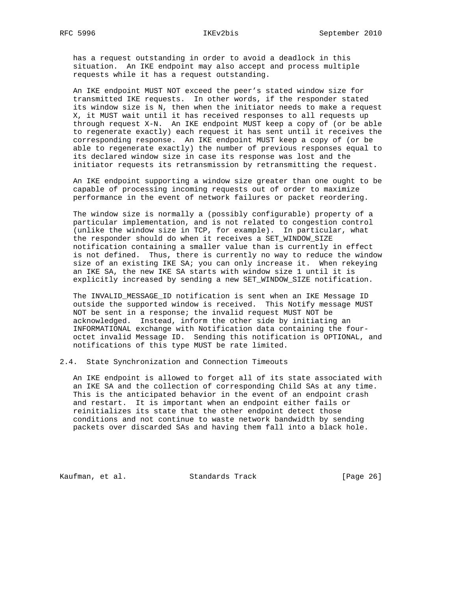has a request outstanding in order to avoid a deadlock in this situation. An IKE endpoint may also accept and process multiple requests while it has a request outstanding.

 An IKE endpoint MUST NOT exceed the peer's stated window size for transmitted IKE requests. In other words, if the responder stated its window size is N, then when the initiator needs to make a request X, it MUST wait until it has received responses to all requests up through request X-N. An IKE endpoint MUST keep a copy of (or be able to regenerate exactly) each request it has sent until it receives the corresponding response. An IKE endpoint MUST keep a copy of (or be able to regenerate exactly) the number of previous responses equal to its declared window size in case its response was lost and the initiator requests its retransmission by retransmitting the request.

 An IKE endpoint supporting a window size greater than one ought to be capable of processing incoming requests out of order to maximize performance in the event of network failures or packet reordering.

 The window size is normally a (possibly configurable) property of a particular implementation, and is not related to congestion control (unlike the window size in TCP, for example). In particular, what the responder should do when it receives a SET\_WINDOW\_SIZE notification containing a smaller value than is currently in effect is not defined. Thus, there is currently no way to reduce the window size of an existing IKE SA; you can only increase it. When rekeying an IKE SA, the new IKE SA starts with window size 1 until it is explicitly increased by sending a new SET\_WINDOW\_SIZE notification.

 The INVALID\_MESSAGE\_ID notification is sent when an IKE Message ID outside the supported window is received. This Notify message MUST NOT be sent in a response; the invalid request MUST NOT be acknowledged. Instead, inform the other side by initiating an INFORMATIONAL exchange with Notification data containing the four octet invalid Message ID. Sending this notification is OPTIONAL, and notifications of this type MUST be rate limited.

2.4. State Synchronization and Connection Timeouts

 An IKE endpoint is allowed to forget all of its state associated with an IKE SA and the collection of corresponding Child SAs at any time. This is the anticipated behavior in the event of an endpoint crash and restart. It is important when an endpoint either fails or reinitializes its state that the other endpoint detect those conditions and not continue to waste network bandwidth by sending packets over discarded SAs and having them fall into a black hole.

Kaufman, et al. Standards Track [Page 26]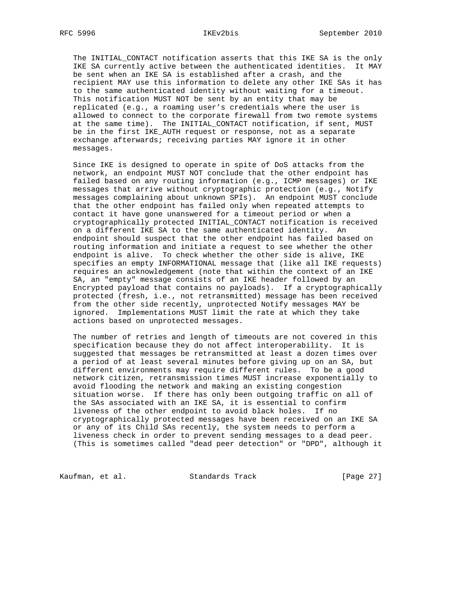The INITIAL\_CONTACT notification asserts that this IKE SA is the only IKE SA currently active between the authenticated identities. It MAY be sent when an IKE SA is established after a crash, and the recipient MAY use this information to delete any other IKE SAs it has to the same authenticated identity without waiting for a timeout. This notification MUST NOT be sent by an entity that may be replicated (e.g., a roaming user's credentials where the user is allowed to connect to the corporate firewall from two remote systems at the same time). The INITIAL\_CONTACT notification, if sent, MUST be in the first IKE\_AUTH request or response, not as a separate exchange afterwards; receiving parties MAY ignore it in other messages.

 Since IKE is designed to operate in spite of DoS attacks from the network, an endpoint MUST NOT conclude that the other endpoint has failed based on any routing information (e.g., ICMP messages) or IKE messages that arrive without cryptographic protection (e.g., Notify messages complaining about unknown SPIs). An endpoint MUST conclude that the other endpoint has failed only when repeated attempts to contact it have gone unanswered for a timeout period or when a cryptographically protected INITIAL\_CONTACT notification is received on a different IKE SA to the same authenticated identity. An endpoint should suspect that the other endpoint has failed based on routing information and initiate a request to see whether the other endpoint is alive. To check whether the other side is alive, IKE specifies an empty INFORMATIONAL message that (like all IKE requests) requires an acknowledgement (note that within the context of an IKE SA, an "empty" message consists of an IKE header followed by an Encrypted payload that contains no payloads). If a cryptographically protected (fresh, i.e., not retransmitted) message has been received from the other side recently, unprotected Notify messages MAY be ignored. Implementations MUST limit the rate at which they take actions based on unprotected messages.

 The number of retries and length of timeouts are not covered in this specification because they do not affect interoperability. It is suggested that messages be retransmitted at least a dozen times over a period of at least several minutes before giving up on an SA, but different environments may require different rules. To be a good network citizen, retransmission times MUST increase exponentially to avoid flooding the network and making an existing congestion situation worse. If there has only been outgoing traffic on all of the SAs associated with an IKE SA, it is essential to confirm liveness of the other endpoint to avoid black holes. If no cryptographically protected messages have been received on an IKE SA or any of its Child SAs recently, the system needs to perform a liveness check in order to prevent sending messages to a dead peer. (This is sometimes called "dead peer detection" or "DPD", although it

Kaufman, et al. Standards Track [Page 27]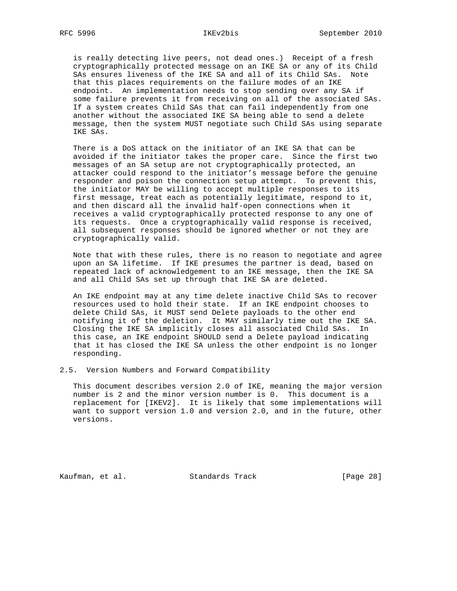is really detecting live peers, not dead ones.) Receipt of a fresh cryptographically protected message on an IKE SA or any of its Child SAs ensures liveness of the IKE SA and all of its Child SAs. Note that this places requirements on the failure modes of an IKE endpoint. An implementation needs to stop sending over any SA if some failure prevents it from receiving on all of the associated SAs. If a system creates Child SAs that can fail independently from one another without the associated IKE SA being able to send a delete message, then the system MUST negotiate such Child SAs using separate IKE SAs.

 There is a DoS attack on the initiator of an IKE SA that can be avoided if the initiator takes the proper care. Since the first two messages of an SA setup are not cryptographically protected, an attacker could respond to the initiator's message before the genuine responder and poison the connection setup attempt. To prevent this, the initiator MAY be willing to accept multiple responses to its first message, treat each as potentially legitimate, respond to it, and then discard all the invalid half-open connections when it receives a valid cryptographically protected response to any one of its requests. Once a cryptographically valid response is received, all subsequent responses should be ignored whether or not they are cryptographically valid.

 Note that with these rules, there is no reason to negotiate and agree upon an SA lifetime. If IKE presumes the partner is dead, based on repeated lack of acknowledgement to an IKE message, then the IKE SA and all Child SAs set up through that IKE SA are deleted.

 An IKE endpoint may at any time delete inactive Child SAs to recover resources used to hold their state. If an IKE endpoint chooses to delete Child SAs, it MUST send Delete payloads to the other end notifying it of the deletion. It MAY similarly time out the IKE SA. Closing the IKE SA implicitly closes all associated Child SAs. In this case, an IKE endpoint SHOULD send a Delete payload indicating that it has closed the IKE SA unless the other endpoint is no longer responding.

2.5. Version Numbers and Forward Compatibility

 This document describes version 2.0 of IKE, meaning the major version number is 2 and the minor version number is 0. This document is a replacement for [IKEV2]. It is likely that some implementations will want to support version 1.0 and version 2.0, and in the future, other versions.

Kaufman, et al. Standards Track [Page 28]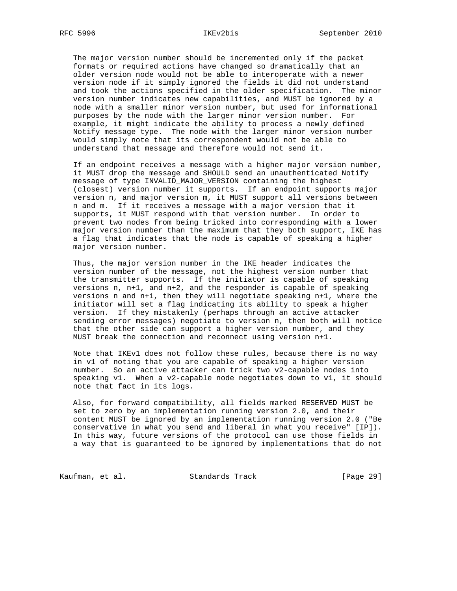The major version number should be incremented only if the packet formats or required actions have changed so dramatically that an older version node would not be able to interoperate with a newer version node if it simply ignored the fields it did not understand and took the actions specified in the older specification. The minor version number indicates new capabilities, and MUST be ignored by a node with a smaller minor version number, but used for informational purposes by the node with the larger minor version number. For example, it might indicate the ability to process a newly defined Notify message type. The node with the larger minor version number would simply note that its correspondent would not be able to understand that message and therefore would not send it.

 If an endpoint receives a message with a higher major version number, it MUST drop the message and SHOULD send an unauthenticated Notify message of type INVALID\_MAJOR\_VERSION containing the highest (closest) version number it supports. If an endpoint supports major version n, and major version m, it MUST support all versions between n and m. If it receives a message with a major version that it supports, it MUST respond with that version number. In order to prevent two nodes from being tricked into corresponding with a lower major version number than the maximum that they both support, IKE has a flag that indicates that the node is capable of speaking a higher major version number.

 Thus, the major version number in the IKE header indicates the version number of the message, not the highest version number that the transmitter supports. If the initiator is capable of speaking versions n, n+1, and n+2, and the responder is capable of speaking versions n and n+1, then they will negotiate speaking n+1, where the initiator will set a flag indicating its ability to speak a higher version. If they mistakenly (perhaps through an active attacker sending error messages) negotiate to version n, then both will notice that the other side can support a higher version number, and they MUST break the connection and reconnect using version n+1.

 Note that IKEv1 does not follow these rules, because there is no way in v1 of noting that you are capable of speaking a higher version number. So an active attacker can trick two v2-capable nodes into speaking v1. When a v2-capable node negotiates down to v1, it should note that fact in its logs.

 Also, for forward compatibility, all fields marked RESERVED MUST be set to zero by an implementation running version 2.0, and their content MUST be ignored by an implementation running version 2.0 ("Be conservative in what you send and liberal in what you receive" [IP]). In this way, future versions of the protocol can use those fields in a way that is guaranteed to be ignored by implementations that do not

Kaufman, et al. Standards Track [Page 29]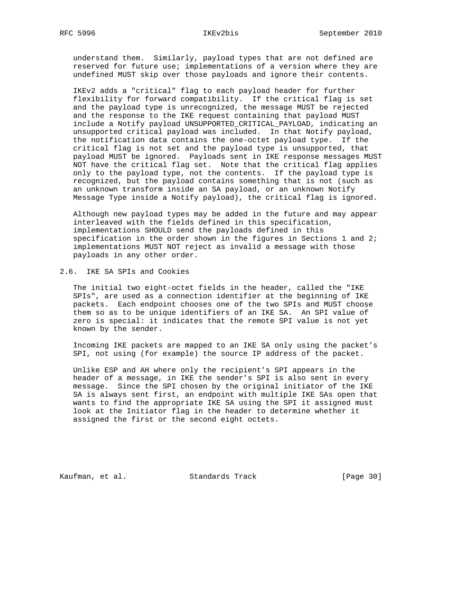# RFC 5996 IKEv2bis September 2010

 understand them. Similarly, payload types that are not defined are reserved for future use; implementations of a version where they are undefined MUST skip over those payloads and ignore their contents.

 IKEv2 adds a "critical" flag to each payload header for further flexibility for forward compatibility. If the critical flag is set and the payload type is unrecognized, the message MUST be rejected and the response to the IKE request containing that payload MUST include a Notify payload UNSUPPORTED\_CRITICAL\_PAYLOAD, indicating an unsupported critical payload was included. In that Notify payload, the notification data contains the one-octet payload type. If the critical flag is not set and the payload type is unsupported, that payload MUST be ignored. Payloads sent in IKE response messages MUST NOT have the critical flag set. Note that the critical flag applies only to the payload type, not the contents. If the payload type is recognized, but the payload contains something that is not (such as an unknown transform inside an SA payload, or an unknown Notify Message Type inside a Notify payload), the critical flag is ignored.

 Although new payload types may be added in the future and may appear interleaved with the fields defined in this specification, implementations SHOULD send the payloads defined in this specification in the order shown in the figures in Sections 1 and 2; implementations MUST NOT reject as invalid a message with those payloads in any other order.

2.6. IKE SA SPIs and Cookies

 The initial two eight-octet fields in the header, called the "IKE SPIs", are used as a connection identifier at the beginning of IKE packets. Each endpoint chooses one of the two SPIs and MUST choose them so as to be unique identifiers of an IKE SA. An SPI value of zero is special: it indicates that the remote SPI value is not yet known by the sender.

 Incoming IKE packets are mapped to an IKE SA only using the packet's SPI, not using (for example) the source IP address of the packet.

 Unlike ESP and AH where only the recipient's SPI appears in the header of a message, in IKE the sender's SPI is also sent in every message. Since the SPI chosen by the original initiator of the IKE SA is always sent first, an endpoint with multiple IKE SAs open that wants to find the appropriate IKE SA using the SPI it assigned must look at the Initiator flag in the header to determine whether it assigned the first or the second eight octets.

Kaufman, et al. Standards Track [Page 30]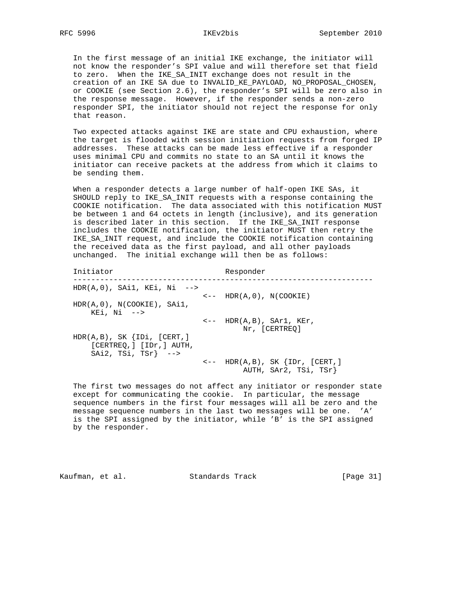In the first message of an initial IKE exchange, the initiator will not know the responder's SPI value and will therefore set that field to zero. When the IKE\_SA\_INIT exchange does not result in the creation of an IKE SA due to INVALID\_KE\_PAYLOAD, NO\_PROPOSAL\_CHOSEN, or COOKIE (see Section 2.6), the responder's SPI will be zero also in the response message. However, if the responder sends a non-zero responder SPI, the initiator should not reject the response for only that reason.

 Two expected attacks against IKE are state and CPU exhaustion, where the target is flooded with session initiation requests from forged IP addresses. These attacks can be made less effective if a responder uses minimal CPU and commits no state to an SA until it knows the initiator can receive packets at the address from which it claims to be sending them.

 When a responder detects a large number of half-open IKE SAs, it SHOULD reply to IKE\_SA\_INIT requests with a response containing the COOKIE notification. The data associated with this notification MUST be between 1 and 64 octets in length (inclusive), and its generation is described later in this section. If the IKE\_SA\_INIT response includes the COOKIE notification, the initiator MUST then retry the IKE\_SA\_INIT request, and include the COOKIE notification containing the received data as the first payload, and all other payloads unchanged. The initial exchange will then be as follows:

Initiator Responder ------------------------------------------------------------------- HDR(A,0), SAi1, KEi, Ni -->  $\leftarrow$  -- HDR(A,0), N(COOKIE) HDR(A,0), N(COOKIE), SAi1, KEi, Ni -->  $\leftarrow -$  HDR(A,B), SAr1, KEr, Nr, [CERTREQ] HDR(A,B), SK {IDi, [CERT,] [CERTREQ,] [IDr,] AUTH, SAi2, TSi, TSr} -->  $\leftarrow -$  HDR(A,B), SK  $\{IDr, [CERT, ]$ AUTH, SAr2, TSi, TSr}

 The first two messages do not affect any initiator or responder state except for communicating the cookie. In particular, the message sequence numbers in the first four messages will all be zero and the message sequence numbers in the last two messages will be one. 'A' is the SPI assigned by the initiator, while 'B' is the SPI assigned by the responder.

Kaufman, et al. Standards Track [Page 31]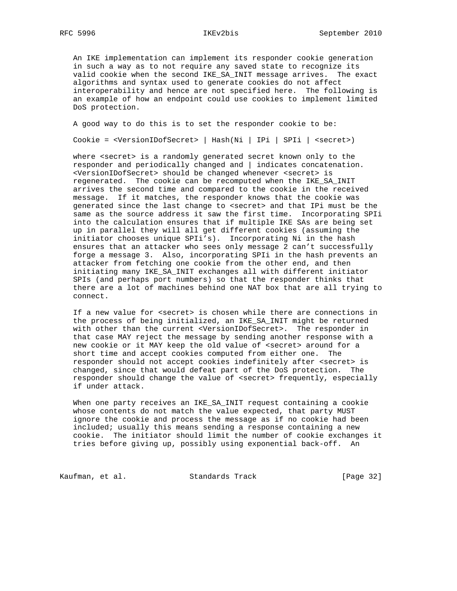An IKE implementation can implement its responder cookie generation in such a way as to not require any saved state to recognize its valid cookie when the second IKE\_SA\_INIT message arrives. The exact algorithms and syntax used to generate cookies do not affect interoperability and hence are not specified here. The following is an example of how an endpoint could use cookies to implement limited DoS protection.

A good way to do this is to set the responder cookie to be:

Cookie = <VersionIDofSecret> | Hash(Ni | IPi | SPIi | <secret>)

where <secret> is a randomly generated secret known only to the responder and periodically changed and | indicates concatenation. <VersionIDofSecret> should be changed whenever <secret> is regenerated. The cookie can be recomputed when the IKE\_SA\_INIT arrives the second time and compared to the cookie in the received message. If it matches, the responder knows that the cookie was generated since the last change to <secret> and that IPi must be the same as the source address it saw the first time. Incorporating SPIi into the calculation ensures that if multiple IKE SAs are being set up in parallel they will all get different cookies (assuming the initiator chooses unique SPIi's). Incorporating Ni in the hash ensures that an attacker who sees only message 2 can't successfully forge a message 3. Also, incorporating SPIi in the hash prevents an attacker from fetching one cookie from the other end, and then initiating many IKE\_SA\_INIT exchanges all with different initiator SPIs (and perhaps port numbers) so that the responder thinks that there are a lot of machines behind one NAT box that are all trying to connect.

 If a new value for <secret> is chosen while there are connections in the process of being initialized, an IKE\_SA\_INIT might be returned with other than the current <VersionIDofSecret>. The responder in that case MAY reject the message by sending another response with a new cookie or it MAY keep the old value of <secret> around for a short time and accept cookies computed from either one. The responder should not accept cookies indefinitely after <secret> is changed, since that would defeat part of the DoS protection. The responder should change the value of <secret> frequently, especially if under attack.

 When one party receives an IKE\_SA\_INIT request containing a cookie whose contents do not match the value expected, that party MUST ignore the cookie and process the message as if no cookie had been included; usually this means sending a response containing a new cookie. The initiator should limit the number of cookie exchanges it tries before giving up, possibly using exponential back-off. An

Kaufman, et al. Standards Track [Page 32]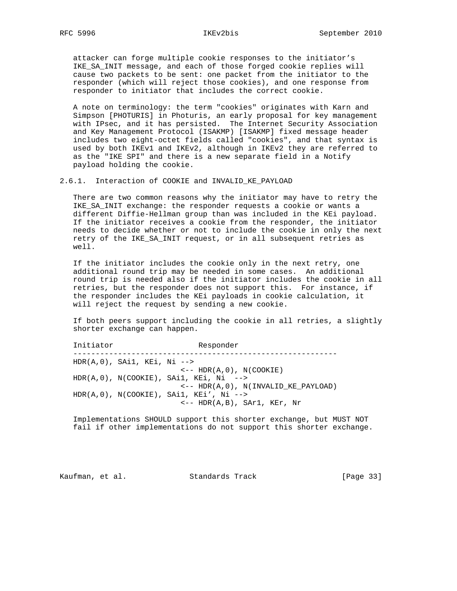attacker can forge multiple cookie responses to the initiator's IKE\_SA\_INIT message, and each of those forged cookie replies will cause two packets to be sent: one packet from the initiator to the responder (which will reject those cookies), and one response from responder to initiator that includes the correct cookie.

 A note on terminology: the term "cookies" originates with Karn and Simpson [PHOTURIS] in Photuris, an early proposal for key management with IPsec, and it has persisted. The Internet Security Association and Key Management Protocol (ISAKMP) [ISAKMP] fixed message header includes two eight-octet fields called "cookies", and that syntax is used by both IKEv1 and IKEv2, although in IKEv2 they are referred to as the "IKE SPI" and there is a new separate field in a Notify payload holding the cookie.

2.6.1. Interaction of COOKIE and INVALID KE PAYLOAD

 There are two common reasons why the initiator may have to retry the IKE\_SA\_INIT exchange: the responder requests a cookie or wants a different Diffie-Hellman group than was included in the KEi payload. If the initiator receives a cookie from the responder, the initiator needs to decide whether or not to include the cookie in only the next retry of the IKE\_SA\_INIT request, or in all subsequent retries as well.

 If the initiator includes the cookie only in the next retry, one additional round trip may be needed in some cases. An additional round trip is needed also if the initiator includes the cookie in all retries, but the responder does not support this. For instance, if the responder includes the KEi payloads in cookie calculation, it will reject the request by sending a new cookie.

 If both peers support including the cookie in all retries, a slightly shorter exchange can happen.

Initiator Responder ----------------------------------------------------------- HDR(A,0), SAi1, KEi, Ni -->  $\leftarrow$  -- HDR(A,0), N(COOKIE) HDR(A,0), N(COOKIE), SAi1, KEi, Ni --> <-- HDR(A,0), N(INVALID\_KE\_PAYLOAD) HDR(A,0), N(COOKIE), SAi1, KEi', Ni --> <-- HDR(A,B), SAr1, KEr, Nr

 Implementations SHOULD support this shorter exchange, but MUST NOT fail if other implementations do not support this shorter exchange.

Kaufman, et al. Standards Track [Page 33]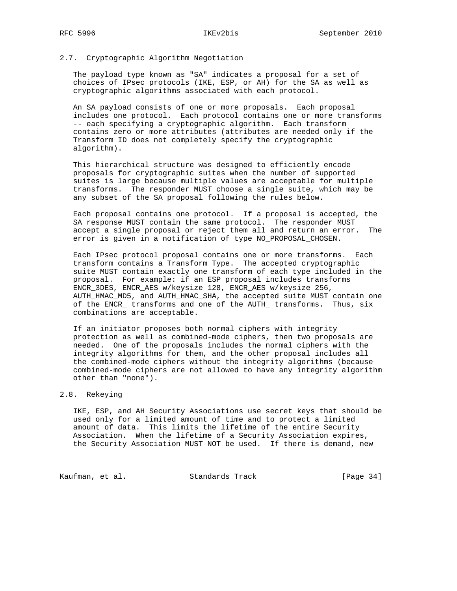### 2.7. Cryptographic Algorithm Negotiation

 The payload type known as "SA" indicates a proposal for a set of choices of IPsec protocols (IKE, ESP, or AH) for the SA as well as cryptographic algorithms associated with each protocol.

 An SA payload consists of one or more proposals. Each proposal includes one protocol. Each protocol contains one or more transforms -- each specifying a cryptographic algorithm. Each transform contains zero or more attributes (attributes are needed only if the Transform ID does not completely specify the cryptographic algorithm).

 This hierarchical structure was designed to efficiently encode proposals for cryptographic suites when the number of supported suites is large because multiple values are acceptable for multiple transforms. The responder MUST choose a single suite, which may be any subset of the SA proposal following the rules below.

 Each proposal contains one protocol. If a proposal is accepted, the SA response MUST contain the same protocol. The responder MUST accept a single proposal or reject them all and return an error. The error is given in a notification of type NO\_PROPOSAL\_CHOSEN.

 Each IPsec protocol proposal contains one or more transforms. Each transform contains a Transform Type. The accepted cryptographic suite MUST contain exactly one transform of each type included in the proposal. For example: if an ESP proposal includes transforms ENCR\_3DES, ENCR\_AES w/keysize 128, ENCR\_AES w/keysize 256, AUTH\_HMAC\_MD5, and AUTH\_HMAC\_SHA, the accepted suite MUST contain one of the ENCR\_ transforms and one of the AUTH\_ transforms. Thus, six combinations are acceptable.

 If an initiator proposes both normal ciphers with integrity protection as well as combined-mode ciphers, then two proposals are needed. One of the proposals includes the normal ciphers with the integrity algorithms for them, and the other proposal includes all the combined-mode ciphers without the integrity algorithms (because combined-mode ciphers are not allowed to have any integrity algorithm other than "none").

### 2.8. Rekeying

 IKE, ESP, and AH Security Associations use secret keys that should be used only for a limited amount of time and to protect a limited amount of data. This limits the lifetime of the entire Security Association. When the lifetime of a Security Association expires, the Security Association MUST NOT be used. If there is demand, new

Kaufman, et al. Standards Track [Page 34]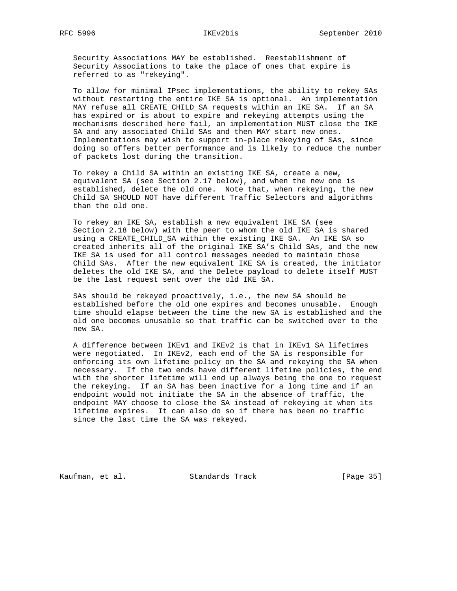Security Associations MAY be established. Reestablishment of Security Associations to take the place of ones that expire is referred to as "rekeying".

 To allow for minimal IPsec implementations, the ability to rekey SAs without restarting the entire IKE SA is optional. An implementation MAY refuse all CREATE\_CHILD\_SA requests within an IKE SA. If an SA has expired or is about to expire and rekeying attempts using the mechanisms described here fail, an implementation MUST close the IKE SA and any associated Child SAs and then MAY start new ones. Implementations may wish to support in-place rekeying of SAs, since doing so offers better performance and is likely to reduce the number of packets lost during the transition.

 To rekey a Child SA within an existing IKE SA, create a new, equivalent SA (see Section 2.17 below), and when the new one is established, delete the old one. Note that, when rekeying, the new Child SA SHOULD NOT have different Traffic Selectors and algorithms than the old one.

 To rekey an IKE SA, establish a new equivalent IKE SA (see Section 2.18 below) with the peer to whom the old IKE SA is shared using a CREATE\_CHILD\_SA within the existing IKE SA. An IKE SA so created inherits all of the original IKE SA's Child SAs, and the new IKE SA is used for all control messages needed to maintain those Child SAs. After the new equivalent IKE SA is created, the initiator deletes the old IKE SA, and the Delete payload to delete itself MUST be the last request sent over the old IKE SA.

 SAs should be rekeyed proactively, i.e., the new SA should be established before the old one expires and becomes unusable. Enough time should elapse between the time the new SA is established and the old one becomes unusable so that traffic can be switched over to the new SA.

 A difference between IKEv1 and IKEv2 is that in IKEv1 SA lifetimes were negotiated. In IKEv2, each end of the SA is responsible for enforcing its own lifetime policy on the SA and rekeying the SA when necessary. If the two ends have different lifetime policies, the end with the shorter lifetime will end up always being the one to request the rekeying. If an SA has been inactive for a long time and if an endpoint would not initiate the SA in the absence of traffic, the endpoint MAY choose to close the SA instead of rekeying it when its lifetime expires. It can also do so if there has been no traffic since the last time the SA was rekeyed.

Kaufman, et al. Standards Track [Page 35]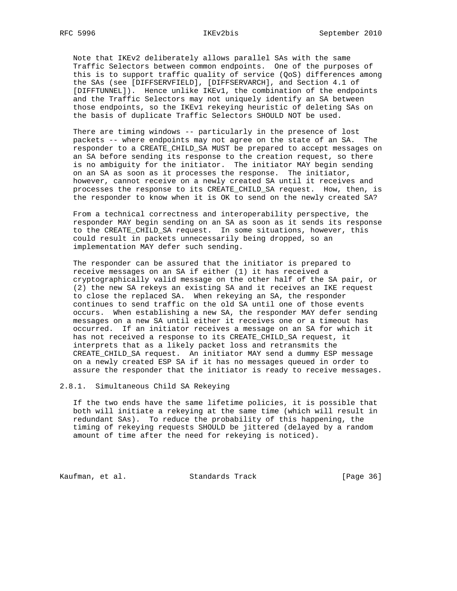Note that IKEv2 deliberately allows parallel SAs with the same Traffic Selectors between common endpoints. One of the purposes of this is to support traffic quality of service (QoS) differences among the SAs (see [DIFFSERVFIELD], [DIFFSERVARCH], and Section 4.1 of [DIFFTUNNEL]). Hence unlike IKEv1, the combination of the endpoints and the Traffic Selectors may not uniquely identify an SA between those endpoints, so the IKEv1 rekeying heuristic of deleting SAs on the basis of duplicate Traffic Selectors SHOULD NOT be used.

 There are timing windows -- particularly in the presence of lost packets -- where endpoints may not agree on the state of an SA. The responder to a CREATE\_CHILD\_SA MUST be prepared to accept messages on an SA before sending its response to the creation request, so there is no ambiguity for the initiator. The initiator MAY begin sending on an SA as soon as it processes the response. The initiator, however, cannot receive on a newly created SA until it receives and processes the response to its CREATE\_CHILD\_SA request. How, then, is the responder to know when it is OK to send on the newly created SA?

 From a technical correctness and interoperability perspective, the responder MAY begin sending on an SA as soon as it sends its response to the CREATE\_CHILD\_SA request. In some situations, however, this could result in packets unnecessarily being dropped, so an implementation MAY defer such sending.

 The responder can be assured that the initiator is prepared to receive messages on an SA if either (1) it has received a cryptographically valid message on the other half of the SA pair, or (2) the new SA rekeys an existing SA and it receives an IKE request to close the replaced SA. When rekeying an SA, the responder continues to send traffic on the old SA until one of those events occurs. When establishing a new SA, the responder MAY defer sending messages on a new SA until either it receives one or a timeout has occurred. If an initiator receives a message on an SA for which it has not received a response to its CREATE\_CHILD\_SA request, it interprets that as a likely packet loss and retransmits the CREATE\_CHILD\_SA request. An initiator MAY send a dummy ESP message on a newly created ESP SA if it has no messages queued in order to assure the responder that the initiator is ready to receive messages.

2.8.1. Simultaneous Child SA Rekeying

 If the two ends have the same lifetime policies, it is possible that both will initiate a rekeying at the same time (which will result in redundant SAs). To reduce the probability of this happening, the timing of rekeying requests SHOULD be jittered (delayed by a random amount of time after the need for rekeying is noticed).

Kaufman, et al. Standards Track [Page 36]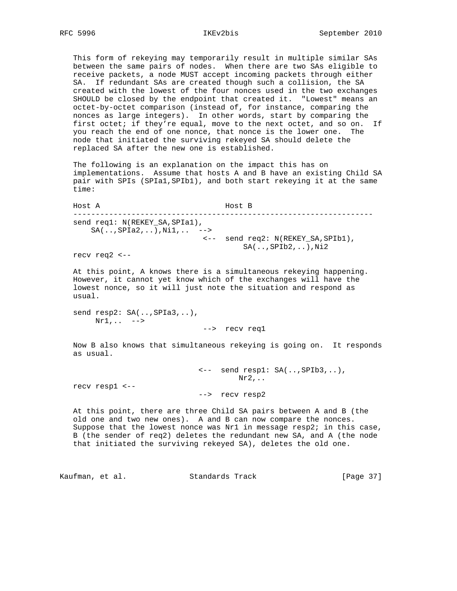This form of rekeying may temporarily result in multiple similar SAs between the same pairs of nodes. When there are two SAs eligible to receive packets, a node MUST accept incoming packets through either SA. If redundant SAs are created though such a collision, the SA created with the lowest of the four nonces used in the two exchanges SHOULD be closed by the endpoint that created it. "Lowest" means an octet-by-octet comparison (instead of, for instance, comparing the nonces as large integers). In other words, start by comparing the first octet; if they're equal, move to the next octet, and so on. If you reach the end of one nonce, that nonce is the lower one. The node that initiated the surviving rekeyed SA should delete the replaced SA after the new one is established.

 The following is an explanation on the impact this has on implementations. Assume that hosts A and B have an existing Child SA pair with SPIs (SPIa1,SPIb1), and both start rekeying it at the same time:

 Host A Host B ------------------------------------------------------------------ send req1: N(REKEY\_SA, SPIa1),  $SA($ .., $SPIa2$ ,..), $Nil$ ,.. --> <-- send req2: N(REKEY\_SA,SPIb1),  $SA($ .., $SPIb2$ ,..), $Ni2$ 

recv req2 <--

 At this point, A knows there is a simultaneous rekeying happening. However, it cannot yet know which of the exchanges will have the lowest nonce, so it will just note the situation and respond as usual.

 send resp2: SA(..,SPIa3,..),  $Nr1, \ldots$  -->

--> recv req1

 Now B also knows that simultaneous rekeying is going on. It responds as usual.

> <-- send resp1: SA(..,SPIb3,..), Nr2,..

recv resp1 <--

--> recv resp2

 At this point, there are three Child SA pairs between A and B (the old one and two new ones). A and B can now compare the nonces. Suppose that the lowest nonce was Nr1 in message resp2; in this case, B (the sender of req2) deletes the redundant new SA, and A (the node that initiated the surviving rekeyed SA), deletes the old one.

Kaufman, et al. Standards Track [Page 37]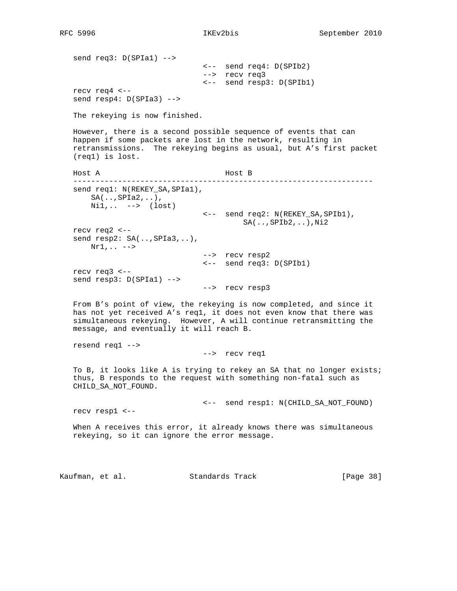send req3: D(SPIa1) --> <-- send req4: D(SPIb2) --> recv req3 <-- send resp3: D(SPIb1) recv req4 <- send resp4: D(SPIa3) --> The rekeying is now finished. However, there is a second possible sequence of events that can happen if some packets are lost in the network, resulting in retransmissions. The rekeying begins as usual, but A's first packet (req1) is lost. Host A Host B ------------------------------------------------------------------ send req1: N(REKEY\_SA, SPIa1),  $SA($ .., $SPIa2$ ,..), Ni1,.. --> (lost) <-- send req2: N(REKEY\_SA,SPIb1),  $SA($ .., $SPIb2$ ,..), $Ni2$  recv req2 <- send resp2: SA(..,SPIa3,..),  $Nr1, \ldots$  --> recv resp2 <-- send req3: D(SPIb1) recv req3 <- send resp3: D(SPIa1) --> --> recv resp3 From B's point of view, the rekeying is now completed, and since it has not yet received A's req1, it does not even know that there was simultaneous rekeying. However, A will continue retransmitting the message, and eventually it will reach B. resend req1 --> --> recv req1 To B, it looks like A is trying to rekey an SA that no longer exists; thus, B responds to the request with something non-fatal such as CHILD\_SA\_NOT\_FOUND. <-- send resp1: N(CHILD\_SA\_NOT\_FOUND) recv resp1 <-- When A receives this error, it already knows there was simultaneous rekeying, so it can ignore the error message. Kaufman, et al. Standards Track [Page 38]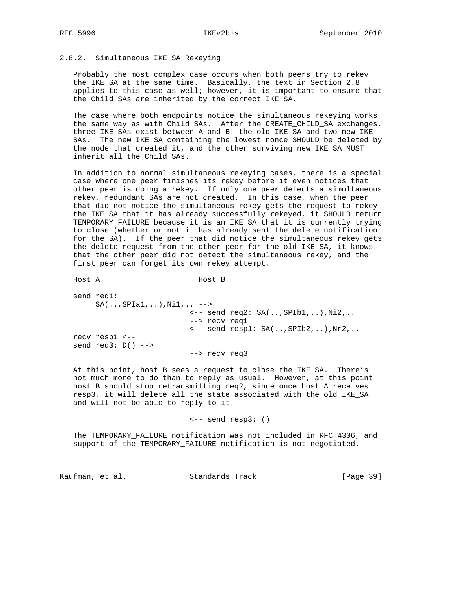### 2.8.2. Simultaneous IKE SA Rekeying

 Probably the most complex case occurs when both peers try to rekey the IKE\_SA at the same time. Basically, the text in Section 2.8 applies to this case as well; however, it is important to ensure that the Child SAs are inherited by the correct IKE\_SA.

 The case where both endpoints notice the simultaneous rekeying works the same way as with Child SAs. After the CREATE\_CHILD\_SA exchanges, three IKE SAs exist between A and B: the old IKE SA and two new IKE SAs. The new IKE SA containing the lowest nonce SHOULD be deleted by the node that created it, and the other surviving new IKE SA MUST inherit all the Child SAs.

 In addition to normal simultaneous rekeying cases, there is a special case where one peer finishes its rekey before it even notices that other peer is doing a rekey. If only one peer detects a simultaneous rekey, redundant SAs are not created. In this case, when the peer that did not notice the simultaneous rekey gets the request to rekey the IKE SA that it has already successfully rekeyed, it SHOULD return TEMPORARY\_FAILURE because it is an IKE SA that it is currently trying to close (whether or not it has already sent the delete notification for the SA). If the peer that did notice the simultaneous rekey gets the delete request from the other peer for the old IKE SA, it knows that the other peer did not detect the simultaneous rekey, and the first peer can forget its own rekey attempt.

 Host A Host B ------------------------------------------------------------------ send req1:  $SA($ .., $SPIa1$ ,..), $Nil$ ,.. --> <-- send req2: SA(..,SPIb1,..),Ni2,.. --> recv req1 <-- send resp1: SA(..,SPIb2,..),Nr2,.. recv resp1 <- send req3: D() --> --> recv req3

 At this point, host B sees a request to close the IKE\_SA. There's not much more to do than to reply as usual. However, at this point host B should stop retransmitting req2, since once host A receives resp3, it will delete all the state associated with the old IKE\_SA and will not be able to reply to it.

<-- send resp3: ()

 The TEMPORARY\_FAILURE notification was not included in RFC 4306, and support of the TEMPORARY\_FAILURE notification is not negotiated.

Kaufman, et al. Standards Track [Page 39]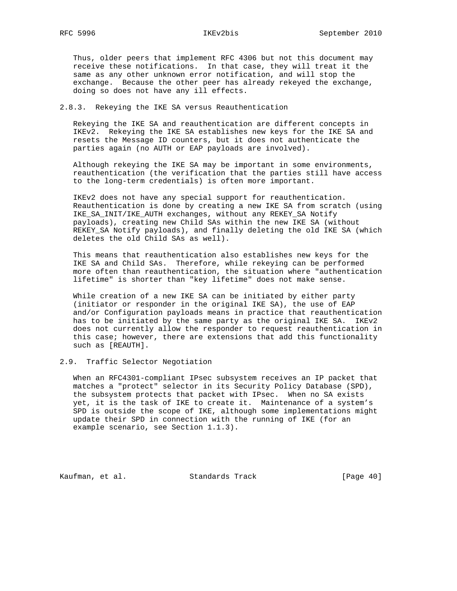Thus, older peers that implement RFC 4306 but not this document may receive these notifications. In that case, they will treat it the same as any other unknown error notification, and will stop the exchange. Because the other peer has already rekeyed the exchange, doing so does not have any ill effects.

# 2.8.3. Rekeying the IKE SA versus Reauthentication

 Rekeying the IKE SA and reauthentication are different concepts in IKEv2. Rekeying the IKE SA establishes new keys for the IKE SA and resets the Message ID counters, but it does not authenticate the parties again (no AUTH or EAP payloads are involved).

 Although rekeying the IKE SA may be important in some environments, reauthentication (the verification that the parties still have access to the long-term credentials) is often more important.

 IKEv2 does not have any special support for reauthentication. Reauthentication is done by creating a new IKE SA from scratch (using IKE\_SA\_INIT/IKE\_AUTH exchanges, without any REKEY\_SA Notify payloads), creating new Child SAs within the new IKE SA (without REKEY\_SA Notify payloads), and finally deleting the old IKE SA (which deletes the old Child SAs as well).

 This means that reauthentication also establishes new keys for the IKE SA and Child SAs. Therefore, while rekeying can be performed more often than reauthentication, the situation where "authentication lifetime" is shorter than "key lifetime" does not make sense.

 While creation of a new IKE SA can be initiated by either party (initiator or responder in the original IKE SA), the use of EAP and/or Configuration payloads means in practice that reauthentication has to be initiated by the same party as the original IKE SA. IKEv2 does not currently allow the responder to request reauthentication in this case; however, there are extensions that add this functionality such as [REAUTH].

# 2.9. Traffic Selector Negotiation

 When an RFC4301-compliant IPsec subsystem receives an IP packet that matches a "protect" selector in its Security Policy Database (SPD), the subsystem protects that packet with IPsec. When no SA exists yet, it is the task of IKE to create it. Maintenance of a system's SPD is outside the scope of IKE, although some implementations might update their SPD in connection with the running of IKE (for an example scenario, see Section 1.1.3).

Kaufman, et al. Standards Track [Page 40]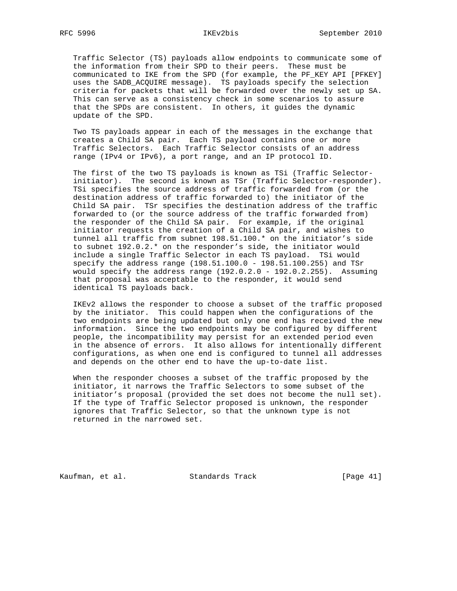Traffic Selector (TS) payloads allow endpoints to communicate some of the information from their SPD to their peers. These must be communicated to IKE from the SPD (for example, the PF\_KEY API [PFKEY] uses the SADB\_ACQUIRE message). TS payloads specify the selection criteria for packets that will be forwarded over the newly set up SA. This can serve as a consistency check in some scenarios to assure that the SPDs are consistent. In others, it guides the dynamic update of the SPD.

 Two TS payloads appear in each of the messages in the exchange that creates a Child SA pair. Each TS payload contains one or more Traffic Selectors. Each Traffic Selector consists of an address range (IPv4 or IPv6), a port range, and an IP protocol ID.

 The first of the two TS payloads is known as TSi (Traffic Selector initiator). The second is known as TSr (Traffic Selector-responder). TSi specifies the source address of traffic forwarded from (or the destination address of traffic forwarded to) the initiator of the Child SA pair. TSr specifies the destination address of the traffic forwarded to (or the source address of the traffic forwarded from) the responder of the Child SA pair. For example, if the original initiator requests the creation of a Child SA pair, and wishes to tunnel all traffic from subnet 198.51.100.\* on the initiator's side to subnet 192.0.2.\* on the responder's side, the initiator would include a single Traffic Selector in each TS payload. TSi would specify the address range  $(198.51.100.0 - 198.51.100.255)$  and TSr would specify the address range  $(192.0.2.0 - 192.0.2.255)$ . Assuming that proposal was acceptable to the responder, it would send identical TS payloads back.

 IKEv2 allows the responder to choose a subset of the traffic proposed by the initiator. This could happen when the configurations of the two endpoints are being updated but only one end has received the new information. Since the two endpoints may be configured by different people, the incompatibility may persist for an extended period even in the absence of errors. It also allows for intentionally different configurations, as when one end is configured to tunnel all addresses and depends on the other end to have the up-to-date list.

 When the responder chooses a subset of the traffic proposed by the initiator, it narrows the Traffic Selectors to some subset of the initiator's proposal (provided the set does not become the null set). If the type of Traffic Selector proposed is unknown, the responder ignores that Traffic Selector, so that the unknown type is not returned in the narrowed set.

Kaufman, et al. Standards Track [Page 41]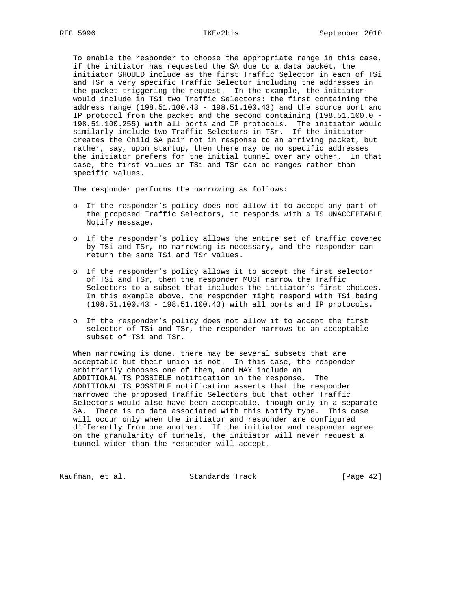To enable the responder to choose the appropriate range in this case, if the initiator has requested the SA due to a data packet, the initiator SHOULD include as the first Traffic Selector in each of TSi and TSr a very specific Traffic Selector including the addresses in the packet triggering the request. In the example, the initiator would include in TSi two Traffic Selectors: the first containing the address range (198.51.100.43 - 198.51.100.43) and the source port and IP protocol from the packet and the second containing (198.51.100.0 - 198.51.100.255) with all ports and IP protocols. The initiator would similarly include two Traffic Selectors in TSr. If the initiator creates the Child SA pair not in response to an arriving packet, but rather, say, upon startup, then there may be no specific addresses the initiator prefers for the initial tunnel over any other. In that case, the first values in TSi and TSr can be ranges rather than specific values.

The responder performs the narrowing as follows:

- o If the responder's policy does not allow it to accept any part of the proposed Traffic Selectors, it responds with a TS\_UNACCEPTABLE Notify message.
- o If the responder's policy allows the entire set of traffic covered by TSi and TSr, no narrowing is necessary, and the responder can return the same TSi and TSr values.
- o If the responder's policy allows it to accept the first selector of TSi and TSr, then the responder MUST narrow the Traffic Selectors to a subset that includes the initiator's first choices. In this example above, the responder might respond with TSi being (198.51.100.43 - 198.51.100.43) with all ports and IP protocols.
- o If the responder's policy does not allow it to accept the first selector of TSi and TSr, the responder narrows to an acceptable subset of TSi and TSr.

 When narrowing is done, there may be several subsets that are acceptable but their union is not. In this case, the responder arbitrarily chooses one of them, and MAY include an ADDITIONAL\_TS\_POSSIBLE notification in the response. The ADDITIONAL\_TS\_POSSIBLE notification asserts that the responder narrowed the proposed Traffic Selectors but that other Traffic Selectors would also have been acceptable, though only in a separate SA. There is no data associated with this Notify type. This case will occur only when the initiator and responder are configured differently from one another. If the initiator and responder agree on the granularity of tunnels, the initiator will never request a tunnel wider than the responder will accept.

Kaufman, et al. Standards Track [Page 42]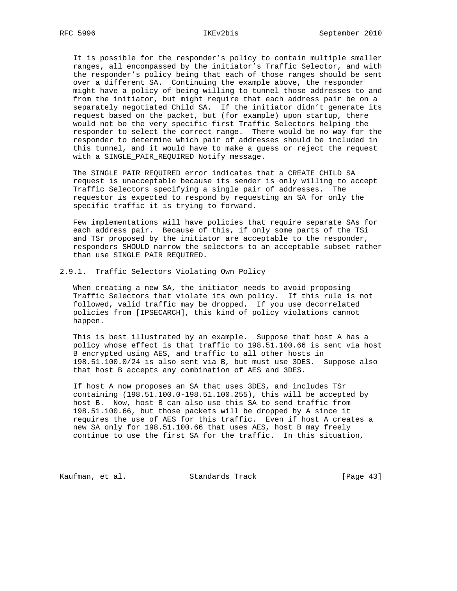It is possible for the responder's policy to contain multiple smaller ranges, all encompassed by the initiator's Traffic Selector, and with the responder's policy being that each of those ranges should be sent over a different SA. Continuing the example above, the responder might have a policy of being willing to tunnel those addresses to and from the initiator, but might require that each address pair be on a separately negotiated Child SA. If the initiator didn't generate its request based on the packet, but (for example) upon startup, there would not be the very specific first Traffic Selectors helping the responder to select the correct range. There would be no way for the responder to determine which pair of addresses should be included in this tunnel, and it would have to make a guess or reject the request with a SINGLE\_PAIR\_REQUIRED Notify message.

 The SINGLE\_PAIR\_REQUIRED error indicates that a CREATE\_CHILD\_SA request is unacceptable because its sender is only willing to accept Traffic Selectors specifying a single pair of addresses. The requestor is expected to respond by requesting an SA for only the specific traffic it is trying to forward.

 Few implementations will have policies that require separate SAs for each address pair. Because of this, if only some parts of the TSi and TSr proposed by the initiator are acceptable to the responder, responders SHOULD narrow the selectors to an acceptable subset rather than use SINGLE\_PAIR\_REQUIRED.

### 2.9.1. Traffic Selectors Violating Own Policy

 When creating a new SA, the initiator needs to avoid proposing Traffic Selectors that violate its own policy. If this rule is not followed, valid traffic may be dropped. If you use decorrelated policies from [IPSECARCH], this kind of policy violations cannot happen.

 This is best illustrated by an example. Suppose that host A has a policy whose effect is that traffic to 198.51.100.66 is sent via host B encrypted using AES, and traffic to all other hosts in 198.51.100.0/24 is also sent via B, but must use 3DES. Suppose also that host B accepts any combination of AES and 3DES.

 If host A now proposes an SA that uses 3DES, and includes TSr containing (198.51.100.0-198.51.100.255), this will be accepted by host B. Now, host B can also use this SA to send traffic from 198.51.100.66, but those packets will be dropped by A since it requires the use of AES for this traffic. Even if host A creates a new SA only for 198.51.100.66 that uses AES, host B may freely continue to use the first SA for the traffic. In this situation,

Kaufman, et al. Standards Track [Page 43]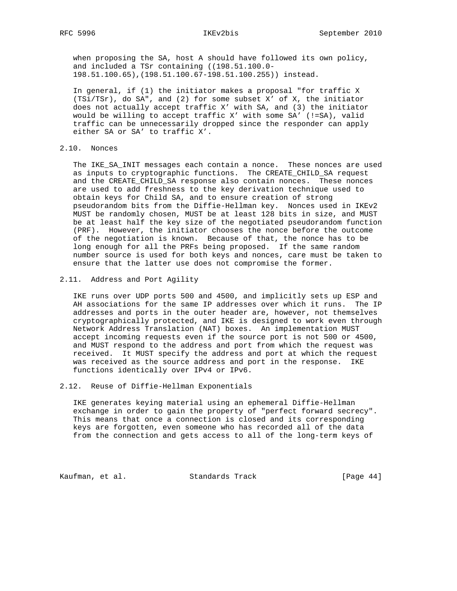when proposing the SA, host A should have followed its own policy, and included a TSr containing ((198.51.100.0- 198.51.100.65),(198.51.100.67-198.51.100.255)) instead.

 In general, if (1) the initiator makes a proposal "for traffic X (TSi/TSr), do SA", and (2) for some subset X' of X, the initiator does not actually accept traffic X' with SA, and (3) the initiator would be willing to accept traffic X' with some SA' (!=SA), valid traffic can be unnecessarily dropped since the responder can apply either SA or SA' to traffic X'.

# 2.10. Nonces

 The IKE\_SA\_INIT messages each contain a nonce. These nonces are used as inputs to cryptographic functions. The CREATE\_CHILD\_SA request and the CREATE\_CHILD\_SA response also contain nonces. These nonces are used to add freshness to the key derivation technique used to obtain keys for Child SA, and to ensure creation of strong pseudorandom bits from the Diffie-Hellman key. Nonces used in IKEv2 MUST be randomly chosen, MUST be at least 128 bits in size, and MUST be at least half the key size of the negotiated pseudorandom function (PRF). However, the initiator chooses the nonce before the outcome of the negotiation is known. Because of that, the nonce has to be long enough for all the PRFs being proposed. If the same random number source is used for both keys and nonces, care must be taken to ensure that the latter use does not compromise the former.

2.11. Address and Port Agility

 IKE runs over UDP ports 500 and 4500, and implicitly sets up ESP and AH associations for the same IP addresses over which it runs. The IP addresses and ports in the outer header are, however, not themselves cryptographically protected, and IKE is designed to work even through Network Address Translation (NAT) boxes. An implementation MUST accept incoming requests even if the source port is not 500 or 4500, and MUST respond to the address and port from which the request was received. It MUST specify the address and port at which the request was received as the source address and port in the response. IKE functions identically over IPv4 or IPv6.

### 2.12. Reuse of Diffie-Hellman Exponentials

 IKE generates keying material using an ephemeral Diffie-Hellman exchange in order to gain the property of "perfect forward secrecy". This means that once a connection is closed and its corresponding keys are forgotten, even someone who has recorded all of the data from the connection and gets access to all of the long-term keys of

Kaufman, et al. Standards Track [Page 44]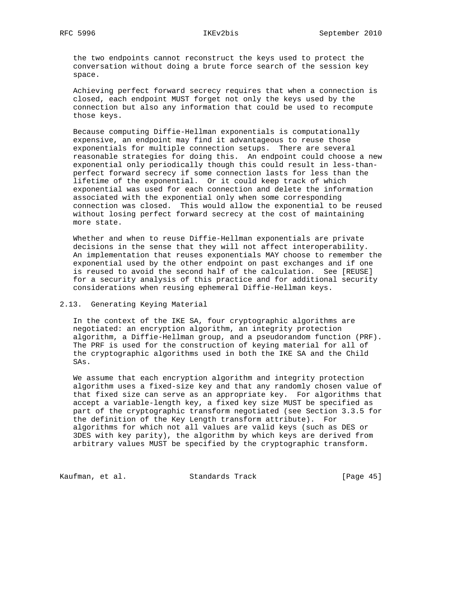# RFC 5996 IKEv2bis September 2010

 the two endpoints cannot reconstruct the keys used to protect the conversation without doing a brute force search of the session key space.

 Achieving perfect forward secrecy requires that when a connection is closed, each endpoint MUST forget not only the keys used by the connection but also any information that could be used to recompute those keys.

 Because computing Diffie-Hellman exponentials is computationally expensive, an endpoint may find it advantageous to reuse those exponentials for multiple connection setups. There are several reasonable strategies for doing this. An endpoint could choose a new exponential only periodically though this could result in less-than perfect forward secrecy if some connection lasts for less than the lifetime of the exponential. Or it could keep track of which exponential was used for each connection and delete the information associated with the exponential only when some corresponding connection was closed. This would allow the exponential to be reused without losing perfect forward secrecy at the cost of maintaining more state.

 Whether and when to reuse Diffie-Hellman exponentials are private decisions in the sense that they will not affect interoperability. An implementation that reuses exponentials MAY choose to remember the exponential used by the other endpoint on past exchanges and if one is reused to avoid the second half of the calculation. See [REUSE] for a security analysis of this practice and for additional security considerations when reusing ephemeral Diffie-Hellman keys.

## 2.13. Generating Keying Material

 In the context of the IKE SA, four cryptographic algorithms are negotiated: an encryption algorithm, an integrity protection algorithm, a Diffie-Hellman group, and a pseudorandom function (PRF). The PRF is used for the construction of keying material for all of the cryptographic algorithms used in both the IKE SA and the Child SAs.

 We assume that each encryption algorithm and integrity protection algorithm uses a fixed-size key and that any randomly chosen value of that fixed size can serve as an appropriate key. For algorithms that accept a variable-length key, a fixed key size MUST be specified as part of the cryptographic transform negotiated (see Section 3.3.5 for the definition of the Key Length transform attribute). For algorithms for which not all values are valid keys (such as DES or 3DES with key parity), the algorithm by which keys are derived from arbitrary values MUST be specified by the cryptographic transform.

Kaufman, et al. Standards Track [Page 45]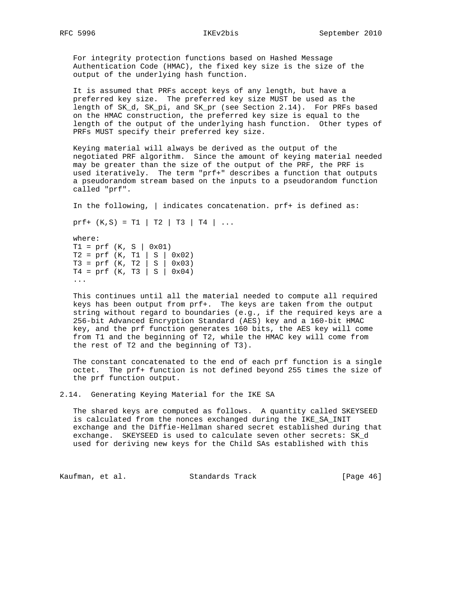For integrity protection functions based on Hashed Message Authentication Code (HMAC), the fixed key size is the size of the output of the underlying hash function.

 It is assumed that PRFs accept keys of any length, but have a preferred key size. The preferred key size MUST be used as the length of SK\_d, SK\_pi, and SK\_pr (see Section 2.14). For PRFs based on the HMAC construction, the preferred key size is equal to the length of the output of the underlying hash function. Other types of PRFs MUST specify their preferred key size.

 Keying material will always be derived as the output of the negotiated PRF algorithm. Since the amount of keying material needed may be greater than the size of the output of the PRF, the PRF is used iteratively. The term "prf+" describes a function that outputs a pseudorandom stream based on the inputs to a pseudorandom function called "prf".

In the following, | indicates concatenation. prf+ is defined as:

prf+  $(K, S) = T1 | T2 | T3 | T4 | ...$ 

 where:  $T1 = prf (K, S | 0x01)$  $T2 = prf (K, T1 | S | 0x02)$  T3 = prf (K, T2 | S | 0x03) T4 = prf (K, T3 | S | 0x04) ...

 This continues until all the material needed to compute all required keys has been output from prf+. The keys are taken from the output string without regard to boundaries (e.g., if the required keys are a 256-bit Advanced Encryption Standard (AES) key and a 160-bit HMAC key, and the prf function generates 160 bits, the AES key will come from T1 and the beginning of T2, while the HMAC key will come from the rest of T2 and the beginning of T3).

 The constant concatenated to the end of each prf function is a single octet. The prf+ function is not defined beyond 255 times the size of the prf function output.

2.14. Generating Keying Material for the IKE SA

 The shared keys are computed as follows. A quantity called SKEYSEED is calculated from the nonces exchanged during the IKE\_SA\_INIT exchange and the Diffie-Hellman shared secret established during that exchange. SKEYSEED is used to calculate seven other secrets: SK\_d used for deriving new keys for the Child SAs established with this

Kaufman, et al. Standards Track [Page 46]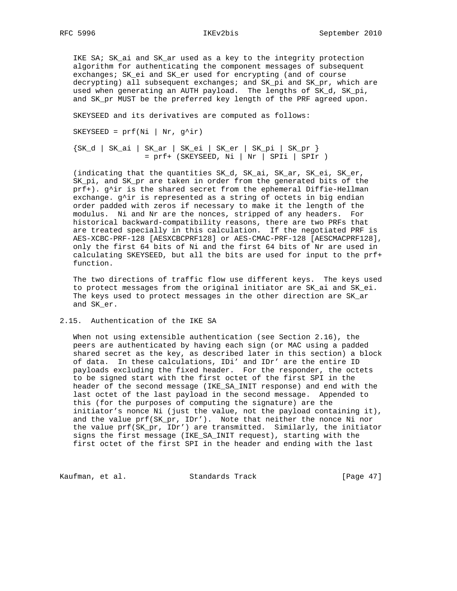IKE SA; SK\_ai and SK\_ar used as a key to the integrity protection algorithm for authenticating the component messages of subsequent exchanges; SK\_ei and SK\_er used for encrypting (and of course decrypting) all subsequent exchanges; and SK\_pi and SK\_pr, which are used when generating an AUTH payload. The lengths of SK\_d, SK\_pi, and SK\_pr MUST be the preferred key length of the PRF agreed upon.

SKEYSEED and its derivatives are computed as follows:

SKEYSEED =  $prf(Ni | Nr, g^i)r)$ 

 {SK\_d | SK\_ai | SK\_ar | SK\_ei | SK\_er | SK\_pi | SK\_pr } = prf+ (SKEYSEED, Ni | Nr | SPIi | SPIr )

 (indicating that the quantities SK\_d, SK\_ai, SK\_ar, SK\_ei, SK\_er, SK\_pi, and SK\_pr are taken in order from the generated bits of the prf+). g^ir is the shared secret from the ephemeral Diffie-Hellman exchange.  $g^{\lambda}$ ir is represented as a string of octets in big endian order padded with zeros if necessary to make it the length of the modulus. Ni and Nr are the nonces, stripped of any headers. For historical backward-compatibility reasons, there are two PRFs that are treated specially in this calculation. If the negotiated PRF is AES-XCBC-PRF-128 [AESXCBCPRF128] or AES-CMAC-PRF-128 [AESCMACPRF128], only the first 64 bits of Ni and the first 64 bits of Nr are used in calculating SKEYSEED, but all the bits are used for input to the prf+ function.

 The two directions of traffic flow use different keys. The keys used to protect messages from the original initiator are SK\_ai and SK\_ei. The keys used to protect messages in the other direction are SK\_ar and SK\_er.

2.15. Authentication of the IKE SA

 When not using extensible authentication (see Section 2.16), the peers are authenticated by having each sign (or MAC using a padded shared secret as the key, as described later in this section) a block of data. In these calculations, IDi' and IDr' are the entire ID payloads excluding the fixed header. For the responder, the octets to be signed start with the first octet of the first SPI in the header of the second message (IKE\_SA\_INIT response) and end with the last octet of the last payload in the second message. Appended to this (for the purposes of computing the signature) are the initiator's nonce Ni (just the value, not the payload containing it), and the value prf(SK\_pr, IDr'). Note that neither the nonce Ni nor the value prf(SK\_pr, IDr') are transmitted. Similarly, the initiator signs the first message (IKE\_SA\_INIT request), starting with the first octet of the first SPI in the header and ending with the last

Kaufman, et al. Standards Track [Page 47]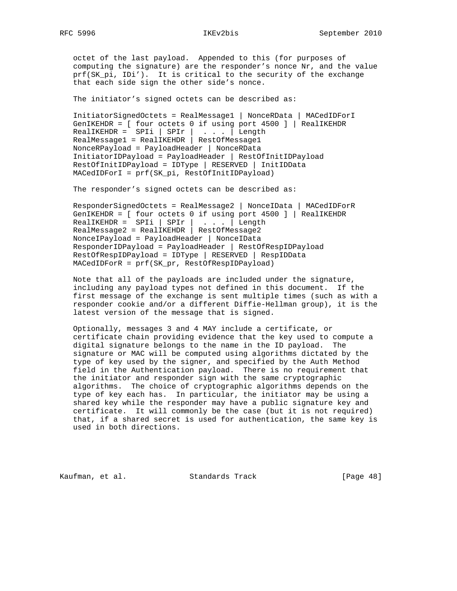octet of the last payload. Appended to this (for purposes of computing the signature) are the responder's nonce Nr, and the value prf(SK\_pi, IDi'). It is critical to the security of the exchange that each side sign the other side's nonce.

The initiator's signed octets can be described as:

 InitiatorSignedOctets = RealMessage1 | NonceRData | MACedIDForI GenIKEHDR = [ four octets 0 if using port 4500 ] | RealIKEHDR  $RealIKEHDR = SPIi | SPIr | ... | Length$  RealMessage1 = RealIKEHDR | RestOfMessage1 NonceRPayload = PayloadHeader | NonceRData InitiatorIDPayload = PayloadHeader | RestOfInitIDPayload RestOfInitIDPayload = IDType | RESERVED | InitIDData MACedIDForI = prf(SK\_pi, RestOfInitIDPayload)

The responder's signed octets can be described as:

 ResponderSignedOctets = RealMessage2 | NonceIData | MACedIDForR GenIKEHDR = [ four octets 0 if using port 4500 ] | RealIKEHDR RealIKEHDR = SPIi | SPIr | . . . | Length RealMessage2 = RealIKEHDR | RestOfMessage2 NonceIPayload = PayloadHeader | NonceIData ResponderIDPayload = PayloadHeader | RestOfRespIDPayload RestOfRespIDPayload = IDType | RESERVED | RespIDData MACedIDForR = prf(SK\_pr, RestOfRespIDPayload)

 Note that all of the payloads are included under the signature, including any payload types not defined in this document. If the first message of the exchange is sent multiple times (such as with a responder cookie and/or a different Diffie-Hellman group), it is the latest version of the message that is signed.

 Optionally, messages 3 and 4 MAY include a certificate, or certificate chain providing evidence that the key used to compute a digital signature belongs to the name in the ID payload. The signature or MAC will be computed using algorithms dictated by the type of key used by the signer, and specified by the Auth Method field in the Authentication payload. There is no requirement that the initiator and responder sign with the same cryptographic algorithms. The choice of cryptographic algorithms depends on the type of key each has. In particular, the initiator may be using a shared key while the responder may have a public signature key and certificate. It will commonly be the case (but it is not required) that, if a shared secret is used for authentication, the same key is used in both directions.

Kaufman, et al. Standards Track [Page 48]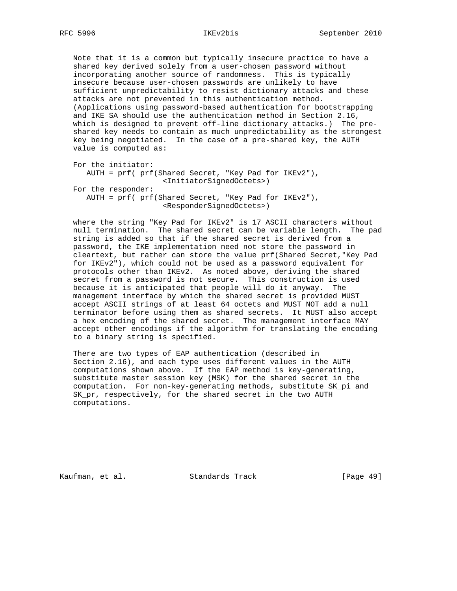Note that it is a common but typically insecure practice to have a shared key derived solely from a user-chosen password without incorporating another source of randomness. This is typically insecure because user-chosen passwords are unlikely to have sufficient unpredictability to resist dictionary attacks and these attacks are not prevented in this authentication method. (Applications using password-based authentication for bootstrapping and IKE SA should use the authentication method in Section 2.16, which is designed to prevent off-line dictionary attacks.) The pre shared key needs to contain as much unpredictability as the strongest key being negotiated. In the case of a pre-shared key, the AUTH value is computed as:

```
 For the initiator:
   AUTH = prf( prf(Shared Secret, "Key Pad for IKEv2"),
                    <InitiatorSignedOctets>)
For the responder:
  AUTH = prf( prf(Shared Secret, "Key Pad for IKEv2"),
                    <ResponderSignedOctets>)
```
 where the string "Key Pad for IKEv2" is 17 ASCII characters without null termination. The shared secret can be variable length. The pad string is added so that if the shared secret is derived from a password, the IKE implementation need not store the password in cleartext, but rather can store the value prf(Shared Secret,"Key Pad for IKEv2"), which could not be used as a password equivalent for protocols other than IKEv2. As noted above, deriving the shared secret from a password is not secure. This construction is used because it is anticipated that people will do it anyway. The management interface by which the shared secret is provided MUST accept ASCII strings of at least 64 octets and MUST NOT add a null terminator before using them as shared secrets. It MUST also accept a hex encoding of the shared secret. The management interface MAY accept other encodings if the algorithm for translating the encoding to a binary string is specified.

 There are two types of EAP authentication (described in Section 2.16), and each type uses different values in the AUTH computations shown above. If the EAP method is key-generating, substitute master session key (MSK) for the shared secret in the computation. For non-key-generating methods, substitute SK\_pi and SK\_pr, respectively, for the shared secret in the two AUTH computations.

Kaufman, et al. Standards Track [Page 49]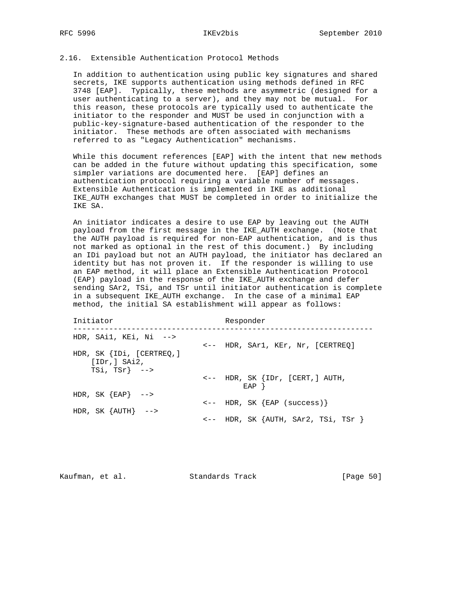### 2.16. Extensible Authentication Protocol Methods

 In addition to authentication using public key signatures and shared secrets, IKE supports authentication using methods defined in RFC 3748 [EAP]. Typically, these methods are asymmetric (designed for a user authenticating to a server), and they may not be mutual. For this reason, these protocols are typically used to authenticate the initiator to the responder and MUST be used in conjunction with a public-key-signature-based authentication of the responder to the initiator. These methods are often associated with mechanisms referred to as "Legacy Authentication" mechanisms.

 While this document references [EAP] with the intent that new methods can be added in the future without updating this specification, some simpler variations are documented here. [EAP] defines an authentication protocol requiring a variable number of messages. Extensible Authentication is implemented in IKE as additional IKE\_AUTH exchanges that MUST be completed in order to initialize the IKE SA.

 An initiator indicates a desire to use EAP by leaving out the AUTH payload from the first message in the IKE\_AUTH exchange. (Note that the AUTH payload is required for non-EAP authentication, and is thus not marked as optional in the rest of this document.) By including an IDi payload but not an AUTH payload, the initiator has declared an identity but has not proven it. If the responder is willing to use an EAP method, it will place an Extensible Authentication Protocol (EAP) payload in the response of the IKE\_AUTH exchange and defer sending SAr2, TSi, and TSr until initiator authentication is complete in a subsequent IKE\_AUTH exchange. In the case of a minimal EAP method, the initial SA establishment will appear as follows:

| Initiator                                                         | Responder                                             |
|-------------------------------------------------------------------|-------------------------------------------------------|
| HDR, SAil, KEi, Ni $\rightarrow$                                  | <-- HDR, SAr1, KEr, Nr, [CERTREQ]                     |
| HDR, SK $\{IDi, [CERTREQ, ]$<br>[IDr, ] Shi2,<br>$TSi, TSr$ } --> |                                                       |
|                                                                   | $\leftarrow$ HDR, SK $\{IDr, [CERT, ] AUTH,$<br>EAP } |
| HDR, SK ${EBAP}$ -->                                              | $\leftarrow$ HDR, SK $\{EAP \text{ (success)}\}$      |
| HDR, SK $\{AUTH\}$ -->                                            | $\leftarrow$ HDR, SK $\{$ AUTH, SAr2, TSi, TSr $\}$   |

Kaufman, et al. Standards Track [Page 50]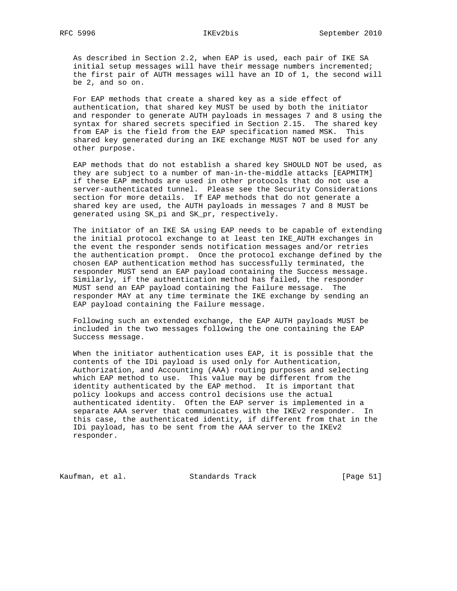As described in Section 2.2, when EAP is used, each pair of IKE SA initial setup messages will have their message numbers incremented; the first pair of AUTH messages will have an ID of 1, the second will be 2, and so on.

 For EAP methods that create a shared key as a side effect of authentication, that shared key MUST be used by both the initiator and responder to generate AUTH payloads in messages 7 and 8 using the syntax for shared secrets specified in Section 2.15. The shared key from EAP is the field from the EAP specification named MSK. This shared key generated during an IKE exchange MUST NOT be used for any other purpose.

 EAP methods that do not establish a shared key SHOULD NOT be used, as they are subject to a number of man-in-the-middle attacks [EAPMITM] if these EAP methods are used in other protocols that do not use a server-authenticated tunnel. Please see the Security Considerations section for more details. If EAP methods that do not generate a shared key are used, the AUTH payloads in messages 7 and 8 MUST be generated using SK\_pi and SK\_pr, respectively.

 The initiator of an IKE SA using EAP needs to be capable of extending the initial protocol exchange to at least ten IKE\_AUTH exchanges in the event the responder sends notification messages and/or retries the authentication prompt. Once the protocol exchange defined by the chosen EAP authentication method has successfully terminated, the responder MUST send an EAP payload containing the Success message. Similarly, if the authentication method has failed, the responder MUST send an EAP payload containing the Failure message. The responder MAY at any time terminate the IKE exchange by sending an EAP payload containing the Failure message.

 Following such an extended exchange, the EAP AUTH payloads MUST be included in the two messages following the one containing the EAP Success message.

 When the initiator authentication uses EAP, it is possible that the contents of the IDi payload is used only for Authentication, Authorization, and Accounting (AAA) routing purposes and selecting which EAP method to use. This value may be different from the identity authenticated by the EAP method. It is important that policy lookups and access control decisions use the actual authenticated identity. Often the EAP server is implemented in a separate AAA server that communicates with the IKEv2 responder. In this case, the authenticated identity, if different from that in the IDi payload, has to be sent from the AAA server to the IKEv2 responder.

Kaufman, et al. Standards Track [Page 51]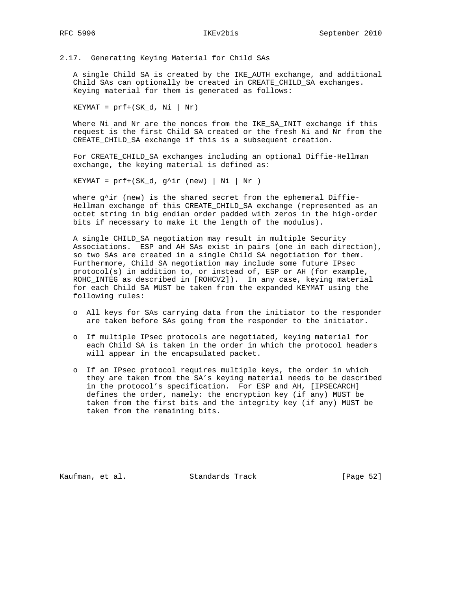2.17. Generating Keying Material for Child SAs

 A single Child SA is created by the IKE\_AUTH exchange, and additional Child SAs can optionally be created in CREATE\_CHILD\_SA exchanges. Keying material for them is generated as follows:

 $KEYMAT = prf + (SK_d, Ni | Nr)$ 

 Where Ni and Nr are the nonces from the IKE\_SA\_INIT exchange if this request is the first Child SA created or the fresh Ni and Nr from the CREATE\_CHILD\_SA exchange if this is a subsequent creation.

 For CREATE\_CHILD\_SA exchanges including an optional Diffie-Hellman exchange, the keying material is defined as:

KEYMAT =  $prf+(SK_d, g^ir (new) | Ni | Nr)$ 

where  $g^{\wedge}$ ir (new) is the shared secret from the ephemeral Diffie- Hellman exchange of this CREATE\_CHILD\_SA exchange (represented as an octet string in big endian order padded with zeros in the high-order bits if necessary to make it the length of the modulus).

 A single CHILD\_SA negotiation may result in multiple Security Associations. ESP and AH SAs exist in pairs (one in each direction), so two SAs are created in a single Child SA negotiation for them. Furthermore, Child SA negotiation may include some future IPsec protocol(s) in addition to, or instead of, ESP or AH (for example, ROHC\_INTEG as described in [ROHCV2]). In any case, keying material for each Child SA MUST be taken from the expanded KEYMAT using the following rules:

- o All keys for SAs carrying data from the initiator to the responder are taken before SAs going from the responder to the initiator.
- o If multiple IPsec protocols are negotiated, keying material for each Child SA is taken in the order in which the protocol headers will appear in the encapsulated packet.
- o If an IPsec protocol requires multiple keys, the order in which they are taken from the SA's keying material needs to be described in the protocol's specification. For ESP and AH, [IPSECARCH] defines the order, namely: the encryption key (if any) MUST be taken from the first bits and the integrity key (if any) MUST be taken from the remaining bits.

Kaufman, et al. Standards Track [Page 52]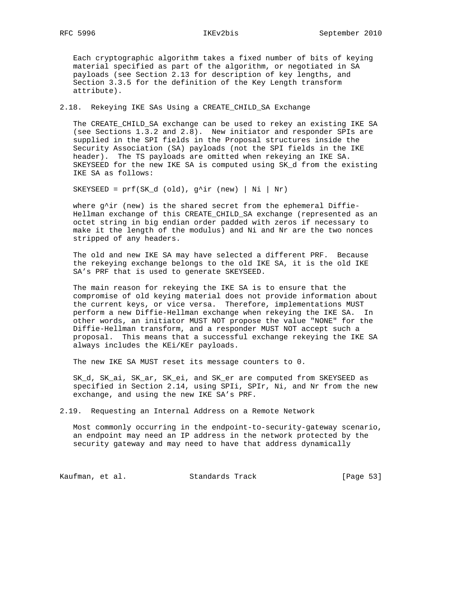Each cryptographic algorithm takes a fixed number of bits of keying material specified as part of the algorithm, or negotiated in SA payloads (see Section 2.13 for description of key lengths, and Section 3.3.5 for the definition of the Key Length transform attribute).

# 2.18. Rekeying IKE SAs Using a CREATE\_CHILD\_SA Exchange

 The CREATE\_CHILD\_SA exchange can be used to rekey an existing IKE SA (see Sections 1.3.2 and 2.8). New initiator and responder SPIs are supplied in the SPI fields in the Proposal structures inside the Security Association (SA) payloads (not the SPI fields in the IKE header). The TS payloads are omitted when rekeying an IKE SA. SKEYSEED for the new IKE SA is computed using SK\_d from the existing IKE SA as follows:

SKEYSEED =  $prf(SK_d (old), g^ir (new) | Ni | Nr)$ 

where g^ir (new) is the shared secret from the ephemeral Diffie- Hellman exchange of this CREATE\_CHILD\_SA exchange (represented as an octet string in big endian order padded with zeros if necessary to make it the length of the modulus) and Ni and Nr are the two nonces stripped of any headers.

 The old and new IKE SA may have selected a different PRF. Because the rekeying exchange belongs to the old IKE SA, it is the old IKE SA's PRF that is used to generate SKEYSEED.

 The main reason for rekeying the IKE SA is to ensure that the compromise of old keying material does not provide information about the current keys, or vice versa. Therefore, implementations MUST perform a new Diffie-Hellman exchange when rekeying the IKE SA. In other words, an initiator MUST NOT propose the value "NONE" for the Diffie-Hellman transform, and a responder MUST NOT accept such a proposal. This means that a successful exchange rekeying the IKE SA always includes the KEi/KEr payloads.

The new IKE SA MUST reset its message counters to 0.

 SK\_d, SK\_ai, SK\_ar, SK\_ei, and SK\_er are computed from SKEYSEED as specified in Section 2.14, using SPIi, SPIr, Ni, and Nr from the new exchange, and using the new IKE SA's PRF.

2.19. Requesting an Internal Address on a Remote Network

 Most commonly occurring in the endpoint-to-security-gateway scenario, an endpoint may need an IP address in the network protected by the security gateway and may need to have that address dynamically

Kaufman, et al. Standards Track [Page 53]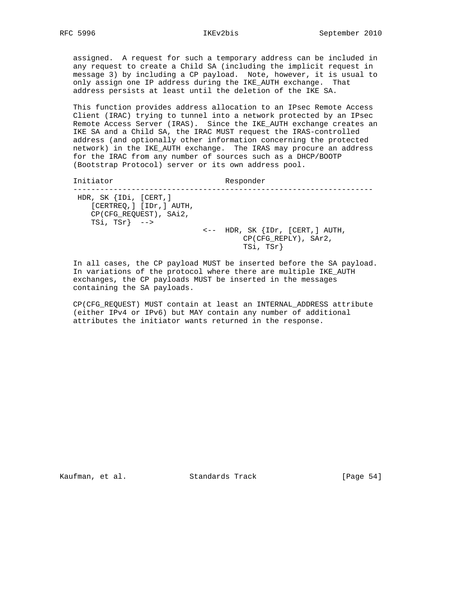assigned. A request for such a temporary address can be included in any request to create a Child SA (including the implicit request in message 3) by including a CP payload. Note, however, it is usual to only assign one IP address during the IKE\_AUTH exchange. That address persists at least until the deletion of the IKE SA.

 This function provides address allocation to an IPsec Remote Access Client (IRAC) trying to tunnel into a network protected by an IPsec Remote Access Server (IRAS). Since the IKE\_AUTH exchange creates an IKE SA and a Child SA, the IRAC MUST request the IRAS-controlled address (and optionally other information concerning the protected network) in the IKE\_AUTH exchange. The IRAS may procure an address for the IRAC from any number of sources such as a DHCP/BOOTP (Bootstrap Protocol) server or its own address pool.

| Initiator                                                                                                  | Responder                                                                          |
|------------------------------------------------------------------------------------------------------------|------------------------------------------------------------------------------------|
| HDR, SK $\{IDi, [CERT, ]$<br>[CERTREQ, ] [IDr, ] AUTH,<br>CP(CFG REOUEST), SAi2,<br>TSi, TSr} $\leftarrow$ | $\leftarrow$ - HDR, SK $\{IDr, [CERT,] AUTH,$<br>CP(CFG_REPLY), SAr2,<br>TSi, TSr} |

 In all cases, the CP payload MUST be inserted before the SA payload. In variations of the protocol where there are multiple IKE\_AUTH exchanges, the CP payloads MUST be inserted in the messages containing the SA payloads.

 CP(CFG\_REQUEST) MUST contain at least an INTERNAL\_ADDRESS attribute (either IPv4 or IPv6) but MAY contain any number of additional attributes the initiator wants returned in the response.

Kaufman, et al. Standards Track [Page 54]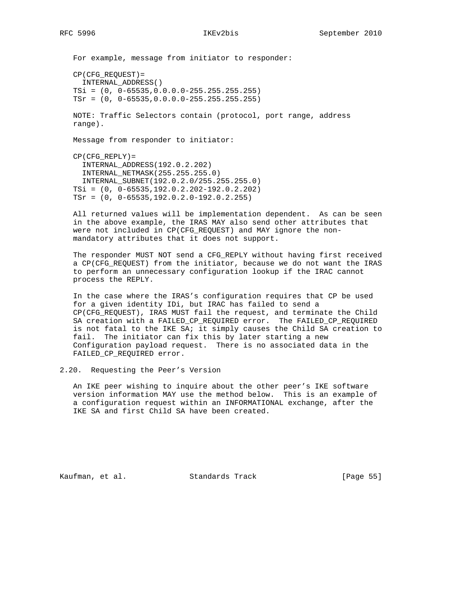For example, message from initiator to responder: CP(CFG\_REQUEST)= INTERNAL\_ADDRESS() TSi = (0, 0-65535,0.0.0.0-255.255.255.255) TSr = (0, 0-65535,0.0.0.0-255.255.255.255) NOTE: Traffic Selectors contain (protocol, port range, address range). Message from responder to initiator: CP(CFG\_REPLY)= INTERNAL\_ADDRESS(192.0.2.202) INTERNAL\_NETMASK(255.255.255.0) INTERNAL\_SUBNET(192.0.2.0/255.255.255.0)

 TSi = (0, 0-65535,192.0.2.202-192.0.2.202) TSr = (0, 0-65535,192.0.2.0-192.0.2.255)

 All returned values will be implementation dependent. As can be seen in the above example, the IRAS MAY also send other attributes that were not included in CP(CFG\_REQUEST) and MAY ignore the non mandatory attributes that it does not support.

 The responder MUST NOT send a CFG\_REPLY without having first received a CP(CFG\_REQUEST) from the initiator, because we do not want the IRAS to perform an unnecessary configuration lookup if the IRAC cannot process the REPLY.

 In the case where the IRAS's configuration requires that CP be used for a given identity IDi, but IRAC has failed to send a CP(CFG\_REQUEST), IRAS MUST fail the request, and terminate the Child SA creation with a FAILED\_CP\_REQUIRED error. The FAILED\_CP\_REQUIRED is not fatal to the IKE SA; it simply causes the Child SA creation to fail. The initiator can fix this by later starting a new Configuration payload request. There is no associated data in the FAILED\_CP\_REQUIRED error.

2.20. Requesting the Peer's Version

 An IKE peer wishing to inquire about the other peer's IKE software version information MAY use the method below. This is an example of a configuration request within an INFORMATIONAL exchange, after the IKE SA and first Child SA have been created.

Kaufman, et al. Standards Track [Page 55]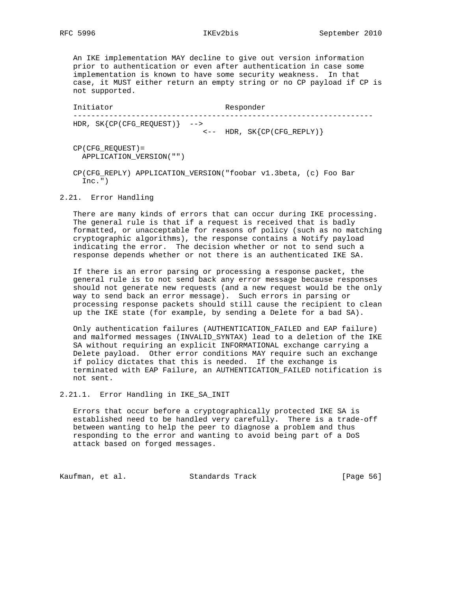An IKE implementation MAY decline to give out version information prior to authentication or even after authentication in case some implementation is known to have some security weakness. In that case, it MUST either return an empty string or no CP payload if CP is not supported.

Initiator Responder ------------------------------------------------------------------- HDR, SK{CP(CFG\_REQUEST)} --> <-- HDR, SK{CP(CFG\_REPLY)}

 CP(CFG\_REQUEST)= APPLICATION\_VERSION("")

 CP(CFG\_REPLY) APPLICATION\_VERSION("foobar v1.3beta, (c) Foo Bar  $Inc.")$ 

2.21. Error Handling

 There are many kinds of errors that can occur during IKE processing. The general rule is that if a request is received that is badly formatted, or unacceptable for reasons of policy (such as no matching cryptographic algorithms), the response contains a Notify payload indicating the error. The decision whether or not to send such a response depends whether or not there is an authenticated IKE SA.

 If there is an error parsing or processing a response packet, the general rule is to not send back any error message because responses should not generate new requests (and a new request would be the only way to send back an error message). Such errors in parsing or processing response packets should still cause the recipient to clean up the IKE state (for example, by sending a Delete for a bad SA).

 Only authentication failures (AUTHENTICATION\_FAILED and EAP failure) and malformed messages (INVALID\_SYNTAX) lead to a deletion of the IKE SA without requiring an explicit INFORMATIONAL exchange carrying a Delete payload. Other error conditions MAY require such an exchange if policy dictates that this is needed. If the exchange is terminated with EAP Failure, an AUTHENTICATION\_FAILED notification is not sent.

2.21.1. Error Handling in IKE\_SA\_INIT

 Errors that occur before a cryptographically protected IKE SA is established need to be handled very carefully. There is a trade-off between wanting to help the peer to diagnose a problem and thus responding to the error and wanting to avoid being part of a DoS attack based on forged messages.

Kaufman, et al. Standards Track [Page 56]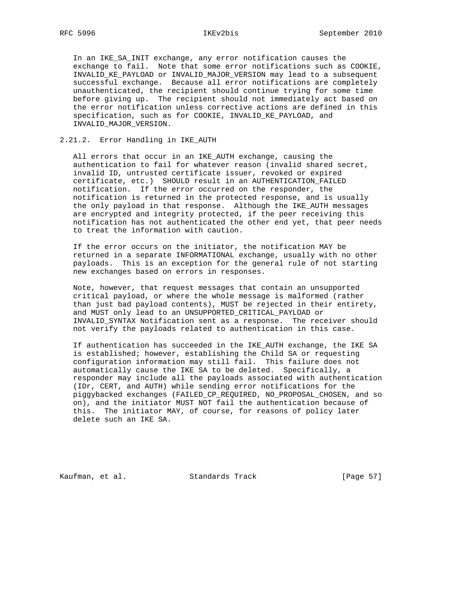In an IKE\_SA\_INIT exchange, any error notification causes the exchange to fail. Note that some error notifications such as COOKIE, INVALID\_KE\_PAYLOAD or INVALID\_MAJOR\_VERSION may lead to a subsequent successful exchange. Because all error notifications are completely unauthenticated, the recipient should continue trying for some time before giving up. The recipient should not immediately act based on the error notification unless corrective actions are defined in this specification, such as for COOKIE, INVALID\_KE\_PAYLOAD, and INVALID\_MAJOR\_VERSION.

# 2.21.2. Error Handling in IKE\_AUTH

 All errors that occur in an IKE\_AUTH exchange, causing the authentication to fail for whatever reason (invalid shared secret, invalid ID, untrusted certificate issuer, revoked or expired certificate, etc.) SHOULD result in an AUTHENTICATION\_FAILED notification. If the error occurred on the responder, the notification is returned in the protected response, and is usually the only payload in that response. Although the IKE\_AUTH messages are encrypted and integrity protected, if the peer receiving this notification has not authenticated the other end yet, that peer needs to treat the information with caution.

 If the error occurs on the initiator, the notification MAY be returned in a separate INFORMATIONAL exchange, usually with no other payloads. This is an exception for the general rule of not starting new exchanges based on errors in responses.

 Note, however, that request messages that contain an unsupported critical payload, or where the whole message is malformed (rather than just bad payload contents), MUST be rejected in their entirety, and MUST only lead to an UNSUPPORTED\_CRITICAL\_PAYLOAD or INVALID\_SYNTAX Notification sent as a response. The receiver should not verify the payloads related to authentication in this case.

 If authentication has succeeded in the IKE\_AUTH exchange, the IKE SA is established; however, establishing the Child SA or requesting configuration information may still fail. This failure does not automatically cause the IKE SA to be deleted. Specifically, a responder may include all the payloads associated with authentication (IDr, CERT, and AUTH) while sending error notifications for the piggybacked exchanges (FAILED\_CP\_REQUIRED, NO\_PROPOSAL\_CHOSEN, and so on), and the initiator MUST NOT fail the authentication because of this. The initiator MAY, of course, for reasons of policy later delete such an IKE SA.

Kaufman, et al. Standards Track [Page 57]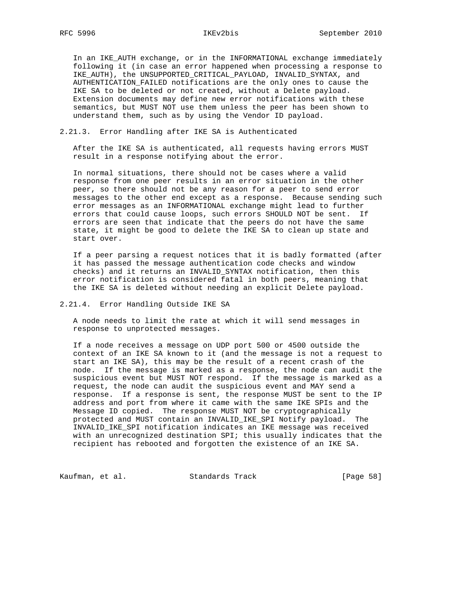In an IKE\_AUTH exchange, or in the INFORMATIONAL exchange immediately following it (in case an error happened when processing a response to IKE\_AUTH), the UNSUPPORTED\_CRITICAL\_PAYLOAD, INVALID\_SYNTAX, and AUTHENTICATION\_FAILED notifications are the only ones to cause the IKE SA to be deleted or not created, without a Delete payload. Extension documents may define new error notifications with these semantics, but MUST NOT use them unless the peer has been shown to understand them, such as by using the Vendor ID payload.

# 2.21.3. Error Handling after IKE SA is Authenticated

 After the IKE SA is authenticated, all requests having errors MUST result in a response notifying about the error.

 In normal situations, there should not be cases where a valid response from one peer results in an error situation in the other peer, so there should not be any reason for a peer to send error messages to the other end except as a response. Because sending such error messages as an INFORMATIONAL exchange might lead to further errors that could cause loops, such errors SHOULD NOT be sent. If errors are seen that indicate that the peers do not have the same state, it might be good to delete the IKE SA to clean up state and start over.

 If a peer parsing a request notices that it is badly formatted (after it has passed the message authentication code checks and window checks) and it returns an INVALID\_SYNTAX notification, then this error notification is considered fatal in both peers, meaning that the IKE SA is deleted without needing an explicit Delete payload.

# 2.21.4. Error Handling Outside IKE SA

 A node needs to limit the rate at which it will send messages in response to unprotected messages.

 If a node receives a message on UDP port 500 or 4500 outside the context of an IKE SA known to it (and the message is not a request to start an IKE SA), this may be the result of a recent crash of the node. If the message is marked as a response, the node can audit the suspicious event but MUST NOT respond. If the message is marked as a request, the node can audit the suspicious event and MAY send a response. If a response is sent, the response MUST be sent to the IP address and port from where it came with the same IKE SPIs and the Message ID copied. The response MUST NOT be cryptographically protected and MUST contain an INVALID\_IKE\_SPI Notify payload. The INVALID\_IKE\_SPI notification indicates an IKE message was received with an unrecognized destination SPI; this usually indicates that the recipient has rebooted and forgotten the existence of an IKE SA.

Kaufman, et al. Standards Track [Page 58]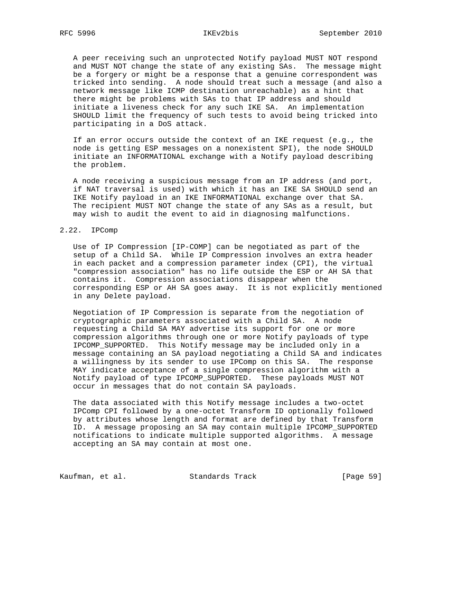A peer receiving such an unprotected Notify payload MUST NOT respond and MUST NOT change the state of any existing SAs. The message might be a forgery or might be a response that a genuine correspondent was tricked into sending. A node should treat such a message (and also a network message like ICMP destination unreachable) as a hint that there might be problems with SAs to that IP address and should initiate a liveness check for any such IKE SA. An implementation SHOULD limit the frequency of such tests to avoid being tricked into participating in a DoS attack.

 If an error occurs outside the context of an IKE request (e.g., the node is getting ESP messages on a nonexistent SPI), the node SHOULD initiate an INFORMATIONAL exchange with a Notify payload describing the problem.

 A node receiving a suspicious message from an IP address (and port, if NAT traversal is used) with which it has an IKE SA SHOULD send an IKE Notify payload in an IKE INFORMATIONAL exchange over that SA. The recipient MUST NOT change the state of any SAs as a result, but may wish to audit the event to aid in diagnosing malfunctions.

### 2.22. IPComp

 Use of IP Compression [IP-COMP] can be negotiated as part of the setup of a Child SA. While IP Compression involves an extra header in each packet and a compression parameter index (CPI), the virtual "compression association" has no life outside the ESP or AH SA that contains it. Compression associations disappear when the corresponding ESP or AH SA goes away. It is not explicitly mentioned in any Delete payload.

 Negotiation of IP Compression is separate from the negotiation of cryptographic parameters associated with a Child SA. A node requesting a Child SA MAY advertise its support for one or more compression algorithms through one or more Notify payloads of type IPCOMP\_SUPPORTED. This Notify message may be included only in a message containing an SA payload negotiating a Child SA and indicates a willingness by its sender to use IPComp on this SA. The response MAY indicate acceptance of a single compression algorithm with a Notify payload of type IPCOMP\_SUPPORTED. These payloads MUST NOT occur in messages that do not contain SA payloads.

 The data associated with this Notify message includes a two-octet IPComp CPI followed by a one-octet Transform ID optionally followed by attributes whose length and format are defined by that Transform ID. A message proposing an SA may contain multiple IPCOMP\_SUPPORTED notifications to indicate multiple supported algorithms. A message accepting an SA may contain at most one.

Kaufman, et al. Standards Track [Page 59]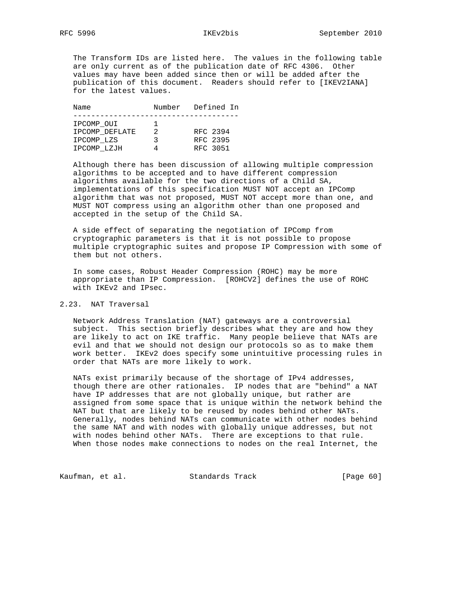The Transform IDs are listed here. The values in the following table are only current as of the publication date of RFC 4306. Other values may have been added since then or will be added after the publication of this document. Readers should refer to [IKEV2IANA] for the latest values.

| Name           | Number | Defined In |
|----------------|--------|------------|
|                |        |            |
| IPCOMP OUI     |        |            |
| IPCOMP DEFLATE | 2      | RFC 2394   |
| IPCOMP LZS     | ર      | RFC 2395   |
| IPCOMP LZJH    |        | RFC 3051   |

 Although there has been discussion of allowing multiple compression algorithms to be accepted and to have different compression algorithms available for the two directions of a Child SA, implementations of this specification MUST NOT accept an IPComp algorithm that was not proposed, MUST NOT accept more than one, and MUST NOT compress using an algorithm other than one proposed and accepted in the setup of the Child SA.

 A side effect of separating the negotiation of IPComp from cryptographic parameters is that it is not possible to propose multiple cryptographic suites and propose IP Compression with some of them but not others.

 In some cases, Robust Header Compression (ROHC) may be more appropriate than IP Compression. [ROHCV2] defines the use of ROHC with IKEv2 and IPsec.

# 2.23. NAT Traversal

 Network Address Translation (NAT) gateways are a controversial subject. This section briefly describes what they are and how they are likely to act on IKE traffic. Many people believe that NATs are evil and that we should not design our protocols so as to make them work better. IKEv2 does specify some unintuitive processing rules in order that NATs are more likely to work.

 NATs exist primarily because of the shortage of IPv4 addresses, though there are other rationales. IP nodes that are "behind" a NAT have IP addresses that are not globally unique, but rather are assigned from some space that is unique within the network behind the NAT but that are likely to be reused by nodes behind other NATs. Generally, nodes behind NATs can communicate with other nodes behind the same NAT and with nodes with globally unique addresses, but not with nodes behind other NATs. There are exceptions to that rule. When those nodes make connections to nodes on the real Internet, the

Kaufman, et al. Standards Track [Page 60]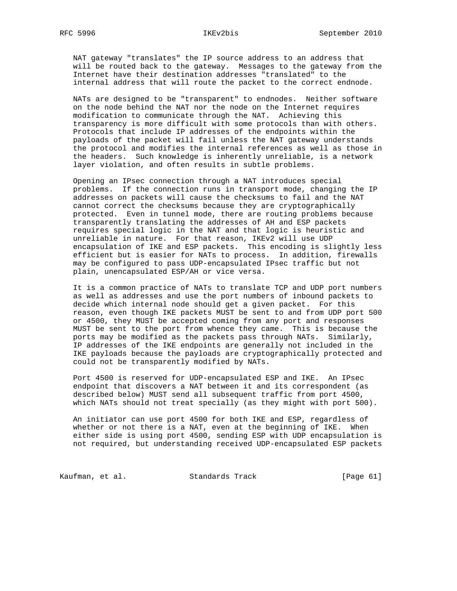NAT gateway "translates" the IP source address to an address that will be routed back to the gateway. Messages to the gateway from the Internet have their destination addresses "translated" to the internal address that will route the packet to the correct endnode.

 NATs are designed to be "transparent" to endnodes. Neither software on the node behind the NAT nor the node on the Internet requires modification to communicate through the NAT. Achieving this transparency is more difficult with some protocols than with others. Protocols that include IP addresses of the endpoints within the payloads of the packet will fail unless the NAT gateway understands the protocol and modifies the internal references as well as those in the headers. Such knowledge is inherently unreliable, is a network layer violation, and often results in subtle problems.

 Opening an IPsec connection through a NAT introduces special problems. If the connection runs in transport mode, changing the IP addresses on packets will cause the checksums to fail and the NAT cannot correct the checksums because they are cryptographically protected. Even in tunnel mode, there are routing problems because transparently translating the addresses of AH and ESP packets requires special logic in the NAT and that logic is heuristic and unreliable in nature. For that reason, IKEv2 will use UDP encapsulation of IKE and ESP packets. This encoding is slightly less efficient but is easier for NATs to process. In addition, firewalls may be configured to pass UDP-encapsulated IPsec traffic but not plain, unencapsulated ESP/AH or vice versa.

 It is a common practice of NATs to translate TCP and UDP port numbers as well as addresses and use the port numbers of inbound packets to decide which internal node should get a given packet. For this reason, even though IKE packets MUST be sent to and from UDP port 500 or 4500, they MUST be accepted coming from any port and responses MUST be sent to the port from whence they came. This is because the ports may be modified as the packets pass through NATs. Similarly, IP addresses of the IKE endpoints are generally not included in the IKE payloads because the payloads are cryptographically protected and could not be transparently modified by NATs.

 Port 4500 is reserved for UDP-encapsulated ESP and IKE. An IPsec endpoint that discovers a NAT between it and its correspondent (as described below) MUST send all subsequent traffic from port 4500, which NATs should not treat specially (as they might with port 500).

 An initiator can use port 4500 for both IKE and ESP, regardless of whether or not there is a NAT, even at the beginning of IKE. When either side is using port 4500, sending ESP with UDP encapsulation is not required, but understanding received UDP-encapsulated ESP packets

Kaufman, et al. Standards Track [Page 61]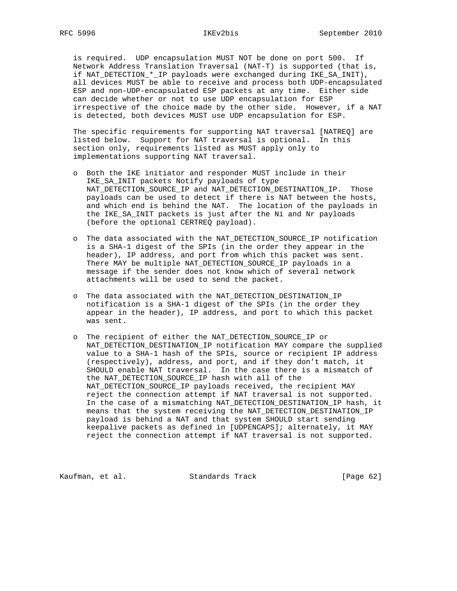is required. UDP encapsulation MUST NOT be done on port 500. If Network Address Translation Traversal (NAT-T) is supported (that is, if NAT\_DETECTION\_\*\_IP payloads were exchanged during IKE\_SA\_INIT), all devices MUST be able to receive and process both UDP-encapsulated ESP and non-UDP-encapsulated ESP packets at any time. Either side can decide whether or not to use UDP encapsulation for ESP irrespective of the choice made by the other side. However, if a NAT is detected, both devices MUST use UDP encapsulation for ESP.

 The specific requirements for supporting NAT traversal [NATREQ] are listed below. Support for NAT traversal is optional. In this section only, requirements listed as MUST apply only to implementations supporting NAT traversal.

- o Both the IKE initiator and responder MUST include in their IKE SA INIT packets Notify payloads of type NAT\_DETECTION\_SOURCE\_IP and NAT\_DETECTION\_DESTINATION\_IP. Those payloads can be used to detect if there is NAT between the hosts, and which end is behind the NAT. The location of the payloads in the IKE\_SA\_INIT packets is just after the Ni and Nr payloads (before the optional CERTREQ payload).
- o The data associated with the NAT\_DETECTION\_SOURCE\_IP notification is a SHA-1 digest of the SPIs (in the order they appear in the header), IP address, and port from which this packet was sent. There MAY be multiple NAT\_DETECTION\_SOURCE\_IP payloads in a message if the sender does not know which of several network attachments will be used to send the packet.
- o The data associated with the NAT\_DETECTION\_DESTINATION\_IP notification is a SHA-1 digest of the SPIs (in the order they appear in the header), IP address, and port to which this packet was sent.
- o The recipient of either the NAT\_DETECTION\_SOURCE\_IP or NAT\_DETECTION\_DESTINATION\_IP notification MAY compare the supplied value to a SHA-1 hash of the SPIs, source or recipient IP address (respectively), address, and port, and if they don't match, it SHOULD enable NAT traversal. In the case there is a mismatch of the NAT\_DETECTION\_SOURCE\_IP hash with all of the NAT\_DETECTION\_SOURCE\_IP payloads received, the recipient MAY reject the connection attempt if NAT traversal is not supported. In the case of a mismatching NAT\_DETECTION\_DESTINATION\_IP hash, it means that the system receiving the NAT\_DETECTION\_DESTINATION\_IP payload is behind a NAT and that system SHOULD start sending keepalive packets as defined in [UDPENCAPS]; alternately, it MAY reject the connection attempt if NAT traversal is not supported.

Kaufman, et al. Standards Track [Page 62]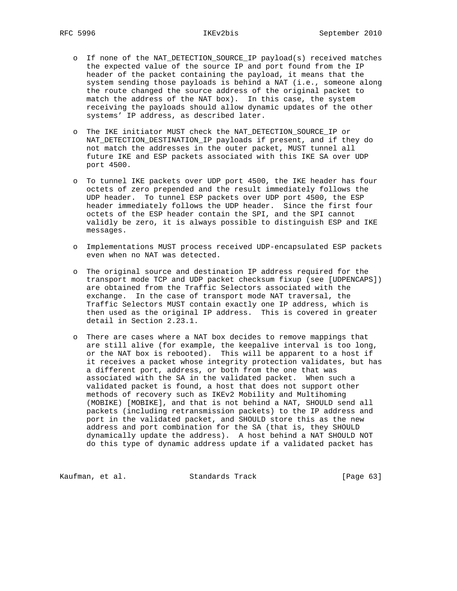- o If none of the NAT\_DETECTION\_SOURCE\_IP payload(s) received matches the expected value of the source IP and port found from the IP header of the packet containing the payload, it means that the system sending those payloads is behind a NAT (i.e., someone along the route changed the source address of the original packet to match the address of the NAT box). In this case, the system receiving the payloads should allow dynamic updates of the other systems' IP address, as described later.
- o The IKE initiator MUST check the NAT\_DETECTION\_SOURCE\_IP or NAT\_DETECTION\_DESTINATION\_IP payloads if present, and if they do not match the addresses in the outer packet, MUST tunnel all future IKE and ESP packets associated with this IKE SA over UDP port 4500.
- o To tunnel IKE packets over UDP port 4500, the IKE header has four octets of zero prepended and the result immediately follows the UDP header. To tunnel ESP packets over UDP port 4500, the ESP header immediately follows the UDP header. Since the first four octets of the ESP header contain the SPI, and the SPI cannot validly be zero, it is always possible to distinguish ESP and IKE messages.
- o Implementations MUST process received UDP-encapsulated ESP packets even when no NAT was detected.
- o The original source and destination IP address required for the transport mode TCP and UDP packet checksum fixup (see [UDPENCAPS]) are obtained from the Traffic Selectors associated with the exchange. In the case of transport mode NAT traversal, the Traffic Selectors MUST contain exactly one IP address, which is then used as the original IP address. This is covered in greater detail in Section 2.23.1.
- o There are cases where a NAT box decides to remove mappings that are still alive (for example, the keepalive interval is too long, or the NAT box is rebooted). This will be apparent to a host if it receives a packet whose integrity protection validates, but has a different port, address, or both from the one that was associated with the SA in the validated packet. When such a validated packet is found, a host that does not support other methods of recovery such as IKEv2 Mobility and Multihoming (MOBIKE) [MOBIKE], and that is not behind a NAT, SHOULD send all packets (including retransmission packets) to the IP address and port in the validated packet, and SHOULD store this as the new address and port combination for the SA (that is, they SHOULD dynamically update the address). A host behind a NAT SHOULD NOT do this type of dynamic address update if a validated packet has

Kaufman, et al. Standards Track [Page 63]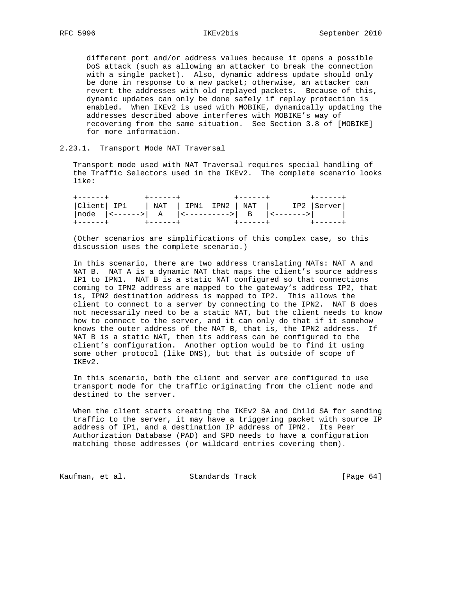different port and/or address values because it opens a possible DoS attack (such as allowing an attacker to break the connection with a single packet). Also, dynamic address update should only be done in response to a new packet; otherwise, an attacker can revert the addresses with old replayed packets. Because of this, dynamic updates can only be done safely if replay protection is enabled. When IKEv2 is used with MOBIKE, dynamically updating the addresses described above interferes with MOBIKE's way of recovering from the same situation. See Section 3.8 of [MOBIKE] for more information.

2.23.1. Transport Mode NAT Traversal

 Transport mode used with NAT Traversal requires special handling of the Traffic Selectors used in the IKEv2. The complete scenario looks like:

| +------+ | +------+        +------+ |  |                                                         | +------+ |  |
|----------|--------------------------|--|---------------------------------------------------------|----------|--|
|          |                          |  | $ Client   IP1   NAT   IPN1 IPN2   NAT   IP2   Server $ |          |  |
|          |                          |  | $ node  <---->  A  <------->  B  <-------> $            |          |  |
|          |                          |  | +------+      +------+       +-------+       +------+   |          |  |

 (Other scenarios are simplifications of this complex case, so this discussion uses the complete scenario.)

 In this scenario, there are two address translating NATs: NAT A and NAT B. NAT A is a dynamic NAT that maps the client's source address IP1 to IPN1. NAT B is a static NAT configured so that connections coming to IPN2 address are mapped to the gateway's address IP2, that is, IPN2 destination address is mapped to IP2. This allows the client to connect to a server by connecting to the IPN2. NAT B does not necessarily need to be a static NAT, but the client needs to know how to connect to the server, and it can only do that if it somehow knows the outer address of the NAT B, that is, the IPN2 address. If NAT B is a static NAT, then its address can be configured to the client's configuration. Another option would be to find it using some other protocol (like DNS), but that is outside of scope of IKEv2.

 In this scenario, both the client and server are configured to use transport mode for the traffic originating from the client node and destined to the server.

 When the client starts creating the IKEv2 SA and Child SA for sending traffic to the server, it may have a triggering packet with source IP address of IP1, and a destination IP address of IPN2. Its Peer Authorization Database (PAD) and SPD needs to have a configuration matching those addresses (or wildcard entries covering them).

Kaufman, et al. Standards Track [Page 64]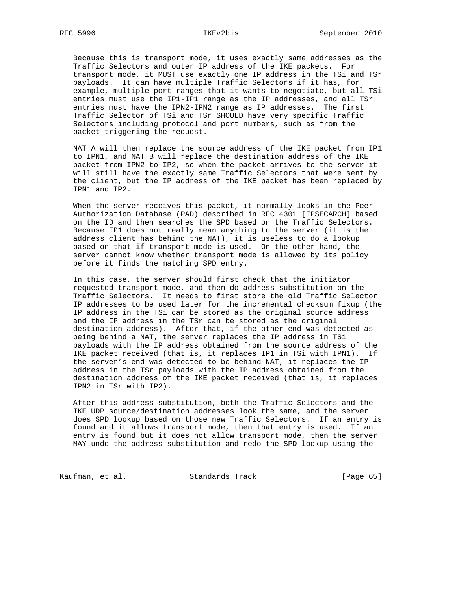Because this is transport mode, it uses exactly same addresses as the Traffic Selectors and outer IP address of the IKE packets. For transport mode, it MUST use exactly one IP address in the TSi and TSr payloads. It can have multiple Traffic Selectors if it has, for example, multiple port ranges that it wants to negotiate, but all TSi entries must use the IP1-IP1 range as the IP addresses, and all TSr entries must have the IPN2-IPN2 range as IP addresses. The first Traffic Selector of TSi and TSr SHOULD have very specific Traffic Selectors including protocol and port numbers, such as from the packet triggering the request.

 NAT A will then replace the source address of the IKE packet from IP1 to IPN1, and NAT B will replace the destination address of the IKE packet from IPN2 to IP2, so when the packet arrives to the server it will still have the exactly same Traffic Selectors that were sent by the client, but the IP address of the IKE packet has been replaced by IPN1 and IP2.

 When the server receives this packet, it normally looks in the Peer Authorization Database (PAD) described in RFC 4301 [IPSECARCH] based on the ID and then searches the SPD based on the Traffic Selectors. Because IP1 does not really mean anything to the server (it is the address client has behind the NAT), it is useless to do a lookup based on that if transport mode is used. On the other hand, the server cannot know whether transport mode is allowed by its policy before it finds the matching SPD entry.

 In this case, the server should first check that the initiator requested transport mode, and then do address substitution on the Traffic Selectors. It needs to first store the old Traffic Selector IP addresses to be used later for the incremental checksum fixup (the IP address in the TSi can be stored as the original source address and the IP address in the TSr can be stored as the original destination address). After that, if the other end was detected as being behind a NAT, the server replaces the IP address in TSi payloads with the IP address obtained from the source address of the IKE packet received (that is, it replaces IP1 in TSi with IPN1). If the server's end was detected to be behind NAT, it replaces the IP address in the TSr payloads with the IP address obtained from the destination address of the IKE packet received (that is, it replaces IPN2 in TSr with IP2).

 After this address substitution, both the Traffic Selectors and the IKE UDP source/destination addresses look the same, and the server does SPD lookup based on those new Traffic Selectors. If an entry is found and it allows transport mode, then that entry is used. If an entry is found but it does not allow transport mode, then the server MAY undo the address substitution and redo the SPD lookup using the

Kaufman, et al. Standards Track [Page 65]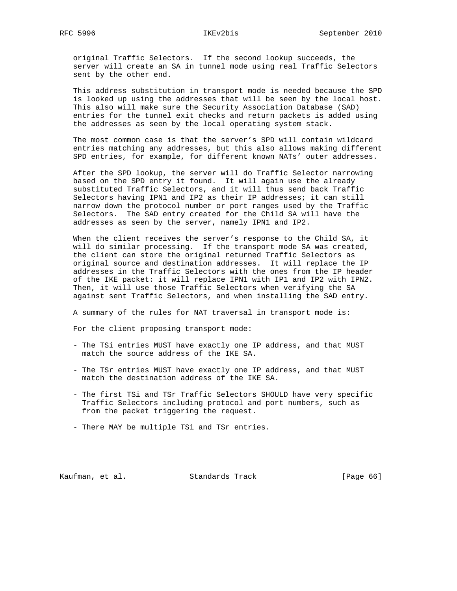original Traffic Selectors. If the second lookup succeeds, the server will create an SA in tunnel mode using real Traffic Selectors sent by the other end.

 This address substitution in transport mode is needed because the SPD is looked up using the addresses that will be seen by the local host. This also will make sure the Security Association Database (SAD) entries for the tunnel exit checks and return packets is added using the addresses as seen by the local operating system stack.

 The most common case is that the server's SPD will contain wildcard entries matching any addresses, but this also allows making different SPD entries, for example, for different known NATs' outer addresses.

 After the SPD lookup, the server will do Traffic Selector narrowing based on the SPD entry it found. It will again use the already substituted Traffic Selectors, and it will thus send back Traffic Selectors having IPN1 and IP2 as their IP addresses; it can still narrow down the protocol number or port ranges used by the Traffic Selectors. The SAD entry created for the Child SA will have the addresses as seen by the server, namely IPN1 and IP2.

 When the client receives the server's response to the Child SA, it will do similar processing. If the transport mode SA was created, the client can store the original returned Traffic Selectors as original source and destination addresses. It will replace the IP addresses in the Traffic Selectors with the ones from the IP header of the IKE packet: it will replace IPN1 with IP1 and IP2 with IPN2. Then, it will use those Traffic Selectors when verifying the SA against sent Traffic Selectors, and when installing the SAD entry.

A summary of the rules for NAT traversal in transport mode is:

For the client proposing transport mode:

- The TSi entries MUST have exactly one IP address, and that MUST match the source address of the IKE SA.
- The TSr entries MUST have exactly one IP address, and that MUST match the destination address of the IKE SA.
- The first TSi and TSr Traffic Selectors SHOULD have very specific Traffic Selectors including protocol and port numbers, such as from the packet triggering the request.
- There MAY be multiple TSi and TSr entries.

Kaufman, et al. Standards Track [Page 66]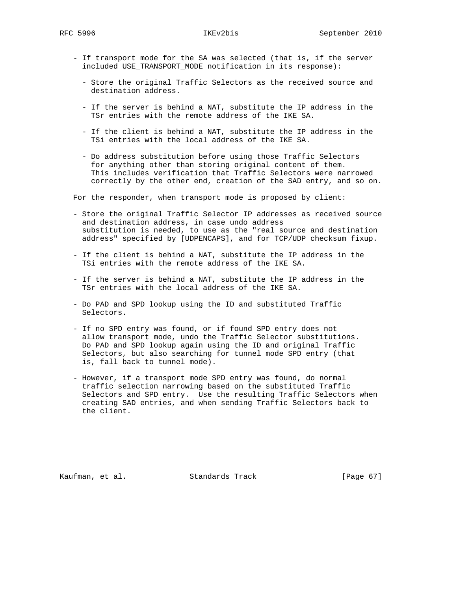- If transport mode for the SA was selected (that is, if the server included USE\_TRANSPORT\_MODE notification in its response):
	- Store the original Traffic Selectors as the received source and destination address.
	- If the server is behind a NAT, substitute the IP address in the TSr entries with the remote address of the IKE SA.
	- If the client is behind a NAT, substitute the IP address in the TSi entries with the local address of the IKE SA.
	- Do address substitution before using those Traffic Selectors for anything other than storing original content of them. This includes verification that Traffic Selectors were narrowed correctly by the other end, creation of the SAD entry, and so on.

For the responder, when transport mode is proposed by client:

- Store the original Traffic Selector IP addresses as received source and destination address, in case undo address substitution is needed, to use as the "real source and destination address" specified by [UDPENCAPS], and for TCP/UDP checksum fixup.
- If the client is behind a NAT, substitute the IP address in the TSi entries with the remote address of the IKE SA.
- If the server is behind a NAT, substitute the IP address in the TSr entries with the local address of the IKE SA.
- Do PAD and SPD lookup using the ID and substituted Traffic Selectors.
- If no SPD entry was found, or if found SPD entry does not allow transport mode, undo the Traffic Selector substitutions. Do PAD and SPD lookup again using the ID and original Traffic Selectors, but also searching for tunnel mode SPD entry (that is, fall back to tunnel mode).
- However, if a transport mode SPD entry was found, do normal traffic selection narrowing based on the substituted Traffic Selectors and SPD entry. Use the resulting Traffic Selectors when creating SAD entries, and when sending Traffic Selectors back to the client.

Kaufman, et al. Standards Track [Page 67]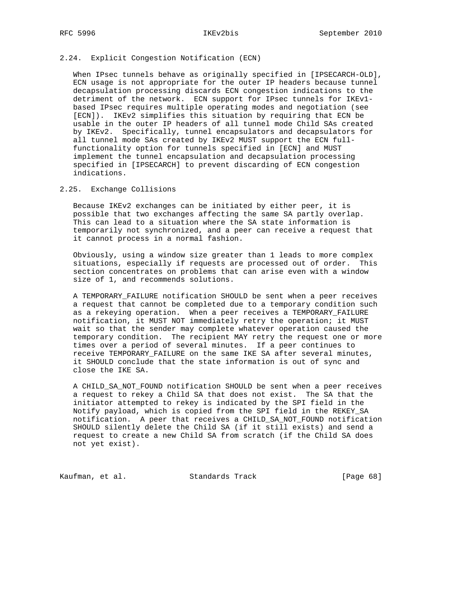# 2.24. Explicit Congestion Notification (ECN)

 When IPsec tunnels behave as originally specified in [IPSECARCH-OLD], ECN usage is not appropriate for the outer IP headers because tunnel decapsulation processing discards ECN congestion indications to the detriment of the network. ECN support for IPsec tunnels for IKEv1 based IPsec requires multiple operating modes and negotiation (see [ECN]). IKEv2 simplifies this situation by requiring that ECN be usable in the outer IP headers of all tunnel mode Child SAs created by IKEv2. Specifically, tunnel encapsulators and decapsulators for all tunnel mode SAs created by IKEv2 MUST support the ECN full functionality option for tunnels specified in [ECN] and MUST implement the tunnel encapsulation and decapsulation processing specified in [IPSECARCH] to prevent discarding of ECN congestion indications.

### 2.25. Exchange Collisions

 Because IKEv2 exchanges can be initiated by either peer, it is possible that two exchanges affecting the same SA partly overlap. This can lead to a situation where the SA state information is temporarily not synchronized, and a peer can receive a request that it cannot process in a normal fashion.

 Obviously, using a window size greater than 1 leads to more complex situations, especially if requests are processed out of order. This section concentrates on problems that can arise even with a window size of 1, and recommends solutions.

 A TEMPORARY\_FAILURE notification SHOULD be sent when a peer receives a request that cannot be completed due to a temporary condition such as a rekeying operation. When a peer receives a TEMPORARY\_FAILURE notification, it MUST NOT immediately retry the operation; it MUST wait so that the sender may complete whatever operation caused the temporary condition. The recipient MAY retry the request one or more times over a period of several minutes. If a peer continues to receive TEMPORARY\_FAILURE on the same IKE SA after several minutes, it SHOULD conclude that the state information is out of sync and close the IKE SA.

 A CHILD\_SA\_NOT\_FOUND notification SHOULD be sent when a peer receives a request to rekey a Child SA that does not exist. The SA that the initiator attempted to rekey is indicated by the SPI field in the Notify payload, which is copied from the SPI field in the REKEY\_SA notification. A peer that receives a CHILD\_SA\_NOT\_FOUND notification SHOULD silently delete the Child SA (if it still exists) and send a request to create a new Child SA from scratch (if the Child SA does not yet exist).

Kaufman, et al. Standards Track [Page 68]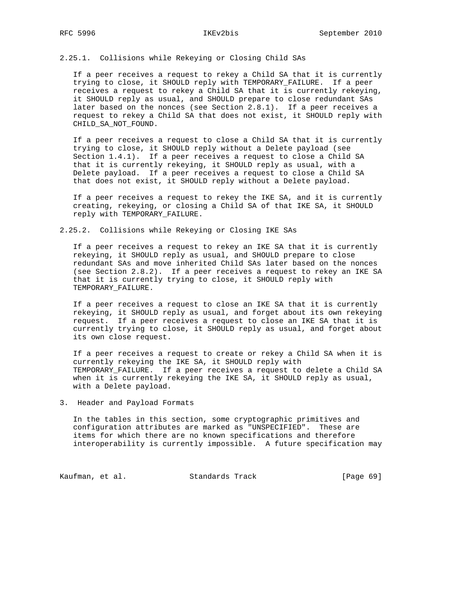2.25.1. Collisions while Rekeying or Closing Child SAs

 If a peer receives a request to rekey a Child SA that it is currently trying to close, it SHOULD reply with TEMPORARY\_FAILURE. If a peer receives a request to rekey a Child SA that it is currently rekeying, it SHOULD reply as usual, and SHOULD prepare to close redundant SAs later based on the nonces (see Section 2.8.1). If a peer receives a request to rekey a Child SA that does not exist, it SHOULD reply with CHILD\_SA\_NOT\_FOUND.

 If a peer receives a request to close a Child SA that it is currently trying to close, it SHOULD reply without a Delete payload (see Section 1.4.1). If a peer receives a request to close a Child SA that it is currently rekeying, it SHOULD reply as usual, with a Delete payload. If a peer receives a request to close a Child SA that does not exist, it SHOULD reply without a Delete payload.

 If a peer receives a request to rekey the IKE SA, and it is currently creating, rekeying, or closing a Child SA of that IKE SA, it SHOULD reply with TEMPORARY\_FAILURE.

2.25.2. Collisions while Rekeying or Closing IKE SAs

 If a peer receives a request to rekey an IKE SA that it is currently rekeying, it SHOULD reply as usual, and SHOULD prepare to close redundant SAs and move inherited Child SAs later based on the nonces (see Section 2.8.2). If a peer receives a request to rekey an IKE SA that it is currently trying to close, it SHOULD reply with TEMPORARY\_FAILURE.

 If a peer receives a request to close an IKE SA that it is currently rekeying, it SHOULD reply as usual, and forget about its own rekeying request. If a peer receives a request to close an IKE SA that it is currently trying to close, it SHOULD reply as usual, and forget about its own close request.

 If a peer receives a request to create or rekey a Child SA when it is currently rekeying the IKE SA, it SHOULD reply with TEMPORARY\_FAILURE. If a peer receives a request to delete a Child SA when it is currently rekeying the IKE SA, it SHOULD reply as usual, with a Delete payload.

3. Header and Payload Formats

 In the tables in this section, some cryptographic primitives and configuration attributes are marked as "UNSPECIFIED". These are items for which there are no known specifications and therefore interoperability is currently impossible. A future specification may

Kaufman, et al. Standards Track [Page 69]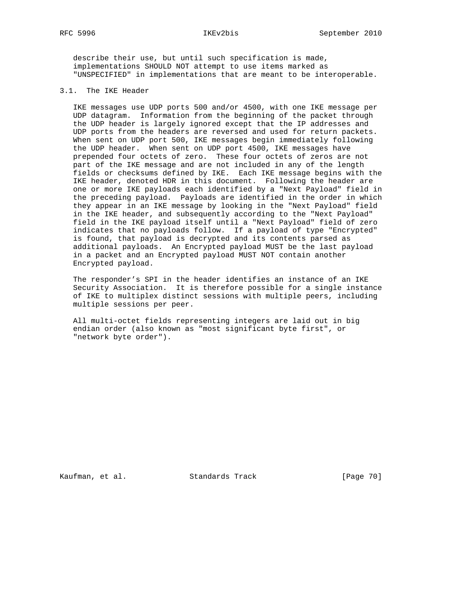describe their use, but until such specification is made, implementations SHOULD NOT attempt to use items marked as "UNSPECIFIED" in implementations that are meant to be interoperable.

# 3.1. The IKE Header

 IKE messages use UDP ports 500 and/or 4500, with one IKE message per UDP datagram. Information from the beginning of the packet through the UDP header is largely ignored except that the IP addresses and UDP ports from the headers are reversed and used for return packets. When sent on UDP port 500, IKE messages begin immediately following the UDP header. When sent on UDP port 4500, IKE messages have prepended four octets of zero. These four octets of zeros are not part of the IKE message and are not included in any of the length fields or checksums defined by IKE. Each IKE message begins with the IKE header, denoted HDR in this document. Following the header are one or more IKE payloads each identified by a "Next Payload" field in the preceding payload. Payloads are identified in the order in which they appear in an IKE message by looking in the "Next Payload" field in the IKE header, and subsequently according to the "Next Payload" field in the IKE payload itself until a "Next Payload" field of zero indicates that no payloads follow. If a payload of type "Encrypted" is found, that payload is decrypted and its contents parsed as additional payloads. An Encrypted payload MUST be the last payload in a packet and an Encrypted payload MUST NOT contain another Encrypted payload.

 The responder's SPI in the header identifies an instance of an IKE Security Association. It is therefore possible for a single instance of IKE to multiplex distinct sessions with multiple peers, including multiple sessions per peer.

 All multi-octet fields representing integers are laid out in big endian order (also known as "most significant byte first", or "network byte order").

Kaufman, et al. Standards Track [Page 70]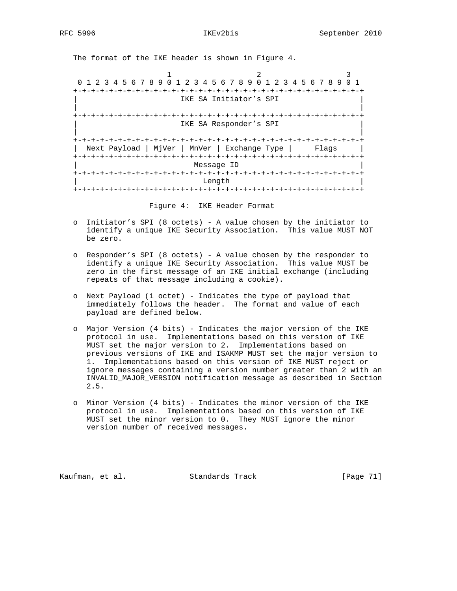The format of the IKE header is shown in Figure 4.

1 2 3 0 1 2 3 4 5 6 7 8 9 0 1 2 3 4 5 6 7 8 9 0 1 2 3 4 5 6 7 8 9 0 1 +-+-+-+-+-+-+-+-+-+-+-+-+-+-+-+-+-+-+-+-+-+-+-+-+-+-+-+-+-+-+-+-+ IKE SA Initiator's SPI | | +-+-+-+-+-+-+-+-+-+-+-+-+-+-+-+-+-+-+-+-+-+-+-+-+-+-+-+-+-+-+-+-+ IKE SA Responder's SPI | | +-+-+-+-+-+-+-+-+-+-+-+-+-+-+-+-+-+-+-+-+-+-+-+-+-+-+-+-+-+-+-+-+ | Next Payload | MjVer | MnVer | Exchange Type | Flags | +-+-+-+-+-+-+-+-+-+-+-+-+-+-+-+-+-+-+-+-+-+-+-+-+-+-+-+-+-+-+-+-+ | Message ID | +-+-+-+-+-+-+-+-+-+-+-+-+-+-+-+-+-+-+-+-+-+-+-+-+-+-+-+-+-+-+-+-+ | Length | +-+-+-+-+-+-+-+-+-+-+-+-+-+-+-+-+-+-+-+-+-+-+-+-+-+-+-+-+-+-+-+-+

Figure 4: IKE Header Format

- o Initiator's SPI (8 octets) A value chosen by the initiator to identify a unique IKE Security Association. This value MUST NOT be zero.
- o Responder's SPI (8 octets) A value chosen by the responder to identify a unique IKE Security Association. This value MUST be zero in the first message of an IKE initial exchange (including repeats of that message including a cookie).
- o Next Payload (1 octet) Indicates the type of payload that immediately follows the header. The format and value of each payload are defined below.
- o Major Version (4 bits) Indicates the major version of the IKE protocol in use. Implementations based on this version of IKE MUST set the major version to 2. Implementations based on previous versions of IKE and ISAKMP MUST set the major version to 1. Implementations based on this version of IKE MUST reject or ignore messages containing a version number greater than 2 with an INVALID\_MAJOR\_VERSION notification message as described in Section 2.5.
- o Minor Version (4 bits) Indicates the minor version of the IKE protocol in use. Implementations based on this version of IKE MUST set the minor version to 0. They MUST ignore the minor version number of received messages.

Kaufman, et al. Standards Track [Page 71]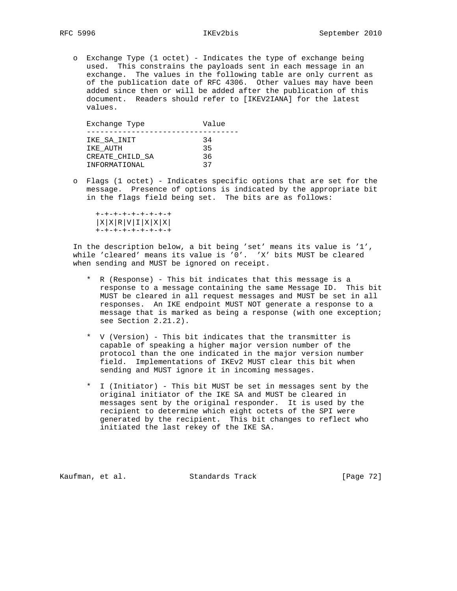o Exchange Type (1 octet) - Indicates the type of exchange being used. This constrains the payloads sent in each message in an exchange. The values in the following table are only current as of the publication date of RFC 4306. Other values may have been added since then or will be added after the publication of this document. Readers should refer to [IKEV2IANA] for the latest values.

| Exchange Type   | Value |
|-----------------|-------|
|                 |       |
| IKE SA INIT     | 34    |
| IKE AUTH        | 35    |
| CREATE CHILD SA | 36    |
| INFORMATIONAL   | 37    |

 o Flags (1 octet) - Indicates specific options that are set for the message. Presence of options is indicated by the appropriate bit in the flags field being set. The bits are as follows:

 +-+-+-+-+-+-+-+-+  $|X|X|R|V|I|X|X|X|$ +-+-+-+-+-+-+-+-+

 In the description below, a bit being 'set' means its value is '1', while 'cleared' means its value is '0'. 'X' bits MUST be cleared when sending and MUST be ignored on receipt.

- \* R (Response) This bit indicates that this message is a response to a message containing the same Message ID. This bit MUST be cleared in all request messages and MUST be set in all responses. An IKE endpoint MUST NOT generate a response to a message that is marked as being a response (with one exception; see Section 2.21.2).
- \* V (Version) This bit indicates that the transmitter is capable of speaking a higher major version number of the protocol than the one indicated in the major version number field. Implementations of IKEv2 MUST clear this bit when sending and MUST ignore it in incoming messages.
- \* I (Initiator) This bit MUST be set in messages sent by the original initiator of the IKE SA and MUST be cleared in messages sent by the original responder. It is used by the recipient to determine which eight octets of the SPI were generated by the recipient. This bit changes to reflect who initiated the last rekey of the IKE SA.

Kaufman, et al. Standards Track [Page 72]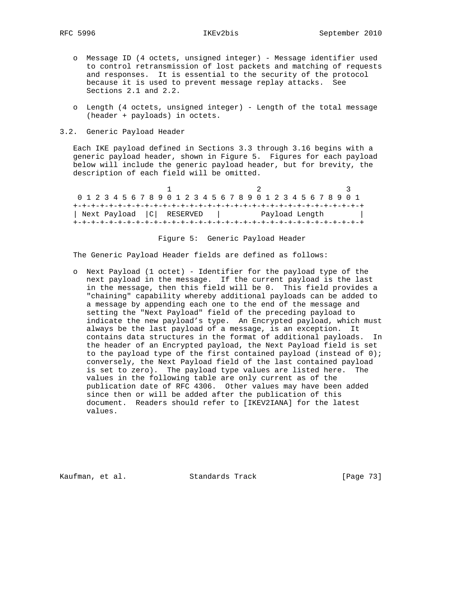- o Message ID (4 octets, unsigned integer) Message identifier used to control retransmission of lost packets and matching of requests and responses. It is essential to the security of the protocol because it is used to prevent message replay attacks. See Sections 2.1 and 2.2.
- o Length (4 octets, unsigned integer) Length of the total message (header + payloads) in octets.
- 3.2. Generic Payload Header

 Each IKE payload defined in Sections 3.3 through 3.16 begins with a generic payload header, shown in Figure 5. Figures for each payload below will include the generic payload header, but for brevity, the description of each field will be omitted.

1 2 3 0 1 2 3 4 5 6 7 8 9 0 1 2 3 4 5 6 7 8 9 0 1 2 3 4 5 6 7 8 9 0 1 +-+-+-+-+-+-+-+-+-+-+-+-+-+-+-+-+-+-+-+-+-+-+-+-+-+-+-+-+-+-+-+-+ | Next Payload |C| RESERVED | Payload Length | +-+-+-+-+-+-+-+-+-+-+-+-+-+-+-+-+-+-+-+-+-+-+-+-+-+-+-+-+-+-+-+-+

## Figure 5: Generic Payload Header

The Generic Payload Header fields are defined as follows:

 o Next Payload (1 octet) - Identifier for the payload type of the next payload in the message. If the current payload is the last in the message, then this field will be 0. This field provides a "chaining" capability whereby additional payloads can be added to a message by appending each one to the end of the message and setting the "Next Payload" field of the preceding payload to indicate the new payload's type. An Encrypted payload, which must always be the last payload of a message, is an exception. It contains data structures in the format of additional payloads. In the header of an Encrypted payload, the Next Payload field is set to the payload type of the first contained payload (instead of 0); conversely, the Next Payload field of the last contained payload is set to zero). The payload type values are listed here. The values in the following table are only current as of the publication date of RFC 4306. Other values may have been added since then or will be added after the publication of this document. Readers should refer to [IKEV2IANA] for the latest values.

Kaufman, et al. Standards Track [Page 73]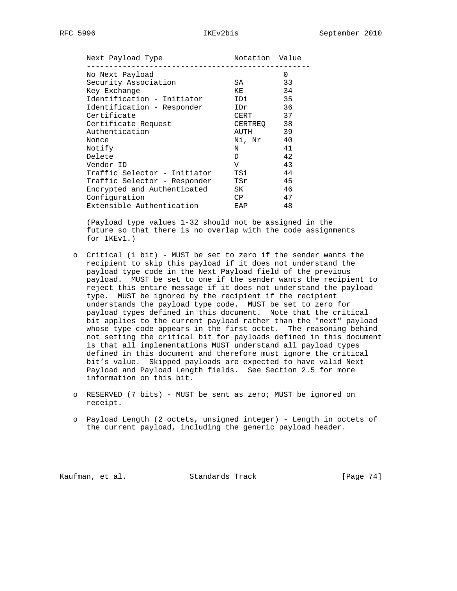| Next Payload Type            | Notation Value |    |
|------------------------------|----------------|----|
| No Next Payload              |                | 0  |
| Security Association         | SA             | 33 |
| Key Exchange                 | KE             | 34 |
| Identification - Initiator   | IDi            | 35 |
| Identification - Responder   | IDr            | 36 |
| Certificate                  | CERT           | 37 |
| Certificate Request          | CERTREO        | 38 |
| Authentication               | AUTH           | 39 |
| Nonce                        | Ni, Nr         | 40 |
| Notify                       | N              | 41 |
| Delete                       | D              | 42 |
| Vendor ID                    | $\overline{V}$ | 43 |
| Traffic Selector - Initiator | TSi            | 44 |
| Traffic Selector - Responder | TSr            | 45 |
| Encrypted and Authenticated  | SK.            | 46 |
| Configuration                | CP.            | 47 |
| Extensible Authentication    | EAP            | 48 |

 (Payload type values 1-32 should not be assigned in the future so that there is no overlap with the code assignments for IKEv1.)

- o Critical (1 bit) MUST be set to zero if the sender wants the recipient to skip this payload if it does not understand the payload type code in the Next Payload field of the previous payload. MUST be set to one if the sender wants the recipient to reject this entire message if it does not understand the payload type. MUST be ignored by the recipient if the recipient understands the payload type code. MUST be set to zero for payload types defined in this document. Note that the critical bit applies to the current payload rather than the "next" payload whose type code appears in the first octet. The reasoning behind not setting the critical bit for payloads defined in this document is that all implementations MUST understand all payload types defined in this document and therefore must ignore the critical bit's value. Skipped payloads are expected to have valid Next Payload and Payload Length fields. See Section 2.5 for more information on this bit.
- o RESERVED (7 bits) MUST be sent as zero; MUST be ignored on receipt.
- o Payload Length (2 octets, unsigned integer) Length in octets of the current payload, including the generic payload header.

Kaufman, et al. Standards Track [Page 74]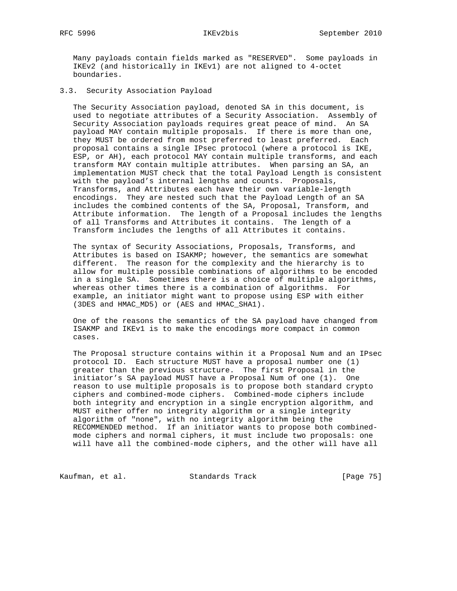RFC 5996 IKEv2bis September 2010

 Many payloads contain fields marked as "RESERVED". Some payloads in IKEv2 (and historically in IKEv1) are not aligned to 4-octet boundaries.

3.3. Security Association Payload

 The Security Association payload, denoted SA in this document, is used to negotiate attributes of a Security Association. Assembly of Security Association payloads requires great peace of mind. An SA payload MAY contain multiple proposals. If there is more than one, they MUST be ordered from most preferred to least preferred. Each proposal contains a single IPsec protocol (where a protocol is IKE, ESP, or AH), each protocol MAY contain multiple transforms, and each transform MAY contain multiple attributes. When parsing an SA, an implementation MUST check that the total Payload Length is consistent with the payload's internal lengths and counts. Proposals, Transforms, and Attributes each have their own variable-length encodings. They are nested such that the Payload Length of an SA includes the combined contents of the SA, Proposal, Transform, and Attribute information. The length of a Proposal includes the lengths of all Transforms and Attributes it contains. The length of a Transform includes the lengths of all Attributes it contains.

 The syntax of Security Associations, Proposals, Transforms, and Attributes is based on ISAKMP; however, the semantics are somewhat different. The reason for the complexity and the hierarchy is to allow for multiple possible combinations of algorithms to be encoded in a single SA. Sometimes there is a choice of multiple algorithms, whereas other times there is a combination of algorithms. For example, an initiator might want to propose using ESP with either (3DES and HMAC\_MD5) or (AES and HMAC\_SHA1).

 One of the reasons the semantics of the SA payload have changed from ISAKMP and IKEv1 is to make the encodings more compact in common cases.

 The Proposal structure contains within it a Proposal Num and an IPsec protocol ID. Each structure MUST have a proposal number one (1) greater than the previous structure. The first Proposal in the initiator's SA payload MUST have a Proposal Num of one (1). One reason to use multiple proposals is to propose both standard crypto ciphers and combined-mode ciphers. Combined-mode ciphers include both integrity and encryption in a single encryption algorithm, and MUST either offer no integrity algorithm or a single integrity algorithm of "none", with no integrity algorithm being the RECOMMENDED method. If an initiator wants to propose both combined mode ciphers and normal ciphers, it must include two proposals: one will have all the combined-mode ciphers, and the other will have all

Kaufman, et al. Standards Track [Page 75]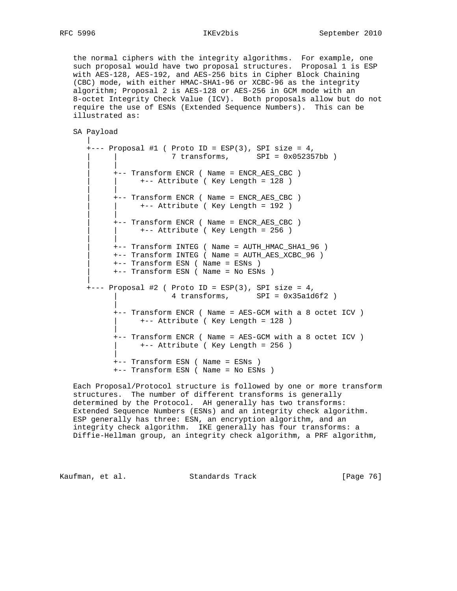the normal ciphers with the integrity algorithms. For example, one such proposal would have two proposal structures. Proposal 1 is ESP with AES-128, AES-192, and AES-256 bits in Cipher Block Chaining (CBC) mode, with either HMAC-SHA1-96 or XCBC-96 as the integrity algorithm; Proposal 2 is AES-128 or AES-256 in GCM mode with an 8-octet Integrity Check Value (ICV). Both proposals allow but do not require the use of ESNs (Extended Sequence Numbers). This can be illustrated as:

```
 SA Payload
```
 |  $+---$  Proposal #1 ( Proto ID = ESP(3), SPI size = 4, | | 7 transforms, SPI = 0x052357bb ) | | | +-- Transform ENCR ( Name = ENCR\_AES\_CBC ) | | +-- Attribute ( Key Length = 128 ) | | | +-- Transform ENCR ( Name = ENCR\_AES\_CBC ) | | +-- Attribute ( Key Length = 192 ) | | | +-- Transform ENCR ( Name = ENCR\_AES\_CBC ) | | +-- Attribute ( Key Length = 256 ) | | | +-- Transform INTEG ( Name = AUTH\_HMAC\_SHA1\_96 ) | +-- Transform INTEG ( Name = AUTH\_AES\_XCBC\_96 ) | +-- Transform ESN ( Name = ESNs ) | +-- Transform ESN ( Name = No ESNs ) | +--- Proposal #2 ( Proto ID = ESP(3), SPI size = 4, | 4 transforms, SPI = 0x35a1d6f2 ) | +-- Transform ENCR ( Name = AES-GCM with a 8 octet ICV ) | +-- Attribute ( Key Length = 128 ) | +-- Transform ENCR ( Name = AES-GCM with a 8 octet ICV ) | +-- Attribute ( Key Length = 256 ) | +-- Transform ESN ( Name = ESNs ) +-- Transform ESN ( Name = No ESNs )

 Each Proposal/Protocol structure is followed by one or more transform structures. The number of different transforms is generally determined by the Protocol. AH generally has two transforms: Extended Sequence Numbers (ESNs) and an integrity check algorithm. ESP generally has three: ESN, an encryption algorithm, and an integrity check algorithm. IKE generally has four transforms: a Diffie-Hellman group, an integrity check algorithm, a PRF algorithm,

Kaufman, et al. Standards Track [Page 76]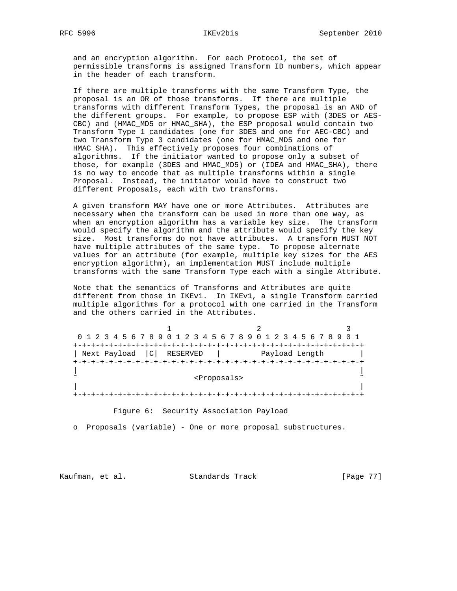# RFC 5996 IKEv2bis September 2010

 and an encryption algorithm. For each Protocol, the set of permissible transforms is assigned Transform ID numbers, which appear in the header of each transform.

 If there are multiple transforms with the same Transform Type, the proposal is an OR of those transforms. If there are multiple transforms with different Transform Types, the proposal is an AND of the different groups. For example, to propose ESP with (3DES or AES- CBC) and (HMAC\_MD5 or HMAC\_SHA), the ESP proposal would contain two Transform Type 1 candidates (one for 3DES and one for AEC-CBC) and two Transform Type 3 candidates (one for HMAC\_MD5 and one for HMAC\_SHA). This effectively proposes four combinations of algorithms. If the initiator wanted to propose only a subset of those, for example (3DES and HMAC\_MD5) or (IDEA and HMAC\_SHA), there is no way to encode that as multiple transforms within a single Proposal. Instead, the initiator would have to construct two different Proposals, each with two transforms.

 A given transform MAY have one or more Attributes. Attributes are necessary when the transform can be used in more than one way, as when an encryption algorithm has a variable key size. The transform would specify the algorithm and the attribute would specify the key size. Most transforms do not have attributes. A transform MUST NOT have multiple attributes of the same type. To propose alternate values for an attribute (for example, multiple key sizes for the AES encryption algorithm), an implementation MUST include multiple transforms with the same Transform Type each with a single Attribute.

 Note that the semantics of Transforms and Attributes are quite different from those in IKEv1. In IKEv1, a single Transform carried multiple algorithms for a protocol with one carried in the Transform and the others carried in the Attributes.

| 0 1 2 3 4 5 6 7 8 9 0 1 2 3 4 5 6 7 8 9 0 1 2 3 4 5 6 7 8 9 0 1 |                         |                |  |
|-----------------------------------------------------------------|-------------------------|----------------|--|
|                                                                 |                         |                |  |
| Next Payload   C                                                | RESERVED                | Payload Length |  |
|                                                                 |                         |                |  |
|                                                                 |                         |                |  |
|                                                                 | <proposals></proposals> |                |  |
|                                                                 |                         |                |  |
|                                                                 |                         |                |  |
|                                                                 |                         |                |  |

Figure 6: Security Association Payload

o Proposals (variable) - One or more proposal substructures.

Kaufman, et al. Standards Track [Page 77]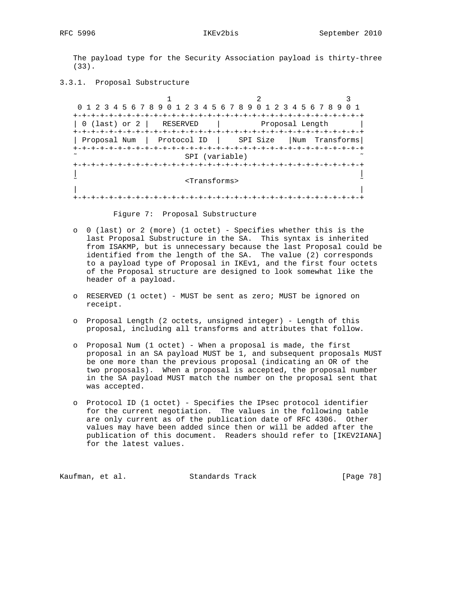The payload type for the Security Association payload is thirty-three (33).

3.3.1. Proposal Substructure

1 2 3 0 1 2 3 4 5 6 7 8 9 0 1 2 3 4 5 6 7 8 9 0 1 2 3 4 5 6 7 8 9 0 1 +-+-+-+-+-+-+-+-+-+-+-+-+-+-+-+-+-+-+-+-+-+-+-+-+-+-+-+-+-+-+-+-+ | 0 (last) or 2 | RESERVED | Proposal Length | +-+-+-+-+-+-+-+-+-+-+-+-+-+-+-+-+-+-+-+-+-+-+-+-+-+-+-+-+-+-+-+-+ | Proposal Num | Protocol ID | SPI Size |Num Transforms| +-+-+-+-+-+-+-+-+-+-+-+-+-+-+-+-+-+-+-+-+-+-+-+-+-+-+-+-+-+-+-+-+ SPI (variable) +-+-+-+-+-+-+-+-+-+-+-+-+-+-+-+-+-+-+-+-+-+-+-+-+-+-+-+-+-+-+-+-+ | | ˜ <Transforms> ˜ | | +-+-+-+-+-+-+-+-+-+-+-+-+-+-+-+-+-+-+-+-+-+-+-+-+-+-+-+-+-+-+-+-+

Figure 7: Proposal Substructure

- o 0 (last) or 2 (more) (1 octet) Specifies whether this is the last Proposal Substructure in the SA. This syntax is inherited from ISAKMP, but is unnecessary because the last Proposal could be identified from the length of the SA. The value (2) corresponds to a payload type of Proposal in IKEv1, and the first four octets of the Proposal structure are designed to look somewhat like the header of a payload.
- o RESERVED (1 octet) MUST be sent as zero; MUST be ignored on receipt.
- o Proposal Length (2 octets, unsigned integer) Length of this proposal, including all transforms and attributes that follow.
- o Proposal Num (1 octet) When a proposal is made, the first proposal in an SA payload MUST be 1, and subsequent proposals MUST be one more than the previous proposal (indicating an OR of the two proposals). When a proposal is accepted, the proposal number in the SA payload MUST match the number on the proposal sent that was accepted.
- o Protocol ID (1 octet) Specifies the IPsec protocol identifier for the current negotiation. The values in the following table are only current as of the publication date of RFC 4306. Other values may have been added since then or will be added after the publication of this document. Readers should refer to [IKEV2IANA] for the latest values.

Kaufman, et al. Standards Track [Page 78]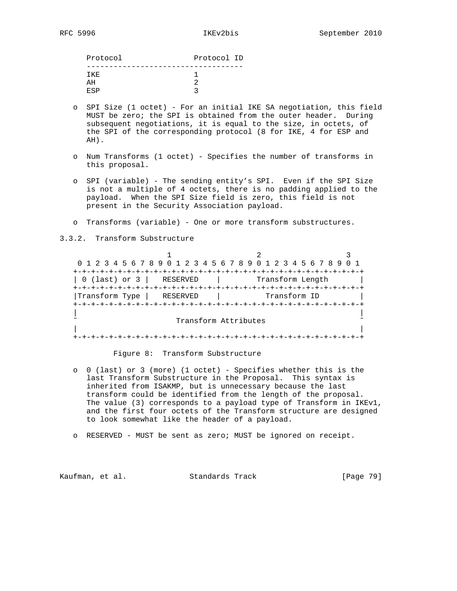| Protocol ID<br>Protocol |  |
|-------------------------|--|
|                         |  |
| TKE.                    |  |
| ΆH                      |  |
| <b>RSP</b>              |  |

- o SPI Size (1 octet) For an initial IKE SA negotiation, this field MUST be zero; the SPI is obtained from the outer header. During subsequent negotiations, it is equal to the size, in octets, of the SPI of the corresponding protocol (8 for IKE, 4 for ESP and AH).
- o Num Transforms (1 octet) Specifies the number of transforms in this proposal.
- o SPI (variable) The sending entity's SPI. Even if the SPI Size is not a multiple of 4 octets, there is no padding applied to the payload. When the SPI Size field is zero, this field is not present in the Security Association payload.
- o Transforms (variable) One or more transform substructures.

3.3.2. Transform Substructure

1 2 3 0 1 2 3 4 5 6 7 8 9 0 1 2 3 4 5 6 7 8 9 0 1 2 3 4 5 6 7 8 9 0 1 +-+-+-+-+-+-+-+-+-+-+-+-+-+-+-+-+-+-+-+-+-+-+-+-+-+-+-+-+-+-+-+-+ | 0 (last) or 3 | RESERVED | Transform Length | +-+-+-+-+-+-+-+-+-+-+-+-+-+-+-+-+-+-+-+-+-+-+-+-+-+-+-+-+-+-+-+-+ |Transform Type | RESERVED | Transform ID +-+-+-+-+-+-+-+-+-+-+-+-+-+-+-+-+-+-+-+-+-+-+-+-+-+-+-+-+-+-+-+-+ | | Transform Attributes | | +-+-+-+-+-+-+-+-+-+-+-+-+-+-+-+-+-+-+-+-+-+-+-+-+-+-+-+-+-+-+-+-+

# Figure 8: Transform Substructure

- o 0 (last) or 3 (more) (1 octet) Specifies whether this is the last Transform Substructure in the Proposal. This syntax is inherited from ISAKMP, but is unnecessary because the last transform could be identified from the length of the proposal. The value (3) corresponds to a payload type of Transform in IKEv1, and the first four octets of the Transform structure are designed to look somewhat like the header of a payload.
- o RESERVED MUST be sent as zero; MUST be ignored on receipt.

Kaufman, et al. Standards Track [Page 79]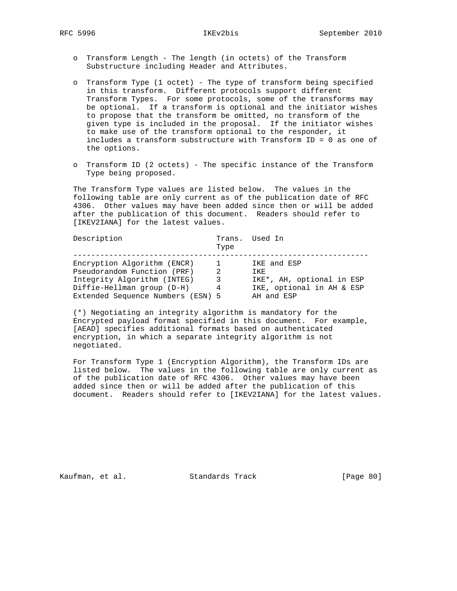- o Transform Length The length (in octets) of the Transform Substructure including Header and Attributes.
- o Transform Type (1 octet) The type of transform being specified in this transform. Different protocols support different Transform Types. For some protocols, some of the transforms may be optional. If a transform is optional and the initiator wishes to propose that the transform be omitted, no transform of the given type is included in the proposal. If the initiator wishes to make use of the transform optional to the responder, it includes a transform substructure with Transform ID = 0 as one of the options.
- o Transform ID (2 octets) The specific instance of the Transform Type being proposed.

 The Transform Type values are listed below. The values in the following table are only current as of the publication date of RFC 4306. Other values may have been added since then or will be added after the publication of this document. Readers should refer to [IKEV2IANA] for the latest values.

| Description                       | Type          | Trans. Used In            |
|-----------------------------------|---------------|---------------------------|
| Encryption Algorithm (ENCR)       | <b>T</b>      | IKE and ESP               |
| Pseudorandom Function (PRF)       | $\mathcal{L}$ | TKF.                      |
| Integrity Algorithm (INTEG)       | 3             | IKE*, AH, optional in ESP |
| Diffie-Hellman group (D-H)        | 4             | IKE, optional in AH & ESP |
| Extended Sequence Numbers (ESN) 5 |               | AH and ESP                |

 (\*) Negotiating an integrity algorithm is mandatory for the Encrypted payload format specified in this document. For example, [AEAD] specifies additional formats based on authenticated encryption, in which a separate integrity algorithm is not negotiated.

 For Transform Type 1 (Encryption Algorithm), the Transform IDs are listed below. The values in the following table are only current as of the publication date of RFC 4306. Other values may have been added since then or will be added after the publication of this document. Readers should refer to [IKEV2IANA] for the latest values.

Kaufman, et al. Standards Track [Page 80]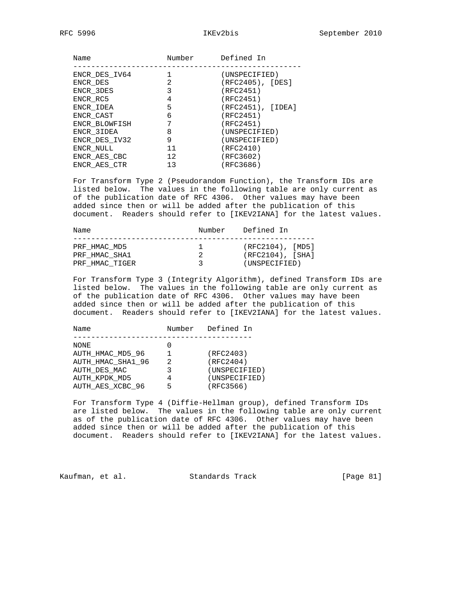| Name          | Number | Defined In            |
|---------------|--------|-----------------------|
| ENCR DES IV64 |        | (UNSPECIFIED)         |
| ENCR DES      | 2      | $(RFC2405)$ , $[DES]$ |
| ENCR 3DES     | 3      | (RFC2451)             |
| ENCR RC5      | 4      | (RFC2451)             |
| ENCR IDEA     | 5      | (RFC2451), [IDEA]     |
| ENCR CAST     | 6      | (RFC2451)             |
| ENCR BLOWFISH |        | (RFC2451)             |
| ENCR 3IDEA    | 8      | (UNSPECIFIED)         |
| ENCR DES IV32 | 9      | (UNSPECIFIED)         |
| ENCR NULL     | 11     | (RFC2410)             |
| ENCR AES CBC  | 12     | (RFC3602)             |
| ENCR AES CTR  | 13     | (RFC3686)             |
|               |        |                       |

 For Transform Type 2 (Pseudorandom Function), the Transform IDs are listed below. The values in the following table are only current as of the publication date of RFC 4306. Other values may have been added since then or will be added after the publication of this document. Readers should refer to [IKEV2IANA] for the latest values.

| Name                          | Number                             | Defined In                                 |
|-------------------------------|------------------------------------|--------------------------------------------|
| PRF HMAC MD5<br>PRF HMAC SHA1 | and the second state of the second | $(RFC2104)$ , [MD5]<br>$(RFC2104)$ , [SHA] |
| PRF HMAC TIGER                | 3                                  | (UNSPECIFIED)                              |

 For Transform Type 3 (Integrity Algorithm), defined Transform IDs are listed below. The values in the following table are only current as of the publication date of RFC 4306. Other values may have been added since then or will be added after the publication of this document. Readers should refer to [IKEV2IANA] for the latest values.

| Name              | Number | Defined In    |
|-------------------|--------|---------------|
|                   |        |               |
| NONE              |        |               |
| AUTH_HMAC_MD5_96  |        | (RFC2403)     |
| AUTH HMAC SHA1 96 | 2      | (RFC2404)     |
| AUTH DES MAC      |        | (UNSPECIFIED) |
| AUTH KPDK MD5     |        | (UNSPECIFIED) |
| AUTH AES XCBC 96  |        | (RFC3566)     |
|                   |        |               |

 For Transform Type 4 (Diffie-Hellman group), defined Transform IDs are listed below. The values in the following table are only current as of the publication date of RFC 4306. Other values may have been added since then or will be added after the publication of this document. Readers should refer to [IKEV2IANA] for the latest values.

Kaufman, et al. Standards Track [Page 81]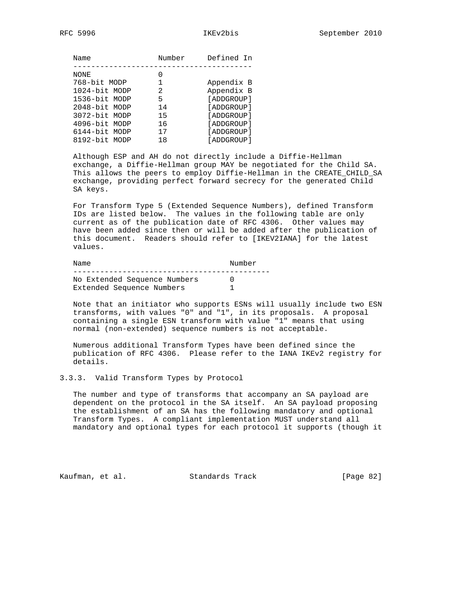| Name          | Number | Defined In   |
|---------------|--------|--------------|
|               |        |              |
| NONE          |        |              |
| 768-bit MODP  | 1      | Appendix B   |
| 1024-bit MODP | 2.     | Appendix B   |
| 1536-bit MODP | 5      | [ADDGROUP]   |
| 2048-bit MODP | 14     | [ADDGROUP]   |
| 3072-bit MODP | 15     | [ADDGROUP]   |
| 4096-bit MODP | 16     | [ADDGROUP]   |
| 6144-bit MODP | 17     | [ADDGROUP]   |
| 8192-bit MODP | 18     | [ ADDGROUP ] |

 Although ESP and AH do not directly include a Diffie-Hellman exchange, a Diffie-Hellman group MAY be negotiated for the Child SA. This allows the peers to employ Diffie-Hellman in the CREATE\_CHILD\_SA exchange, providing perfect forward secrecy for the generated Child SA keys.

 For Transform Type 5 (Extended Sequence Numbers), defined Transform IDs are listed below. The values in the following table are only current as of the publication date of RFC 4306. Other values may have been added since then or will be added after the publication of this document. Readers should refer to [IKEV2IANA] for the latest values.

| No Extended Sequence Numbers<br>Extended Sequence Numbers | Name | Number |
|-----------------------------------------------------------|------|--------|
|                                                           |      |        |

 Note that an initiator who supports ESNs will usually include two ESN transforms, with values "0" and "1", in its proposals. A proposal containing a single ESN transform with value "1" means that using normal (non-extended) sequence numbers is not acceptable.

 Numerous additional Transform Types have been defined since the publication of RFC 4306. Please refer to the IANA IKEv2 registry for details.

# 3.3.3. Valid Transform Types by Protocol

 The number and type of transforms that accompany an SA payload are dependent on the protocol in the SA itself. An SA payload proposing the establishment of an SA has the following mandatory and optional Transform Types. A compliant implementation MUST understand all mandatory and optional types for each protocol it supports (though it

Kaufman, et al. Standards Track [Page 82]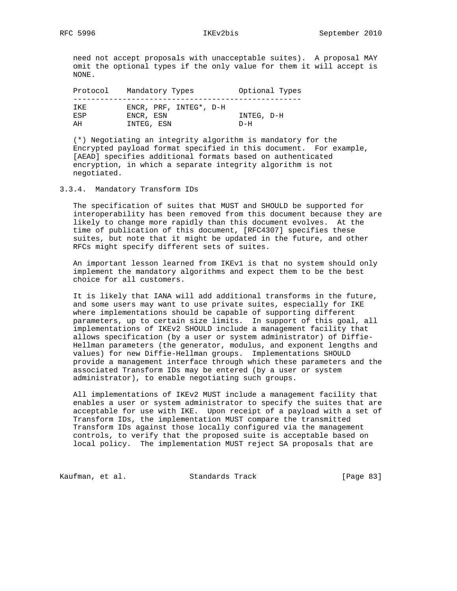need not accept proposals with unacceptable suites). A proposal MAY omit the optional types if the only value for them it will accept is NONE.

| Protocol           | Mandatory Types                     | Optional Types |
|--------------------|-------------------------------------|----------------|
| TKF.<br><b>ESP</b> | ENCR, PRF, INTEG*, D-H<br>ENCR, ESN | INTEG, D-H     |
| ΔH                 | INTEG, ESN                          | $D-H$          |

 (\*) Negotiating an integrity algorithm is mandatory for the Encrypted payload format specified in this document. For example, [AEAD] specifies additional formats based on authenticated encryption, in which a separate integrity algorithm is not negotiated.

## 3.3.4. Mandatory Transform IDs

 The specification of suites that MUST and SHOULD be supported for interoperability has been removed from this document because they are likely to change more rapidly than this document evolves. At the time of publication of this document, [RFC4307] specifies these suites, but note that it might be updated in the future, and other RFCs might specify different sets of suites.

 An important lesson learned from IKEv1 is that no system should only implement the mandatory algorithms and expect them to be the best choice for all customers.

 It is likely that IANA will add additional transforms in the future, and some users may want to use private suites, especially for IKE where implementations should be capable of supporting different parameters, up to certain size limits. In support of this goal, all implementations of IKEv2 SHOULD include a management facility that allows specification (by a user or system administrator) of Diffie- Hellman parameters (the generator, modulus, and exponent lengths and values) for new Diffie-Hellman groups. Implementations SHOULD provide a management interface through which these parameters and the associated Transform IDs may be entered (by a user or system administrator), to enable negotiating such groups.

 All implementations of IKEv2 MUST include a management facility that enables a user or system administrator to specify the suites that are acceptable for use with IKE. Upon receipt of a payload with a set of Transform IDs, the implementation MUST compare the transmitted Transform IDs against those locally configured via the management controls, to verify that the proposed suite is acceptable based on local policy. The implementation MUST reject SA proposals that are

Kaufman, et al. Standards Track [Page 83]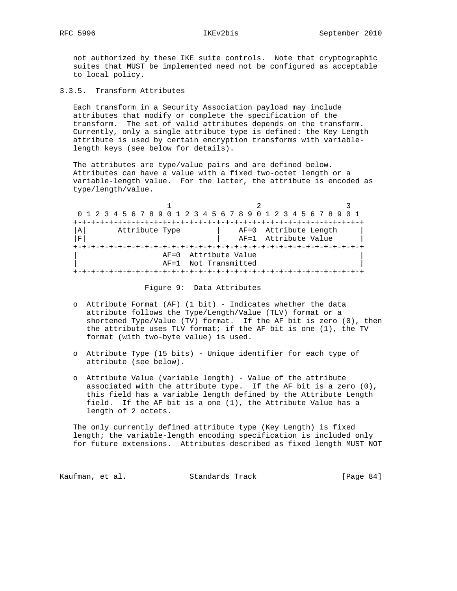not authorized by these IKE suite controls. Note that cryptographic suites that MUST be implemented need not be configured as acceptable to local policy.

3.3.5. Transform Attributes

 Each transform in a Security Association payload may include attributes that modify or complete the specification of the transform. The set of valid attributes depends on the transform. Currently, only a single attribute type is defined: the Key Length attribute is used by certain encryption transforms with variable length keys (see below for details).

 The attributes are type/value pairs and are defined below. Attributes can have a value with a fixed two-octet length or a variable-length value. For the latter, the attribute is encoded as type/length/value.

|             | 0 1 2 3 4 5 6 7 8 9 0 1 2 3 4 5 6 7 8 9 0 1 2 3 4 5 6 7 8 9 0 1 |                       |  |
|-------------|-----------------------------------------------------------------|-----------------------|--|
|             |                                                                 |                       |  |
| A           | Attribute Type                                                  | AF=0 Attribute Length |  |
| $\mathbf F$ |                                                                 | AF=1 Attribute Value  |  |
|             |                                                                 |                       |  |
|             | AF=0 Attribute Value                                            |                       |  |
|             | AF=1 Not Transmitted                                            |                       |  |
|             |                                                                 |                       |  |

Figure 9: Data Attributes

- o Attribute Format (AF) (1 bit) Indicates whether the data attribute follows the Type/Length/Value (TLV) format or a shortened Type/Value (TV) format. If the AF bit is zero (0), then the attribute uses TLV format; if the AF bit is one (1), the TV format (with two-byte value) is used.
- o Attribute Type (15 bits) Unique identifier for each type of attribute (see below).
- o Attribute Value (variable length) Value of the attribute associated with the attribute type. If the AF bit is a zero (0), this field has a variable length defined by the Attribute Length field. If the AF bit is a one (1), the Attribute Value has a length of 2 octets.

 The only currently defined attribute type (Key Length) is fixed length; the variable-length encoding specification is included only for future extensions. Attributes described as fixed length MUST NOT

Kaufman, et al. Standards Track [Page 84]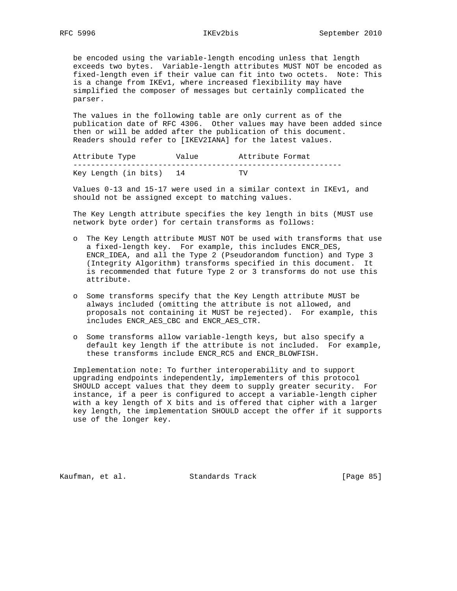be encoded using the variable-length encoding unless that length exceeds two bytes. Variable-length attributes MUST NOT be encoded as fixed-length even if their value can fit into two octets. Note: This is a change from IKEv1, where increased flexibility may have simplified the composer of messages but certainly complicated the parser.

 The values in the following table are only current as of the publication date of RFC 4306. Other values may have been added since then or will be added after the publication of this document. Readers should refer to [IKEV2IANA] for the latest values.

| Attribute Type       | Value | Attribute Format |
|----------------------|-------|------------------|
|                      |       |                  |
| Key Length (in bits) |       | TV               |

 Values 0-13 and 15-17 were used in a similar context in IKEv1, and should not be assigned except to matching values.

 The Key Length attribute specifies the key length in bits (MUST use network byte order) for certain transforms as follows:

- o The Key Length attribute MUST NOT be used with transforms that use a fixed-length key. For example, this includes ENCR\_DES, ENCR\_IDEA, and all the Type 2 (Pseudorandom function) and Type 3 (Integrity Algorithm) transforms specified in this document. It is recommended that future Type 2 or 3 transforms do not use this attribute.
- o Some transforms specify that the Key Length attribute MUST be always included (omitting the attribute is not allowed, and proposals not containing it MUST be rejected). For example, this includes ENCR\_AES\_CBC and ENCR\_AES\_CTR.
- o Some transforms allow variable-length keys, but also specify a default key length if the attribute is not included. For example, these transforms include ENCR\_RC5 and ENCR\_BLOWFISH.

 Implementation note: To further interoperability and to support upgrading endpoints independently, implementers of this protocol SHOULD accept values that they deem to supply greater security. For instance, if a peer is configured to accept a variable-length cipher with a key length of X bits and is offered that cipher with a larger key length, the implementation SHOULD accept the offer if it supports use of the longer key.

Kaufman, et al. Standards Track [Page 85]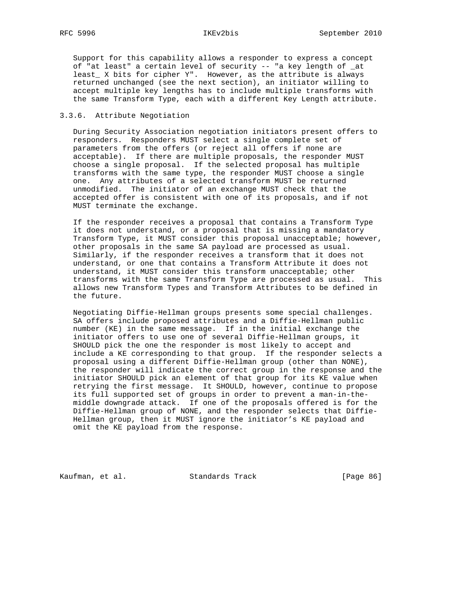Support for this capability allows a responder to express a concept of "at least" a certain level of security -- "a key length of \_at least\_ X bits for cipher Y". However, as the attribute is always returned unchanged (see the next section), an initiator willing to accept multiple key lengths has to include multiple transforms with the same Transform Type, each with a different Key Length attribute.

# 3.3.6. Attribute Negotiation

 During Security Association negotiation initiators present offers to responders. Responders MUST select a single complete set of parameters from the offers (or reject all offers if none are acceptable). If there are multiple proposals, the responder MUST choose a single proposal. If the selected proposal has multiple transforms with the same type, the responder MUST choose a single one. Any attributes of a selected transform MUST be returned unmodified. The initiator of an exchange MUST check that the accepted offer is consistent with one of its proposals, and if not MUST terminate the exchange.

 If the responder receives a proposal that contains a Transform Type it does not understand, or a proposal that is missing a mandatory Transform Type, it MUST consider this proposal unacceptable; however, other proposals in the same SA payload are processed as usual. Similarly, if the responder receives a transform that it does not understand, or one that contains a Transform Attribute it does not understand, it MUST consider this transform unacceptable; other transforms with the same Transform Type are processed as usual. This allows new Transform Types and Transform Attributes to be defined in the future.

 Negotiating Diffie-Hellman groups presents some special challenges. SA offers include proposed attributes and a Diffie-Hellman public number (KE) in the same message. If in the initial exchange the initiator offers to use one of several Diffie-Hellman groups, it SHOULD pick the one the responder is most likely to accept and include a KE corresponding to that group. If the responder selects a proposal using a different Diffie-Hellman group (other than NONE), the responder will indicate the correct group in the response and the initiator SHOULD pick an element of that group for its KE value when retrying the first message. It SHOULD, however, continue to propose its full supported set of groups in order to prevent a man-in-the middle downgrade attack. If one of the proposals offered is for the Diffie-Hellman group of NONE, and the responder selects that Diffie- Hellman group, then it MUST ignore the initiator's KE payload and omit the KE payload from the response.

Kaufman, et al. Standards Track [Page 86]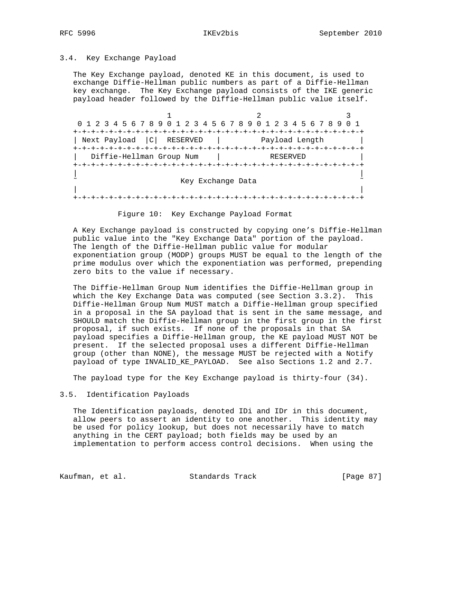## 3.4. Key Exchange Payload

 The Key Exchange payload, denoted KE in this document, is used to exchange Diffie-Hellman public numbers as part of a Diffie-Hellman key exchange. The Key Exchange payload consists of the IKE generic payload header followed by the Diffie-Hellman public value itself.

1 2 3 0 1 2 3 4 5 6 7 8 9 0 1 2 3 4 5 6 7 8 9 0 1 2 3 4 5 6 7 8 9 0 1 +-+-+-+-+-+-+-+-+-+-+-+-+-+-+-+-+-+-+-+-+-+-+-+-+-+-+-+-+-+-+-+-+ | Next Payload |C| RESERVED | Payload Length | +-+-+-+-+-+-+-+-+-+-+-+-+-+-+-+-+-+-+-+-+-+-+-+-+-+-+-+-+-+-+-+-+ | Diffie-Hellman Group Num | RESERVED | +-+-+-+-+-+-+-+-+-+-+-+-+-+-+-+-+-+-+-+-+-+-+-+-+-+-+-+-+-+-+-+-+ | | Key Exchange Data | | +-+-+-+-+-+-+-+-+-+-+-+-+-+-+-+-+-+-+-+-+-+-+-+-+-+-+-+-+-+-+-+-+

Figure 10: Key Exchange Payload Format

 A Key Exchange payload is constructed by copying one's Diffie-Hellman public value into the "Key Exchange Data" portion of the payload. The length of the Diffie-Hellman public value for modular exponentiation group (MODP) groups MUST be equal to the length of the prime modulus over which the exponentiation was performed, prepending zero bits to the value if necessary.

 The Diffie-Hellman Group Num identifies the Diffie-Hellman group in which the Key Exchange Data was computed (see Section 3.3.2). This Diffie-Hellman Group Num MUST match a Diffie-Hellman group specified in a proposal in the SA payload that is sent in the same message, and SHOULD match the Diffie-Hellman group in the first group in the first proposal, if such exists. If none of the proposals in that SA payload specifies a Diffie-Hellman group, the KE payload MUST NOT be present. If the selected proposal uses a different Diffie-Hellman group (other than NONE), the message MUST be rejected with a Notify payload of type INVALID\_KE\_PAYLOAD. See also Sections 1.2 and 2.7.

The payload type for the Key Exchange payload is thirty-four (34).

# 3.5. Identification Payloads

 The Identification payloads, denoted IDi and IDr in this document, allow peers to assert an identity to one another. This identity may be used for policy lookup, but does not necessarily have to match anything in the CERT payload; both fields may be used by an implementation to perform access control decisions. When using the

Kaufman, et al. Standards Track [Page 87]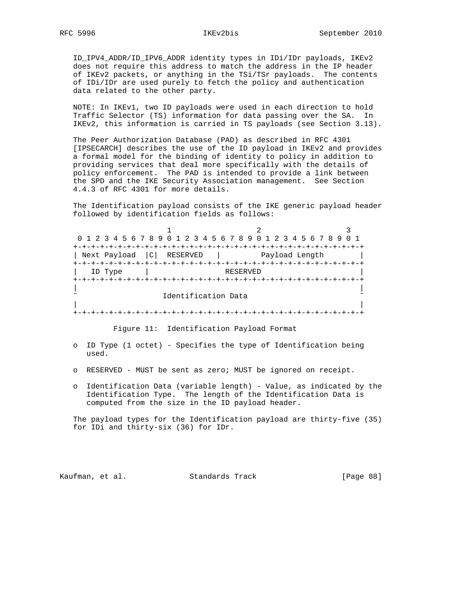ID\_IPV4\_ADDR/ID\_IPV6\_ADDR identity types in IDi/IDr payloads, IKEv2 does not require this address to match the address in the IP header of IKEv2 packets, or anything in the TSi/TSr payloads. The contents of IDi/IDr are used purely to fetch the policy and authentication data related to the other party.

 NOTE: In IKEv1, two ID payloads were used in each direction to hold Traffic Selector (TS) information for data passing over the SA. In IKEv2, this information is carried in TS payloads (see Section 3.13).

 The Peer Authorization Database (PAD) as described in RFC 4301 [IPSECARCH] describes the use of the ID payload in IKEv2 and provides a formal model for the binding of identity to policy in addition to providing services that deal more specifically with the details of policy enforcement. The PAD is intended to provide a link between the SPD and the IKE Security Association management. See Section 4.4.3 of RFC 4301 for more details.

 The Identification payload consists of the IKE generic payload header followed by identification fields as follows:

1 2 3 0 1 2 3 4 5 6 7 8 9 0 1 2 3 4 5 6 7 8 9 0 1 2 3 4 5 6 7 8 9 0 1 +-+-+-+-+-+-+-+-+-+-+-+-+-+-+-+-+-+-+-+-+-+-+-+-+-+-+-+-+-+-+-+-+ | Next Payload | C | RESERVED | Payload Length | +-+-+-+-+-+-+-+-+-+-+-+-+-+-+-+-+-+-+-+-+-+-+-+-+-+-+-+-+-+-+-+-+ | ID Type | RESERVED | +-+-+-+-+-+-+-+-+-+-+-+-+-+-+-+-+-+-+-+-+-+-+-+-+-+-+-+-+-+-+-+-+ | | Identification Data | | +-+-+-+-+-+-+-+-+-+-+-+-+-+-+-+-+-+-+-+-+-+-+-+-+-+-+-+-+-+-+-+-+

Figure 11: Identification Payload Format

- o ID Type (1 octet) Specifies the type of Identification being used.
- o RESERVED MUST be sent as zero; MUST be ignored on receipt.
- o Identification Data (variable length) Value, as indicated by the Identification Type. The length of the Identification Data is computed from the size in the ID payload header.

 The payload types for the Identification payload are thirty-five (35) for IDi and thirty-six (36) for IDr.

Kaufman, et al. Standards Track [Page 88]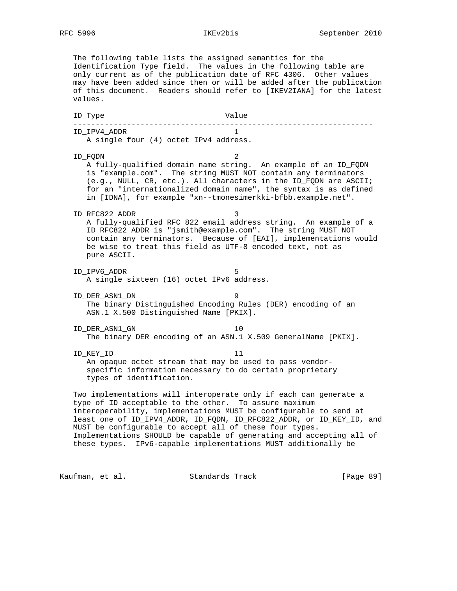The following table lists the assigned semantics for the Identification Type field. The values in the following table are only current as of the publication date of RFC 4306. Other values may have been added since then or will be added after the publication of this document. Readers should refer to [IKEV2IANA] for the latest values. ID Type Value ------------------------------------------------------------------- ID\_IPV4\_ADDR 1 A single four (4) octet IPv4 address. ID\_FQDN 2 A fully-qualified domain name string. An example of an ID\_FQDN is "example.com". The string MUST NOT contain any terminators (e.g., NULL, CR, etc.). All characters in the ID\_FQDN are ASCII; for an "internationalized domain name", the syntax is as defined in [IDNA], for example "xn--tmonesimerkki-bfbb.example.net". ID\_RFC822\_ADDR 3 A fully-qualified RFC 822 email address string. An example of a ID\_RFC822\_ADDR is "jsmith@example.com". The string MUST NOT contain any terminators. Because of [EAI], implementations would be wise to treat this field as UTF-8 encoded text, not as pure ASCII. ID\_IPV6\_ADDR 5 A single sixteen (16) octet IPv6 address. ID\_DER\_ASN1\_DN 9 The binary Distinguished Encoding Rules (DER) encoding of an ASN.1 X.500 Distinguished Name [PKIX]. ID\_DER\_ASN1\_GN 10 The binary DER encoding of an ASN.1 X.509 GeneralName [PKIX]. ID\_KEY\_ID 11 An opaque octet stream that may be used to pass vendor specific information necessary to do certain proprietary types of identification. Two implementations will interoperate only if each can generate a type of ID acceptable to the other. To assure maximum interoperability, implementations MUST be configurable to send at least one of ID\_IPV4\_ADDR, ID\_FQDN, ID\_RFC822\_ADDR, or ID\_KEY\_ID, and MUST be configurable to accept all of these four types. Implementations SHOULD be capable of generating and accepting all of these types. IPv6-capable implementations MUST additionally be

Kaufman, et al. Standards Track [Page 89]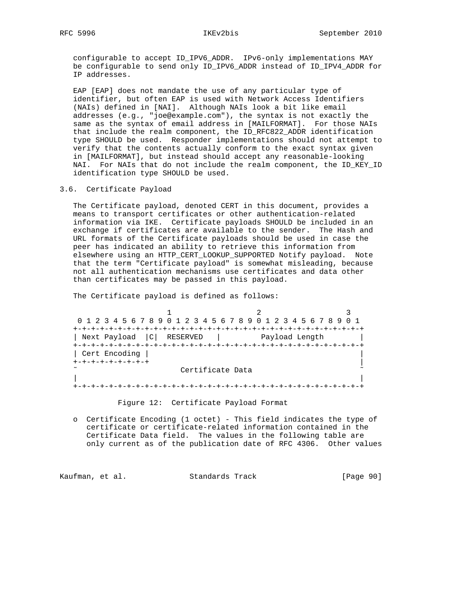# RFC 5996 IKEv2bis September 2010

 configurable to accept ID\_IPV6\_ADDR. IPv6-only implementations MAY be configurable to send only ID\_IPV6\_ADDR instead of ID\_IPV4\_ADDR for IP addresses.

 EAP [EAP] does not mandate the use of any particular type of identifier, but often EAP is used with Network Access Identifiers (NAIs) defined in [NAI]. Although NAIs look a bit like email addresses (e.g., "joe@example.com"), the syntax is not exactly the same as the syntax of email address in [MAILFORMAT]. For those NAIs that include the realm component, the ID\_RFC822\_ADDR identification type SHOULD be used. Responder implementations should not attempt to verify that the contents actually conform to the exact syntax given in [MAILFORMAT], but instead should accept any reasonable-looking NAI. For NAIs that do not include the realm component, the ID\_KEY\_ID identification type SHOULD be used.

3.6. Certificate Payload

 The Certificate payload, denoted CERT in this document, provides a means to transport certificates or other authentication-related information via IKE. Certificate payloads SHOULD be included in an exchange if certificates are available to the sender. The Hash and URL formats of the Certificate payloads should be used in case the peer has indicated an ability to retrieve this information from elsewhere using an HTTP\_CERT\_LOOKUP\_SUPPORTED Notify payload. Note that the term "Certificate payload" is somewhat misleading, because not all authentication mechanisms use certificates and data other than certificates may be passed in this payload.

The Certificate payload is defined as follows:

1 2 3 0 1 2 3 4 5 6 7 8 9 0 1 2 3 4 5 6 7 8 9 0 1 2 3 4 5 6 7 8 9 0 1 +-+-+-+-+-+-+-+-+-+-+-+-+-+-+-+-+-+-+-+-+-+-+-+-+-+-+-+-+-+-+-+-+ | Next Payload |C| RESERVED | Payload Length | +-+-+-+-+-+-+-+-+-+-+-+-+-+-+-+-+-+-+-+-+-+-+-+-+-+-+-+-+-+-+-+-+ | Cert Encoding | | +-+-+-+-+-+-+-+-+ | Certificate Data | | +-+-+-+-+-+-+-+-+-+-+-+-+-+-+-+-+-+-+-+-+-+-+-+-+-+-+-+-+-+-+-+-+

Figure 12: Certificate Payload Format

 o Certificate Encoding (1 octet) - This field indicates the type of certificate or certificate-related information contained in the Certificate Data field. The values in the following table are only current as of the publication date of RFC 4306. Other values

Kaufman, et al. Standards Track [Page 90]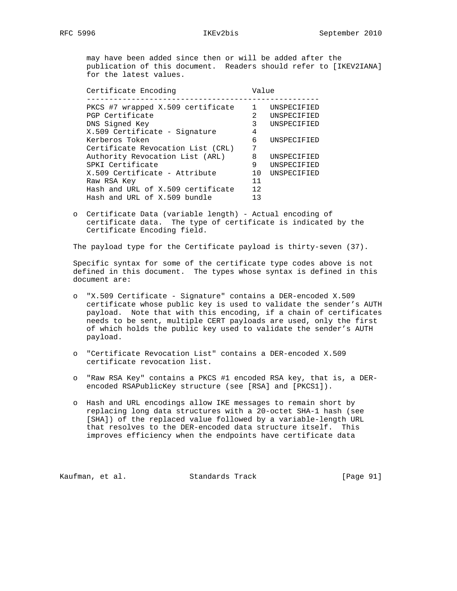may have been added since then or will be added after the publication of this document. Readers should refer to [IKEV2IANA] for the latest values.

Certificate Encoding and Value ---------------------------------------------------- PKCS #7 wrapped X.509 certificate 1 UNSPECIFIED PGP Certificate 2 UNSPECIFIED DNS Signed Key 3 UNSPECIFIED X.509 Certificate - Signature 4 Kerberos Token 1988 (Engine 1988) 6 UNSPECIFIED Certificate Revocation List (CRL) 7 Authority Revocation List (ARL) 8 UNSPECIFIED SPKI Certificate 6 1 9 UNSPECIFIED X.509 Certificate - Attribute 10 UNSPECIFIED Raw RSA Key 11 Hash and URL of X.509 certificate 12 Hash and URL of X.509 bundle 13

 o Certificate Data (variable length) - Actual encoding of certificate data. The type of certificate is indicated by the Certificate Encoding field.

The payload type for the Certificate payload is thirty-seven (37).

 Specific syntax for some of the certificate type codes above is not defined in this document. The types whose syntax is defined in this document are:

- o "X.509 Certificate Signature" contains a DER-encoded X.509 certificate whose public key is used to validate the sender's AUTH payload. Note that with this encoding, if a chain of certificates needs to be sent, multiple CERT payloads are used, only the first of which holds the public key used to validate the sender's AUTH payload.
- o "Certificate Revocation List" contains a DER-encoded X.509 certificate revocation list.
- o "Raw RSA Key" contains a PKCS #1 encoded RSA key, that is, a DER encoded RSAPublicKey structure (see [RSA] and [PKCS1]).
- o Hash and URL encodings allow IKE messages to remain short by replacing long data structures with a 20-octet SHA-1 hash (see [SHA]) of the replaced value followed by a variable-length URL that resolves to the DER-encoded data structure itself. This improves efficiency when the endpoints have certificate data

Kaufman, et al. Standards Track [Page 91]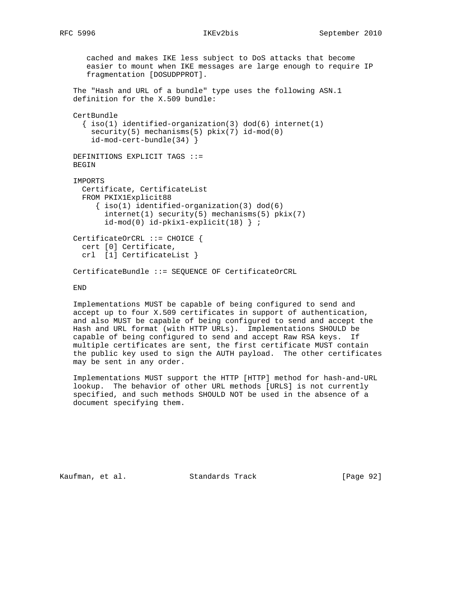cached and makes IKE less subject to DoS attacks that become easier to mount when IKE messages are large enough to require IP fragmentation [DOSUDPPROT]. The "Hash and URL of a bundle" type uses the following ASN.1 definition for the X.509 bundle: CertBundle  $\{ iso(1)$  identified-organization(3) dod(6) internet(1) security(5) mechanisms(5) pkix(7) id-mod(0) id-mod-cert-bundle(34) } DEFINITIONS EXPLICIT TAGS ::= BEGIN IMPORTS Certificate, CertificateList FROM PKIX1Explicit88 { iso(1) identified-organization(3) dod(6) internet(1) security(5) mechanisms(5) pkix(7) id-mod(0) id-pkix1-explicit(18) } ; CertificateOrCRL ::= CHOICE { cert [0] Certificate, crl [1] CertificateList } CertificateBundle ::= SEQUENCE OF CertificateOrCRL

## END

 Implementations MUST be capable of being configured to send and accept up to four X.509 certificates in support of authentication, and also MUST be capable of being configured to send and accept the Hash and URL format (with HTTP URLs). Implementations SHOULD be capable of being configured to send and accept Raw RSA keys. If multiple certificates are sent, the first certificate MUST contain the public key used to sign the AUTH payload. The other certificates may be sent in any order.

 Implementations MUST support the HTTP [HTTP] method for hash-and-URL lookup. The behavior of other URL methods [URLS] is not currently specified, and such methods SHOULD NOT be used in the absence of a document specifying them.

Kaufman, et al. Standards Track [Page 92]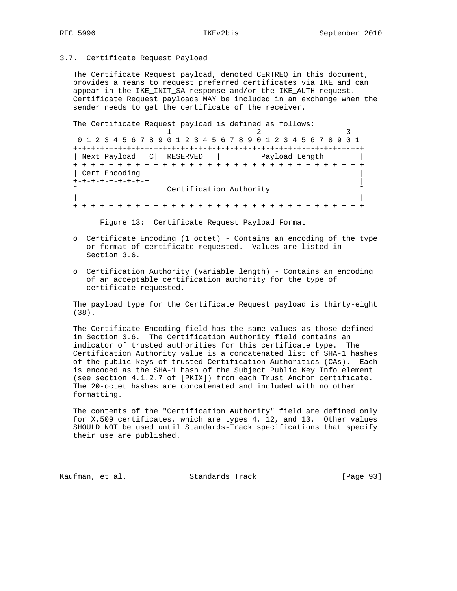3.7. Certificate Request Payload

 The Certificate Request payload, denoted CERTREQ in this document, provides a means to request preferred certificates via IKE and can appear in the IKE\_INIT\_SA response and/or the IKE\_AUTH request. Certificate Request payloads MAY be included in an exchange when the sender needs to get the certificate of the receiver.

The Certificate Request payload is defined as follows:

1 2 3 0 1 2 3 4 5 6 7 8 9 0 1 2 3 4 5 6 7 8 9 0 1 2 3 4 5 6 7 8 9 0 1 +-+-+-+-+-+-+-+-+-+-+-+-+-+-+-+-+-+-+-+-+-+-+-+-+-+-+-+-+-+-+-+-+ | Next Payload |C| RESERVED | Payload Length | +-+-+-+-+-+-+-+-+-+-+-+-+-+-+-+-+-+-+-+-+-+-+-+-+-+-+-+-+-+-+-+-+ | Cert Encoding | | +-+-+-+-+-+-+-+-+ | Certification Authority | | +-+-+-+-+-+-+-+-+-+-+-+-+-+-+-+-+-+-+-+-+-+-+-+-+-+-+-+-+-+-+-+-+

Figure 13: Certificate Request Payload Format

- o Certificate Encoding (1 octet) Contains an encoding of the type or format of certificate requested. Values are listed in Section 3.6.
- o Certification Authority (variable length) Contains an encoding of an acceptable certification authority for the type of certificate requested.

 The payload type for the Certificate Request payload is thirty-eight (38).

 The Certificate Encoding field has the same values as those defined in Section 3.6. The Certification Authority field contains an indicator of trusted authorities for this certificate type. The Certification Authority value is a concatenated list of SHA-1 hashes of the public keys of trusted Certification Authorities (CAs). Each is encoded as the SHA-1 hash of the Subject Public Key Info element (see section 4.1.2.7 of [PKIX]) from each Trust Anchor certificate. The 20-octet hashes are concatenated and included with no other formatting.

 The contents of the "Certification Authority" field are defined only for X.509 certificates, which are types 4, 12, and 13. Other values SHOULD NOT be used until Standards-Track specifications that specify their use are published.

Kaufman, et al. Standards Track [Page 93]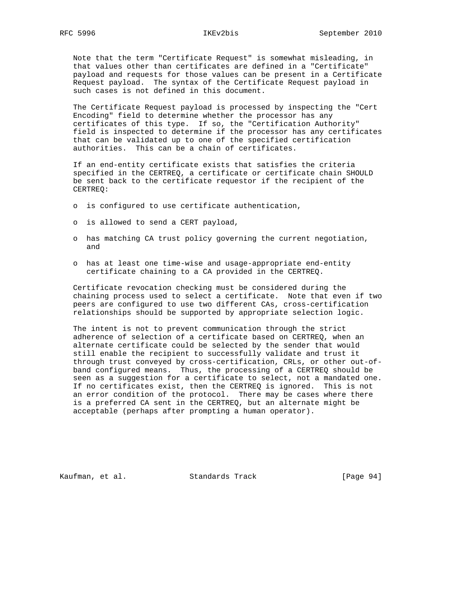# RFC 5996 IKEv2bis September 2010

 Note that the term "Certificate Request" is somewhat misleading, in that values other than certificates are defined in a "Certificate" payload and requests for those values can be present in a Certificate Request payload. The syntax of the Certificate Request payload in such cases is not defined in this document.

 The Certificate Request payload is processed by inspecting the "Cert Encoding" field to determine whether the processor has any certificates of this type. If so, the "Certification Authority" field is inspected to determine if the processor has any certificates that can be validated up to one of the specified certification authorities. This can be a chain of certificates.

 If an end-entity certificate exists that satisfies the criteria specified in the CERTREQ, a certificate or certificate chain SHOULD be sent back to the certificate requestor if the recipient of the CERTREQ:

- o is configured to use certificate authentication,
- o is allowed to send a CERT payload,
- o has matching CA trust policy governing the current negotiation, and
- o has at least one time-wise and usage-appropriate end-entity certificate chaining to a CA provided in the CERTREQ.

 Certificate revocation checking must be considered during the chaining process used to select a certificate. Note that even if two peers are configured to use two different CAs, cross-certification relationships should be supported by appropriate selection logic.

 The intent is not to prevent communication through the strict adherence of selection of a certificate based on CERTREQ, when an alternate certificate could be selected by the sender that would still enable the recipient to successfully validate and trust it through trust conveyed by cross-certification, CRLs, or other out-of band configured means. Thus, the processing of a CERTREQ should be seen as a suggestion for a certificate to select, not a mandated one. If no certificates exist, then the CERTREQ is ignored. This is not an error condition of the protocol. There may be cases where there is a preferred CA sent in the CERTREQ, but an alternate might be acceptable (perhaps after prompting a human operator).

Kaufman, et al. Standards Track [Page 94]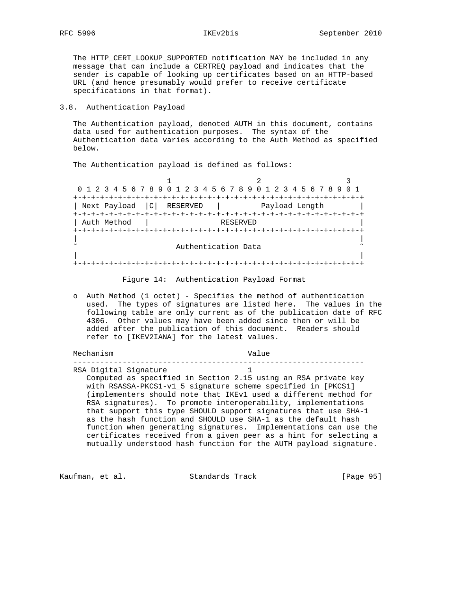The HTTP\_CERT\_LOOKUP\_SUPPORTED notification MAY be included in any message that can include a CERTREQ payload and indicates that the sender is capable of looking up certificates based on an HTTP-based URL (and hence presumably would prefer to receive certificate specifications in that format).

# 3.8. Authentication Payload

 The Authentication payload, denoted AUTH in this document, contains data used for authentication purposes. The syntax of the Authentication data varies according to the Auth Method as specified below.

The Authentication payload is defined as follows:

1 2 3 0 1 2 3 4 5 6 7 8 9 0 1 2 3 4 5 6 7 8 9 0 1 2 3 4 5 6 7 8 9 0 1 +-+-+-+-+-+-+-+-+-+-+-+-+-+-+-+-+-+-+-+-+-+-+-+-+-+-+-+-+-+-+-+-+ | Next Payload |C| RESERVED | Payload Length | +-+-+-+-+-+-+-+-+-+-+-+-+-+-+-+-+-+-+-+-+-+-+-+-+-+-+-+-+-+-+-+-+ | Auth Method | RESERVED +-+-+-+-+-+-+-+-+-+-+-+-+-+-+-+-+-+-+-+-+-+-+-+-+-+-+-+-+-+-+-+-+ | | Authentication Data | | +-+-+-+-+-+-+-+-+-+-+-+-+-+-+-+-+-+-+-+-+-+-+-+-+-+-+-+-+-+-+-+-+

Figure 14: Authentication Payload Format

 o Auth Method (1 octet) - Specifies the method of authentication used. The types of signatures are listed here. The values in the following table are only current as of the publication date of RFC 4306. Other values may have been added since then or will be added after the publication of this document. Readers should refer to [IKEV2IANA] for the latest values.

Mechanism Value

 ----------------------------------------------------------------- RSA Digital Signature

 Computed as specified in Section 2.15 using an RSA private key with RSASSA-PKCS1-v1\_5 signature scheme specified in [PKCS1] (implementers should note that IKEv1 used a different method for RSA signatures). To promote interoperability, implementations that support this type SHOULD support signatures that use SHA-1 as the hash function and SHOULD use SHA-1 as the default hash function when generating signatures. Implementations can use the certificates received from a given peer as a hint for selecting a mutually understood hash function for the AUTH payload signature.

Kaufman, et al. Standards Track [Page 95]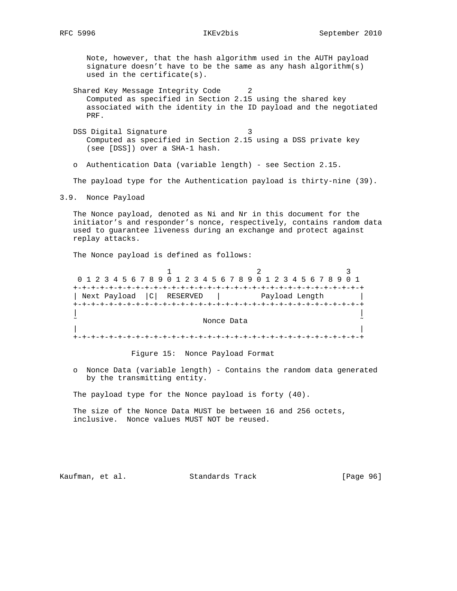Note, however, that the hash algorithm used in the AUTH payload signature doesn't have to be the same as any hash algorithm(s) used in the certificate(s).

Shared Key Message Integrity Code 2 Computed as specified in Section 2.15 using the shared key associated with the identity in the ID payload and the negotiated PRF.

DSS Digital Signature 3 Computed as specified in Section 2.15 using a DSS private key (see [DSS]) over a SHA-1 hash.

o Authentication Data (variable length) - see Section 2.15.

The payload type for the Authentication payload is thirty-nine (39).

3.9. Nonce Payload

 The Nonce payload, denoted as Ni and Nr in this document for the initiator's and responder's nonce, respectively, contains random data used to guarantee liveness during an exchange and protect against replay attacks.

The Nonce payload is defined as follows:

| 0 1 2 3 4 5 6 7 8 9 0 1 2 3 4 5 6 7 8 9 0 1 2 3 4 5 6 7 8 9 0 1 |                |  |
|-----------------------------------------------------------------|----------------|--|
|                                                                 |                |  |
| Next Payload  C  RESERVED                                       | Payload Length |  |
|                                                                 |                |  |
|                                                                 |                |  |
|                                                                 | Nonce Data     |  |
|                                                                 |                |  |
|                                                                 |                |  |

Figure 15: Nonce Payload Format

 o Nonce Data (variable length) - Contains the random data generated by the transmitting entity.

The payload type for the Nonce payload is forty (40).

 The size of the Nonce Data MUST be between 16 and 256 octets, inclusive. Nonce values MUST NOT be reused.

Kaufman, et al. Standards Track [Page 96]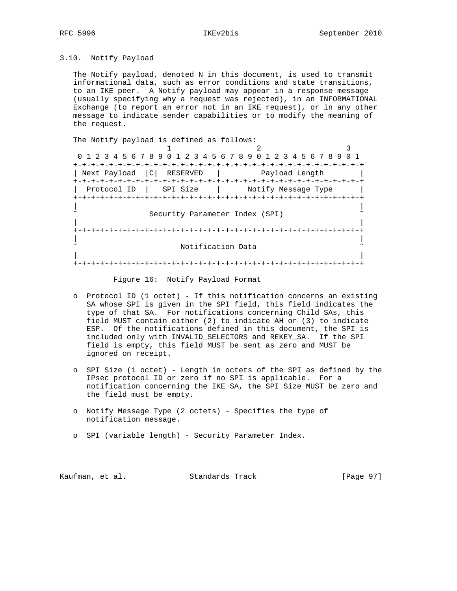# 3.10. Notify Payload

 The Notify payload, denoted N in this document, is used to transmit informational data, such as error conditions and state transitions, to an IKE peer. A Notify payload may appear in a response message (usually specifying why a request was rejected), in an INFORMATIONAL Exchange (to report an error not in an IKE request), or in any other message to indicate sender capabilities or to modify the meaning of the request.

| The Notify payload is defined as follows:                       |                                |  |
|-----------------------------------------------------------------|--------------------------------|--|
|                                                                 |                                |  |
| 0 1 2 3 4 5 6 7 8 9 0 1 2 3 4 5 6 7 8 9 0 1 2 3 4 5 6 7 8 9 0 1 |                                |  |
|                                                                 |                                |  |
| Next Payload<br> C <br>RESERVED                                 | Payload Length                 |  |
|                                                                 |                                |  |
| Protocol ID                                                     | SPI Size   Notify Message Type |  |
|                                                                 |                                |  |
|                                                                 |                                |  |
| Security Parameter Index (SPI)                                  |                                |  |
|                                                                 |                                |  |
|                                                                 |                                |  |
|                                                                 |                                |  |
| Notification Data                                               |                                |  |
|                                                                 |                                |  |
|                                                                 |                                |  |

## Figure 16: Notify Payload Format

- o Protocol ID (1 octet) If this notification concerns an existing SA whose SPI is given in the SPI field, this field indicates the type of that SA. For notifications concerning Child SAs, this field MUST contain either (2) to indicate AH or (3) to indicate ESP. Of the notifications defined in this document, the SPI is included only with INVALID\_SELECTORS and REKEY\_SA. If the SPI field is empty, this field MUST be sent as zero and MUST be ignored on receipt.
- o SPI Size (1 octet) Length in octets of the SPI as defined by the IPsec protocol ID or zero if no SPI is applicable. For a notification concerning the IKE SA, the SPI Size MUST be zero and the field must be empty.
- o Notify Message Type (2 octets) Specifies the type of notification message.
- o SPI (variable length) Security Parameter Index.

Kaufman, et al. Standards Track [Page 97]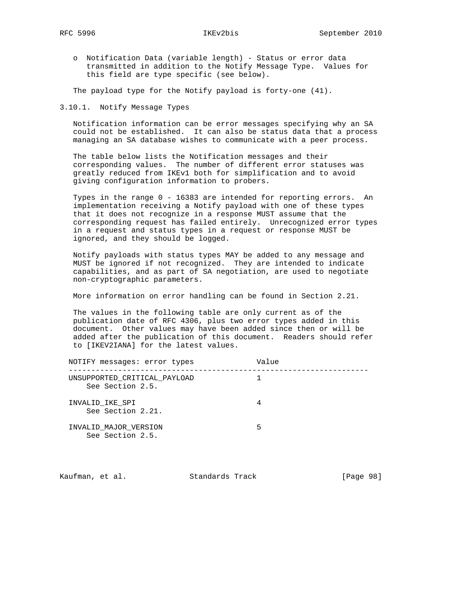o Notification Data (variable length) - Status or error data transmitted in addition to the Notify Message Type. Values for this field are type specific (see below).

The payload type for the Notify payload is forty-one (41).

3.10.1. Notify Message Types

 Notification information can be error messages specifying why an SA could not be established. It can also be status data that a process managing an SA database wishes to communicate with a peer process.

 The table below lists the Notification messages and their corresponding values. The number of different error statuses was greatly reduced from IKEv1 both for simplification and to avoid giving configuration information to probers.

 Types in the range 0 - 16383 are intended for reporting errors. An implementation receiving a Notify payload with one of these types that it does not recognize in a response MUST assume that the corresponding request has failed entirely. Unrecognized error types in a request and status types in a request or response MUST be ignored, and they should be logged.

 Notify payloads with status types MAY be added to any message and MUST be ignored if not recognized. They are intended to indicate capabilities, and as part of SA negotiation, are used to negotiate non-cryptographic parameters.

More information on error handling can be found in Section 2.21.

 The values in the following table are only current as of the publication date of RFC 4306, plus two error types added in this document. Other values may have been added since then or will be added after the publication of this document. Readers should refer to [IKEV2IANA] for the latest values.

| NOTIFY messages: error types                     | Value |
|--------------------------------------------------|-------|
| UNSUPPORTED CRITICAL PAYLOAD<br>See Section 2.5. |       |
| INVALID IKE SPI<br>See Section 2.21.             |       |
| INVALID MAJOR VERSION<br>See Section 2.5.        | Б.    |

| Kaufman, et al. | Standards Track | [Page 98] |
|-----------------|-----------------|-----------|
|-----------------|-----------------|-----------|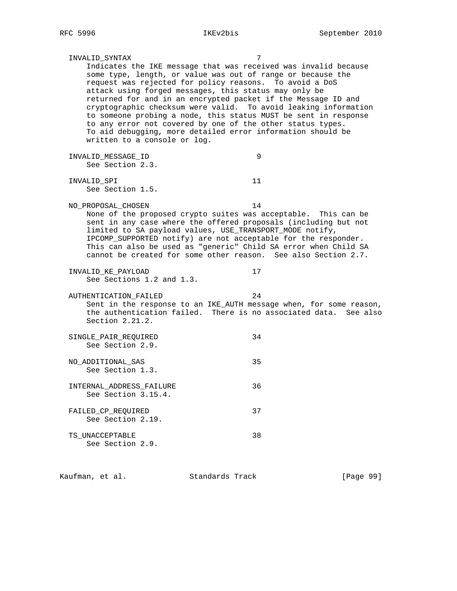| INVALID_SYNTAX                                                                                                                                                                                                                                                                                                                                                                                                                                                                                                                                                          | 7              |  |
|-------------------------------------------------------------------------------------------------------------------------------------------------------------------------------------------------------------------------------------------------------------------------------------------------------------------------------------------------------------------------------------------------------------------------------------------------------------------------------------------------------------------------------------------------------------------------|----------------|--|
| Indicates the IKE message that was received was invalid because<br>some type, length, or value was out of range or because the<br>request was rejected for policy reasons.<br>attack using forged messages, this status may only be<br>returned for and in an encrypted packet if the Message ID and<br>cryptographic checksum were valid. To avoid leaking information<br>to someone probing a node, this status MUST be sent in response<br>to any error not covered by one of the other status types.<br>To aid debugging, more detailed error information should be | To avoid a DoS |  |
| written to a console or log.                                                                                                                                                                                                                                                                                                                                                                                                                                                                                                                                            |                |  |
| INVALID_MESSAGE_ID<br>See Section 2.3.                                                                                                                                                                                                                                                                                                                                                                                                                                                                                                                                  | 9              |  |
| INVALID SPI<br>See Section 1.5.                                                                                                                                                                                                                                                                                                                                                                                                                                                                                                                                         | 11             |  |
| NO_PROPOSAL_CHOSEN<br>None of the proposed crypto suites was acceptable. This can be<br>sent in any case where the offered proposals (including but not<br>limited to SA payload values, USE_TRANSPORT_MODE notify,<br>IPCOMP_SUPPORTED notify) are not acceptable for the responder.<br>This can also be used as "generic" Child SA error when Child SA<br>cannot be created for some other reason. See also Section 2.7.                                                                                                                                              | 14             |  |
| INVALID_KE_PAYLOAD<br>See Sections 1.2 and 1.3.                                                                                                                                                                                                                                                                                                                                                                                                                                                                                                                         | 17             |  |
| AUTHENTICATION FAILED<br>Sent in the response to an IKE_AUTH message when, for some reason,<br>the authentication failed. There is no associated data. See also<br>Section 2.21.2.                                                                                                                                                                                                                                                                                                                                                                                      | 24             |  |
| SINGLE_PAIR_REQUIRED<br>See Section 2.9.                                                                                                                                                                                                                                                                                                                                                                                                                                                                                                                                | 34             |  |
| NO ADDITIONAL SAS<br>See Section 1.3.                                                                                                                                                                                                                                                                                                                                                                                                                                                                                                                                   | 35             |  |
| INTERNAL ADDRESS FAILURE<br>See Section 3.15.4.                                                                                                                                                                                                                                                                                                                                                                                                                                                                                                                         | 36             |  |
| FAILED_CP_REQUIRED<br>See Section 2.19.                                                                                                                                                                                                                                                                                                                                                                                                                                                                                                                                 | 37             |  |
| TS_UNACCEPTABLE<br>See Section 2.9.                                                                                                                                                                                                                                                                                                                                                                                                                                                                                                                                     | 38             |  |
|                                                                                                                                                                                                                                                                                                                                                                                                                                                                                                                                                                         |                |  |

Kaufman, et al. Standards Track [Page 99]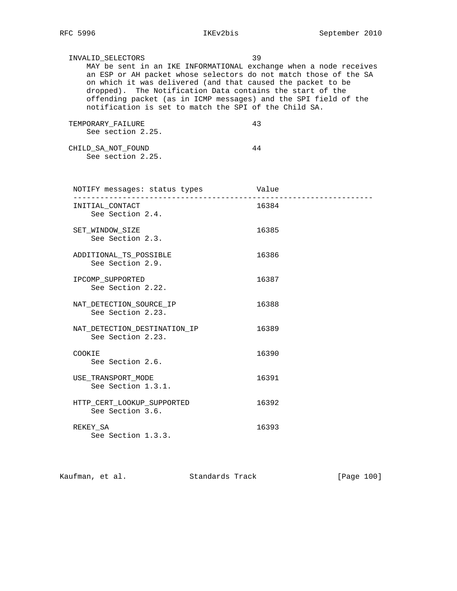INVALID\_SELECTORS 39 MAY be sent in an IKE INFORMATIONAL exchange when a node receives an ESP or AH packet whose selectors do not match those of the SA on which it was delivered (and that caused the packet to be dropped). The Notification Data contains the start of the offending packet (as in ICMP messages) and the SPI field of the notification is set to match the SPI of the Child SA.

| TEMPORARY FAILURE  | 43. |
|--------------------|-----|
| See section 2.25.  |     |
|                    |     |
| CHILD SA NOT FOUND |     |

See section 2.25.

 NOTIFY messages: status types Value ------------------------------------------------------------------- INITIAL\_CONTACT 16384 See Section 2.4. SET WINDOW SIZE 26385 See Section 2.3. ADDITIONAL\_TS\_POSSIBLE 16386 See Section 2.9. IPCOMP SUPPORTED 16387 See Section 2.22. NAT\_DETECTION\_SOURCE\_IP 16388 See Section 2.23. NAT DETECTION DESTINATION IP 16389 See Section 2.23. COOKIE 16390 See Section 2.6. USE\_TRANSPORT\_MODE 16391 See Section 1.3.1. HTTP\_CERT\_LOOKUP\_SUPPORTED 16392 See Section 3.6. REKEY SA 16393 See Section 1.3.3.

Kaufman, et al. Standards Track [Page 100]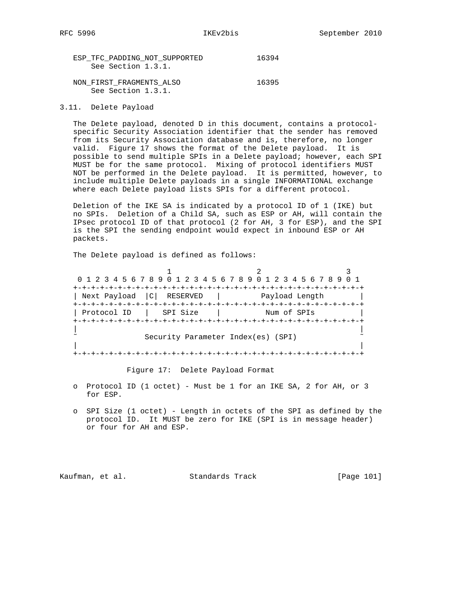| ESP TFC PADDING NOT SUPPORTED | 16394 |
|-------------------------------|-------|
| See Section 1.3.1.            |       |
|                               |       |
| NON FIRST FRAGMENTS ALSO      | 16395 |
| See Section 1.3.1.            |       |

3.11. Delete Payload

 The Delete payload, denoted D in this document, contains a protocol specific Security Association identifier that the sender has removed from its Security Association database and is, therefore, no longer valid. Figure 17 shows the format of the Delete payload. It is possible to send multiple SPIs in a Delete payload; however, each SPI MUST be for the same protocol. Mixing of protocol identifiers MUST NOT be performed in the Delete payload. It is permitted, however, to include multiple Delete payloads in a single INFORMATIONAL exchange where each Delete payload lists SPIs for a different protocol.

 Deletion of the IKE SA is indicated by a protocol ID of 1 (IKE) but no SPIs. Deletion of a Child SA, such as ESP or AH, will contain the IPsec protocol ID of that protocol (2 for AH, 3 for ESP), and the SPI is the SPI the sending endpoint would expect in inbound ESP or AH packets.

The Delete payload is defined as follows:

|                                    | 0 1 2 3 4 5 6 7 8 9 0 1 2 3 4 5 6 7 8 9 0 1 2 3 4 5 6 7 8 9 0 1 |             |  |
|------------------------------------|-----------------------------------------------------------------|-------------|--|
| Next Payload   C   RESERVED        |                                                                 |             |  |
| Protocol ID                        | SPI Size                                                        | Num of SPIs |  |
| Security Parameter Index(es) (SPI) |                                                                 |             |  |
|                                    | +-+-+-+-+-+-+-+-+-+-+-+-+-+                                     |             |  |

Figure 17: Delete Payload Format

- o Protocol ID (1 octet) Must be 1 for an IKE SA, 2 for AH, or 3 for ESP.
- o SPI Size (1 octet) Length in octets of the SPI as defined by the protocol ID. It MUST be zero for IKE (SPI is in message header) or four for AH and ESP.

Kaufman, et al. Standards Track [Page 101]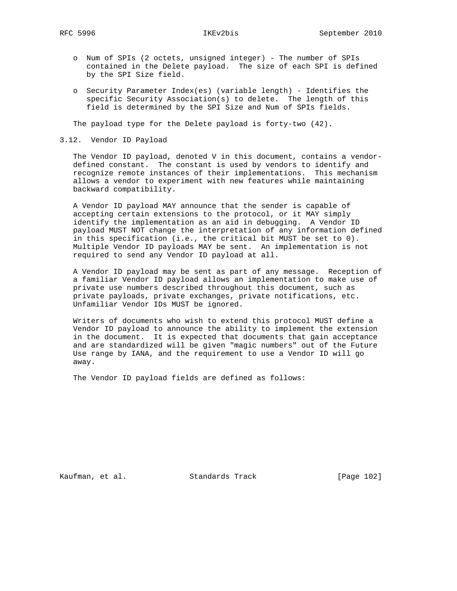- o Num of SPIs (2 octets, unsigned integer) The number of SPIs contained in the Delete payload. The size of each SPI is defined by the SPI Size field.
- o Security Parameter Index(es) (variable length) Identifies the specific Security Association(s) to delete. The length of this field is determined by the SPI Size and Num of SPIs fields.

The payload type for the Delete payload is forty-two (42).

3.12. Vendor ID Payload

 The Vendor ID payload, denoted V in this document, contains a vendor defined constant. The constant is used by vendors to identify and recognize remote instances of their implementations. This mechanism allows a vendor to experiment with new features while maintaining backward compatibility.

 A Vendor ID payload MAY announce that the sender is capable of accepting certain extensions to the protocol, or it MAY simply identify the implementation as an aid in debugging. A Vendor ID payload MUST NOT change the interpretation of any information defined in this specification (i.e., the critical bit MUST be set to 0). Multiple Vendor ID payloads MAY be sent. An implementation is not required to send any Vendor ID payload at all.

 A Vendor ID payload may be sent as part of any message. Reception of a familiar Vendor ID payload allows an implementation to make use of private use numbers described throughout this document, such as private payloads, private exchanges, private notifications, etc. Unfamiliar Vendor IDs MUST be ignored.

 Writers of documents who wish to extend this protocol MUST define a Vendor ID payload to announce the ability to implement the extension in the document. It is expected that documents that gain acceptance and are standardized will be given "magic numbers" out of the Future Use range by IANA, and the requirement to use a Vendor ID will go away.

The Vendor ID payload fields are defined as follows:

Kaufman, et al. Standards Track [Page 102]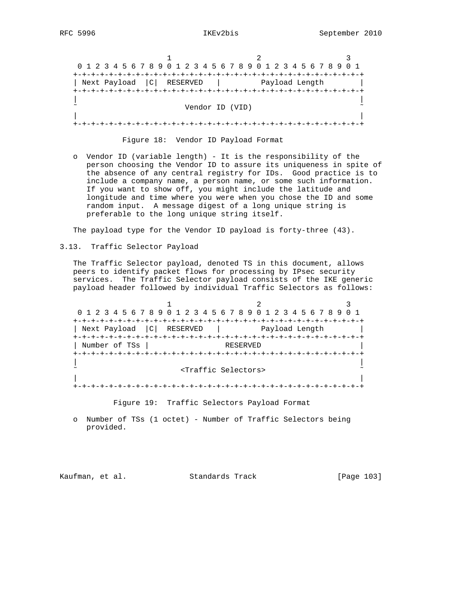1 2 3 0 1 2 3 4 5 6 7 8 9 0 1 2 3 4 5 6 7 8 9 0 1 2 3 4 5 6 7 8 9 0 1 +-+-+-+-+-+-+-+-+-+-+-+-+-+-+-+-+-+-+-+-+-+-+-+-+-+-+-+-+-+-+-+-+ | Next Payload | C | RESERVED | Payload Length | +-+-+-+-+-+-+-+-+-+-+-+-+-+-+-+-+-+-+-+-+-+-+-+-+-+-+-+-+-+-+-+-+ | | Vendor ID (VID) | | +-+-+-+-+-+-+-+-+-+-+-+-+-+-+-+-+-+-+-+-+-+-+-+-+-+-+-+-+-+-+-+-+

Figure 18: Vendor ID Payload Format

 o Vendor ID (variable length) - It is the responsibility of the person choosing the Vendor ID to assure its uniqueness in spite of the absence of any central registry for IDs. Good practice is to include a company name, a person name, or some such information. If you want to show off, you might include the latitude and longitude and time where you were when you chose the ID and some random input. A message digest of a long unique string is preferable to the long unique string itself.

The payload type for the Vendor ID payload is forty-three (43).

3.13. Traffic Selector Payload

 The Traffic Selector payload, denoted TS in this document, allows peers to identify packet flows for processing by IPsec security services. The Traffic Selector payload consists of the IKE generic payload header followed by individual Traffic Selectors as follows:

1 2 3 0 1 2 3 4 5 6 7 8 9 0 1 2 3 4 5 6 7 8 9 0 1 2 3 4 5 6 7 8 9 0 1 +-+-+-+-+-+-+-+-+-+-+-+-+-+-+-+-+-+-+-+-+-+-+-+-+-+-+-+-+-+-+-+-+ | Next Payload | C | RESERVED | Payload Length +-+-+-+-+-+-+-+-+-+-+-+-+-+-+-+-+-+-+-+-+-+-+-+-+-+-+-+-+-+-+-+-+ | Number of TSs | RESERVED +-+-+-+-+-+-+-+-+-+-+-+-+-+-+-+-+-+-+-+-+-+-+-+-+-+-+-+-+-+-+-+-+ | | ˜ <Traffic Selectors> ˜ | | +-+-+-+-+-+-+-+-+-+-+-+-+-+-+-+-+-+-+-+-+-+-+-+-+-+-+-+-+-+-+-+-+

Figure 19: Traffic Selectors Payload Format

 o Number of TSs (1 octet) - Number of Traffic Selectors being provided.

Kaufman, et al. Standards Track [Page 103]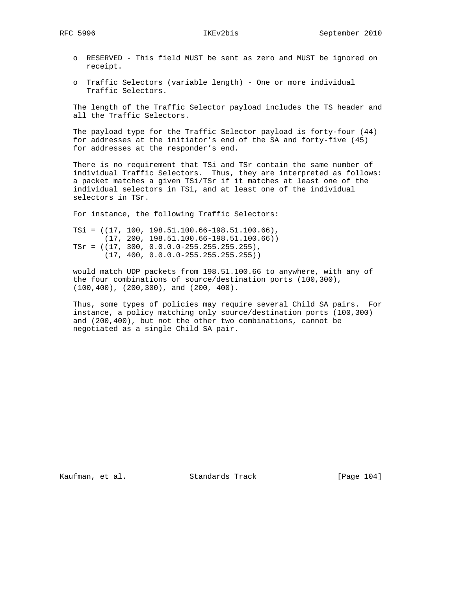- o RESERVED This field MUST be sent as zero and MUST be ignored on receipt.
- o Traffic Selectors (variable length) One or more individual Traffic Selectors.

 The length of the Traffic Selector payload includes the TS header and all the Traffic Selectors.

 The payload type for the Traffic Selector payload is forty-four (44) for addresses at the initiator's end of the SA and forty-five (45) for addresses at the responder's end.

 There is no requirement that TSi and TSr contain the same number of individual Traffic Selectors. Thus, they are interpreted as follows: a packet matches a given TSi/TSr if it matches at least one of the individual selectors in TSi, and at least one of the individual selectors in TSr.

For instance, the following Traffic Selectors:

 TSi = ((17, 100, 198.51.100.66-198.51.100.66), (17, 200, 198.51.100.66-198.51.100.66))  $TST = ((17, 300, 0.0.0.0 - 255.255.255).$ (17, 400, 0.0.0.0-255.255.255.255))

 would match UDP packets from 198.51.100.66 to anywhere, with any of the four combinations of source/destination ports (100,300), (100,400), (200,300), and (200, 400).

 Thus, some types of policies may require several Child SA pairs. For instance, a policy matching only source/destination ports (100,300) and (200,400), but not the other two combinations, cannot be negotiated as a single Child SA pair.

Kaufman, et al. Standards Track [Page 104]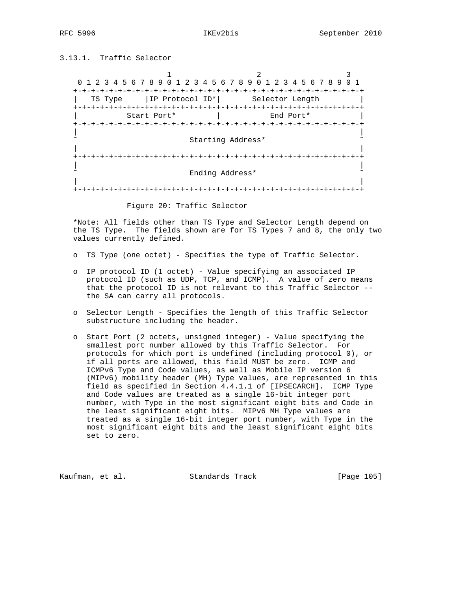3.13.1. Traffic Selector

1 2 3 0 1 2 3 4 5 6 7 8 9 0 1 2 3 4 5 6 7 8 9 0 1 2 3 4 5 6 7 8 9 0 1 +-+-+-+-+-+-+-+-+-+-+-+-+-+-+-+-+-+-+-+-+-+-+-+-+-+-+-+-+-+-+-+-+ | TS Type |IP Protocol ID\*| Selector Length | +-+-+-+-+-+-+-+-+-+-+-+-+-+-+-+-+-+-+-+-+-+-+-+-+-+-+-+-+-+-+-+-+ | Start Port\* | End Port\* | +-+-+-+-+-+-+-+-+-+-+-+-+-+-+-+-+-+-+-+-+-+-+-+-+-+-+-+-+-+-+-+-+ | | Starting Address\* | | +-+-+-+-+-+-+-+-+-+-+-+-+-+-+-+-+-+-+-+-+-+-+-+-+-+-+-+-+-+-+-+-+ | | ˜ Ending Address\* ˜ | | +-+-+-+-+-+-+-+-+-+-+-+-+-+-+-+-+-+-+-+-+-+-+-+-+-+-+-+-+-+-+-+-+

Figure 20: Traffic Selector

 \*Note: All fields other than TS Type and Selector Length depend on the TS Type. The fields shown are for TS Types 7 and 8, the only two values currently defined.

- o TS Type (one octet) Specifies the type of Traffic Selector.
- o IP protocol ID (1 octet) Value specifying an associated IP protocol ID (such as UDP, TCP, and ICMP). A value of zero means that the protocol ID is not relevant to this Traffic Selector - the SA can carry all protocols.
- o Selector Length Specifies the length of this Traffic Selector substructure including the header.
- o Start Port (2 octets, unsigned integer) Value specifying the smallest port number allowed by this Traffic Selector. For protocols for which port is undefined (including protocol 0), or if all ports are allowed, this field MUST be zero. ICMP and ICMPv6 Type and Code values, as well as Mobile IP version 6 (MIPv6) mobility header (MH) Type values, are represented in this field as specified in Section 4.4.1.1 of [IPSECARCH]. ICMP Type and Code values are treated as a single 16-bit integer port number, with Type in the most significant eight bits and Code in the least significant eight bits. MIPv6 MH Type values are treated as a single 16-bit integer port number, with Type in the most significant eight bits and the least significant eight bits set to zero.

Kaufman, et al. Standards Track [Page 105]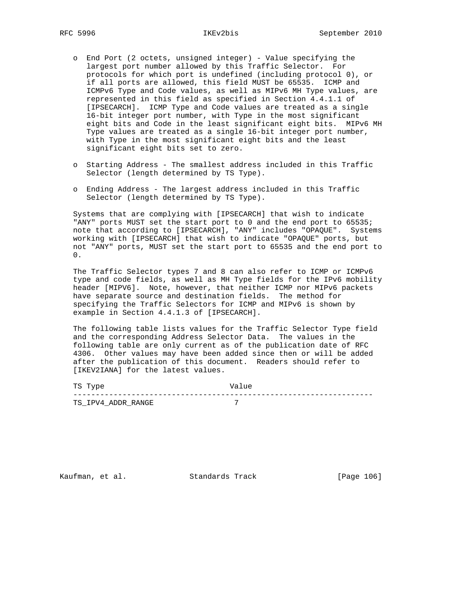- o End Port (2 octets, unsigned integer) Value specifying the largest port number allowed by this Traffic Selector. For protocols for which port is undefined (including protocol 0), or if all ports are allowed, this field MUST be 65535. ICMP and ICMPv6 Type and Code values, as well as MIPv6 MH Type values, are represented in this field as specified in Section 4.4.1.1 of [IPSECARCH]. ICMP Type and Code values are treated as a single 16-bit integer port number, with Type in the most significant eight bits and Code in the least significant eight bits. MIPv6 MH Type values are treated as a single 16-bit integer port number, with Type in the most significant eight bits and the least significant eight bits set to zero.
- o Starting Address The smallest address included in this Traffic Selector (length determined by TS Type).
- o Ending Address The largest address included in this Traffic Selector (length determined by TS Type).

 Systems that are complying with [IPSECARCH] that wish to indicate "ANY" ports MUST set the start port to 0 and the end port to 65535; note that according to [IPSECARCH], "ANY" includes "OPAQUE". Systems working with [IPSECARCH] that wish to indicate "OPAQUE" ports, but not "ANY" ports, MUST set the start port to 65535 and the end port to 0.

 The Traffic Selector types 7 and 8 can also refer to ICMP or ICMPv6 type and code fields, as well as MH Type fields for the IPv6 mobility header [MIPV6]. Note, however, that neither ICMP nor MIPv6 packets have separate source and destination fields. The method for specifying the Traffic Selectors for ICMP and MIPv6 is shown by example in Section 4.4.1.3 of [IPSECARCH].

 The following table lists values for the Traffic Selector Type field and the corresponding Address Selector Data. The values in the following table are only current as of the publication date of RFC 4306. Other values may have been added since then or will be added after the publication of this document. Readers should refer to [IKEV2IANA] for the latest values.

| TS Type                 | ™a⊥<br>ue      |
|-------------------------|----------------|
|                         |                |
| TPV4 ADDR RANGE<br>TS I | $\overline{ }$ |

Kaufman, et al. Standards Track [Page 106]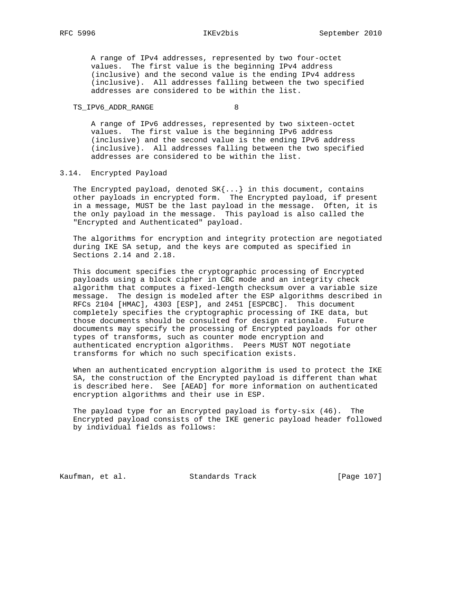A range of IPv4 addresses, represented by two four-octet values. The first value is the beginning IPv4 address (inclusive) and the second value is the ending IPv4 address (inclusive). All addresses falling between the two specified addresses are considered to be within the list.

## TS\_IPV6\_ADDR\_RANGE 8

 A range of IPv6 addresses, represented by two sixteen-octet values. The first value is the beginning IPv6 address (inclusive) and the second value is the ending IPv6 address (inclusive). All addresses falling between the two specified addresses are considered to be within the list.

# 3.14. Encrypted Payload

The Encrypted payload, denoted  $SK{...}$  in this document, contains other payloads in encrypted form. The Encrypted payload, if present in a message, MUST be the last payload in the message. Often, it is the only payload in the message. This payload is also called the "Encrypted and Authenticated" payload.

 The algorithms for encryption and integrity protection are negotiated during IKE SA setup, and the keys are computed as specified in Sections 2.14 and 2.18.

 This document specifies the cryptographic processing of Encrypted payloads using a block cipher in CBC mode and an integrity check algorithm that computes a fixed-length checksum over a variable size message. The design is modeled after the ESP algorithms described in RFCs 2104 [HMAC], 4303 [ESP], and 2451 [ESPCBC]. This document completely specifies the cryptographic processing of IKE data, but those documents should be consulted for design rationale. Future documents may specify the processing of Encrypted payloads for other types of transforms, such as counter mode encryption and authenticated encryption algorithms. Peers MUST NOT negotiate transforms for which no such specification exists.

 When an authenticated encryption algorithm is used to protect the IKE SA, the construction of the Encrypted payload is different than what is described here. See [AEAD] for more information on authenticated encryption algorithms and their use in ESP.

 The payload type for an Encrypted payload is forty-six (46). The Encrypted payload consists of the IKE generic payload header followed by individual fields as follows:

Kaufman, et al. Standards Track [Page 107]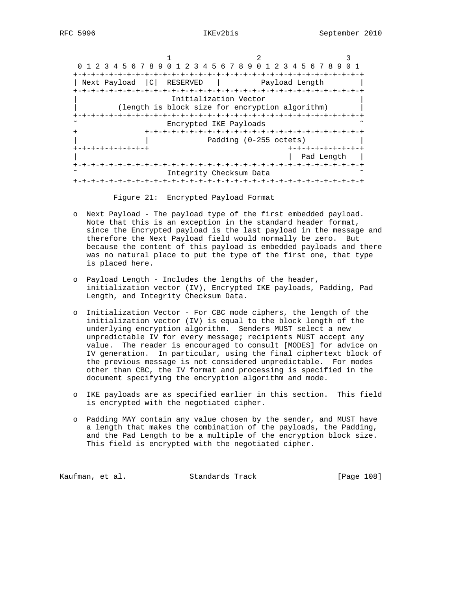1 2 3 0 1 2 3 4 5 6 7 8 9 0 1 2 3 4 5 6 7 8 9 0 1 2 3 4 5 6 7 8 9 0 1 +-+-+-+-+-+-+-+-+-+-+-+-+-+-+-+-+-+-+-+-+-+-+-+-+-+-+-+-+-+-+-+-+ | Next Payload | C | RESERVED | Payload Length | +-+-+-+-+-+-+-+-+-+-+-+-+-+-+-+-+-+-+-+-+-+-+-+-+-+-+-+-+-+-+-+-+ Initialization Vector (length is block size for encryption algorithm) +-+-+-+-+-+-+-+-+-+-+-+-+-+-+-+-+-+-+-+-+-+-+-+-+-+-+-+-+-+-+-+-+ Encrypted IKE Payloads + +-+-+-+-+-+-+-+-+-+-+-+-+-+-+-+-+-+-+-+-+-+-+-+-+ Padding (0-255 octets) +-+-+-+-+-+-+-+-+ +-+-+-+-+-+-+-+-+ | | Pad Length | +-+-+-+-+-+-+-+-+-+-+-+-+-+-+-+-+-+-+-+-+-+-+-+-+-+-+-+-+-+-+-+-+ Integrity Checksum Data +-+-+-+-+-+-+-+-+-+-+-+-+-+-+-+-+-+-+-+-+-+-+-+-+-+-+-+-+-+-+-+-+

Figure 21: Encrypted Payload Format

- o Next Payload The payload type of the first embedded payload. Note that this is an exception in the standard header format, since the Encrypted payload is the last payload in the message and therefore the Next Payload field would normally be zero. But because the content of this payload is embedded payloads and there was no natural place to put the type of the first one, that type is placed here.
- o Payload Length Includes the lengths of the header, initialization vector (IV), Encrypted IKE payloads, Padding, Pad Length, and Integrity Checksum Data.
- o Initialization Vector For CBC mode ciphers, the length of the initialization vector (IV) is equal to the block length of the underlying encryption algorithm. Senders MUST select a new unpredictable IV for every message; recipients MUST accept any value. The reader is encouraged to consult [MODES] for advice on IV generation. In particular, using the final ciphertext block of the previous message is not considered unpredictable. For modes other than CBC, the IV format and processing is specified in the document specifying the encryption algorithm and mode.
- o IKE payloads are as specified earlier in this section. This field is encrypted with the negotiated cipher.
- o Padding MAY contain any value chosen by the sender, and MUST have a length that makes the combination of the payloads, the Padding, and the Pad Length to be a multiple of the encryption block size. This field is encrypted with the negotiated cipher.

Kaufman, et al. Standards Track [Page 108]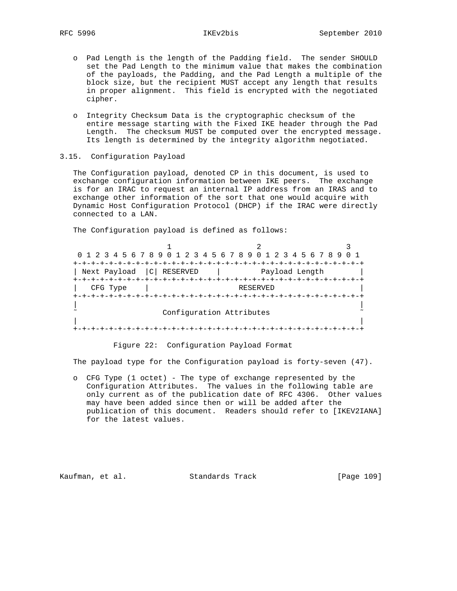- o Pad Length is the length of the Padding field. The sender SHOULD set the Pad Length to the minimum value that makes the combination of the payloads, the Padding, and the Pad Length a multiple of the block size, but the recipient MUST accept any length that results in proper alignment. This field is encrypted with the negotiated cipher.
- o Integrity Checksum Data is the cryptographic checksum of the entire message starting with the Fixed IKE header through the Pad Length. The checksum MUST be computed over the encrypted message. Its length is determined by the integrity algorithm negotiated.
- 3.15. Configuration Payload

 The Configuration payload, denoted CP in this document, is used to exchange configuration information between IKE peers. The exchange is for an IRAC to request an internal IP address from an IRAS and to exchange other information of the sort that one would acquire with Dynamic Host Configuration Protocol (DHCP) if the IRAC were directly connected to a LAN.

The Configuration payload is defined as follows:

| 0 1 2 3 4 5 6 7 8 9 0 1 2 3 4 5 6 7 8 9 0 1 2 3 4 5 6 7 8 9 |                          |  |
|-------------------------------------------------------------|--------------------------|--|
|                                                             |                          |  |
| Next Payload   C RESERVED                                   | Payload Length           |  |
|                                                             |                          |  |
| CFG Type                                                    | RESERVED                 |  |
|                                                             |                          |  |
|                                                             |                          |  |
|                                                             | Configuration Attributes |  |
|                                                             |                          |  |
|                                                             |                          |  |
|                                                             |                          |  |

Figure 22: Configuration Payload Format

The payload type for the Configuration payload is forty-seven (47).

 o CFG Type (1 octet) - The type of exchange represented by the Configuration Attributes. The values in the following table are only current as of the publication date of RFC 4306. Other values may have been added since then or will be added after the publication of this document. Readers should refer to [IKEV2IANA] for the latest values.

Kaufman, et al. Standards Track [Page 109]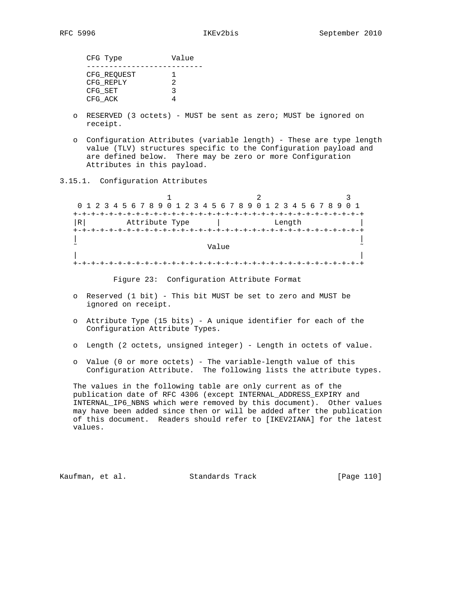| CFG Type             | Value              |
|----------------------|--------------------|
| CFG REQUEST          |                    |
| CFG REPLY<br>CFG SET | $\mathcal{P}$<br>ર |
| CFG ACK              |                    |

- o RESERVED (3 octets) MUST be sent as zero; MUST be ignored on receipt.
- o Configuration Attributes (variable length) These are type length value (TLV) structures specific to the Configuration payload and are defined below. There may be zero or more Configuration Attributes in this payload.
- 3.15.1. Configuration Attributes

| 0 1 2 3 4 5 6 7 8 9 0 1 2 3 4 5 6 7 8 9 0 1 2 3 4 5 6 7 8 9 0 1<br>----------------------------------<br>Length |  |
|-----------------------------------------------------------------------------------------------------------------|--|
|                                                                                                                 |  |
|                                                                                                                 |  |
|                                                                                                                 |  |
|                                                                                                                 |  |
|                                                                                                                 |  |
| Value                                                                                                           |  |
|                                                                                                                 |  |
|                                                                                                                 |  |
|                                                                                                                 |  |

Figure 23: Configuration Attribute Format

- o Reserved (1 bit) This bit MUST be set to zero and MUST be ignored on receipt.
- o Attribute Type (15 bits) A unique identifier for each of the Configuration Attribute Types.
- o Length (2 octets, unsigned integer) Length in octets of value.
- o Value (0 or more octets) The variable-length value of this Configuration Attribute. The following lists the attribute types.

 The values in the following table are only current as of the publication date of RFC 4306 (except INTERNAL\_ADDRESS\_EXPIRY and INTERNAL\_IP6\_NBNS which were removed by this document). Other values may have been added since then or will be added after the publication of this document. Readers should refer to [IKEV2IANA] for the latest values.

Kaufman, et al. Standards Track [Page 110]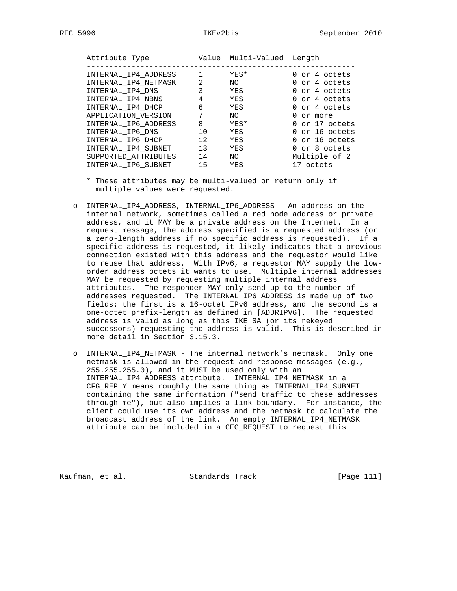| Attribute Type       |                | Value Multi-Valued Length |                |
|----------------------|----------------|---------------------------|----------------|
| INTERNAL IP4 ADDRESS |                | YES*                      | 0 or 4 octets  |
| INTERNAL_IP4_NETMASK | $\mathfrak{D}$ | NO.                       | 0 or 4 octets  |
| INTERNAL IP4 DNS     | 3              | YES                       | 0 or 4 octets  |
| INTERNAL IP4 NBNS    | 4              | YES                       | 0 or 4 octets  |
| INTERNAL IP4 DHCP    | 6              | YES                       | 0 or 4 octets  |
| APPLICATION VERSION  | 7              | NO.                       | 0 or more      |
| INTERNAL_IP6_ADDRESS | 8              | YES*                      | 0 or 17 octets |
| INTERNAL IP6 DNS     | 1 O            | YES                       | 0 or 16 octets |
| INTERNAL_IP6_DHCP    | 12.            | YES                       | 0 or 16 octets |
| INTERNAL IP4 SUBNET  | 13             | YES                       | 0 or 8 octets  |
| SUPPORTED ATTRIBUTES | 14             | NO.                       | Multiple of 2  |
| INTERNAL IP6 SUBNET  | 15             | YES                       | 17 octets      |

- \* These attributes may be multi-valued on return only if multiple values were requested.
- o INTERNAL\_IP4\_ADDRESS, INTERNAL\_IP6\_ADDRESS An address on the internal network, sometimes called a red node address or private address, and it MAY be a private address on the Internet. In a request message, the address specified is a requested address (or a zero-length address if no specific address is requested). If a specific address is requested, it likely indicates that a previous connection existed with this address and the requestor would like to reuse that address. With IPv6, a requestor MAY supply the low order address octets it wants to use. Multiple internal addresses MAY be requested by requesting multiple internal address attributes. The responder MAY only send up to the number of addresses requested. The INTERNAL\_IP6\_ADDRESS is made up of two fields: the first is a 16-octet IPv6 address, and the second is a one-octet prefix-length as defined in [ADDRIPV6]. The requested address is valid as long as this IKE SA (or its rekeyed successors) requesting the address is valid. This is described in more detail in Section 3.15.3.
	- o INTERNAL\_IP4\_NETMASK The internal network's netmask. Only one netmask is allowed in the request and response messages (e.g., 255.255.255.0), and it MUST be used only with an INTERNAL\_IP4\_ADDRESS attribute. INTERNAL\_IP4\_NETMASK in a CFG\_REPLY means roughly the same thing as INTERNAL\_IP4\_SUBNET containing the same information ("send traffic to these addresses through me"), but also implies a link boundary. For instance, the client could use its own address and the netmask to calculate the broadcast address of the link. An empty INTERNAL\_IP4\_NETMASK attribute can be included in a CFG\_REQUEST to request this

Kaufman, et al. Standards Track [Page 111]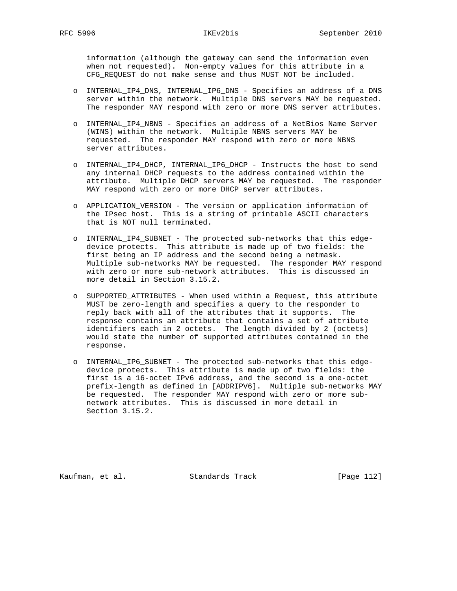information (although the gateway can send the information even when not requested). Non-empty values for this attribute in a CFG\_REQUEST do not make sense and thus MUST NOT be included.

- o INTERNAL\_IP4\_DNS, INTERNAL\_IP6\_DNS Specifies an address of a DNS server within the network. Multiple DNS servers MAY be requested. The responder MAY respond with zero or more DNS server attributes.
- o INTERNAL\_IP4\_NBNS Specifies an address of a NetBios Name Server (WINS) within the network. Multiple NBNS servers MAY be requested. The responder MAY respond with zero or more NBNS server attributes.
- o INTERNAL\_IP4\_DHCP, INTERNAL\_IP6\_DHCP Instructs the host to send any internal DHCP requests to the address contained within the attribute. Multiple DHCP servers MAY be requested. The responder MAY respond with zero or more DHCP server attributes.
- o APPLICATION\_VERSION The version or application information of the IPsec host. This is a string of printable ASCII characters that is NOT null terminated.
- o INTERNAL\_IP4\_SUBNET The protected sub-networks that this edge device protects. This attribute is made up of two fields: the first being an IP address and the second being a netmask. Multiple sub-networks MAY be requested. The responder MAY respond with zero or more sub-network attributes. This is discussed in more detail in Section 3.15.2.
- o SUPPORTED\_ATTRIBUTES When used within a Request, this attribute MUST be zero-length and specifies a query to the responder to reply back with all of the attributes that it supports. The response contains an attribute that contains a set of attribute identifiers each in 2 octets. The length divided by 2 (octets) would state the number of supported attributes contained in the response.
- o INTERNAL\_IP6\_SUBNET The protected sub-networks that this edge device protects. This attribute is made up of two fields: the first is a 16-octet IPv6 address, and the second is a one-octet prefix-length as defined in [ADDRIPV6]. Multiple sub-networks MAY be requested. The responder MAY respond with zero or more sub network attributes. This is discussed in more detail in Section 3.15.2.

Kaufman, et al. Standards Track [Page 112]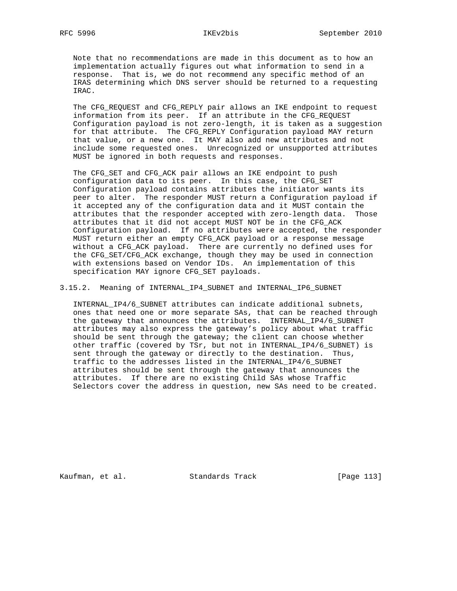Note that no recommendations are made in this document as to how an implementation actually figures out what information to send in a response. That is, we do not recommend any specific method of an IRAS determining which DNS server should be returned to a requesting IRAC.

 The CFG\_REQUEST and CFG\_REPLY pair allows an IKE endpoint to request information from its peer. If an attribute in the CFG\_REQUEST Configuration payload is not zero-length, it is taken as a suggestion for that attribute. The CFG\_REPLY Configuration payload MAY return that value, or a new one. It MAY also add new attributes and not include some requested ones. Unrecognized or unsupported attributes MUST be ignored in both requests and responses.

 The CFG\_SET and CFG\_ACK pair allows an IKE endpoint to push configuration data to its peer. In this case, the CFG\_SET Configuration payload contains attributes the initiator wants its peer to alter. The responder MUST return a Configuration payload if it accepted any of the configuration data and it MUST contain the attributes that the responder accepted with zero-length data. Those attributes that it did not accept MUST NOT be in the CFG\_ACK Configuration payload. If no attributes were accepted, the responder MUST return either an empty CFG\_ACK payload or a response message without a CFG\_ACK payload. There are currently no defined uses for the CFG\_SET/CFG\_ACK exchange, though they may be used in connection with extensions based on Vendor IDs. An implementation of this specification MAY ignore CFG\_SET payloads.

3.15.2. Meaning of INTERNAL\_IP4\_SUBNET and INTERNAL\_IP6\_SUBNET

 INTERNAL\_IP4/6\_SUBNET attributes can indicate additional subnets, ones that need one or more separate SAs, that can be reached through the gateway that announces the attributes. INTERNAL\_IP4/6\_SUBNET attributes may also express the gateway's policy about what traffic should be sent through the gateway; the client can choose whether other traffic (covered by TSr, but not in INTERNAL\_IP4/6\_SUBNET) is sent through the gateway or directly to the destination. Thus, traffic to the addresses listed in the INTERNAL\_IP4/6\_SUBNET attributes should be sent through the gateway that announces the attributes. If there are no existing Child SAs whose Traffic Selectors cover the address in question, new SAs need to be created.

Kaufman, et al. Standards Track [Page 113]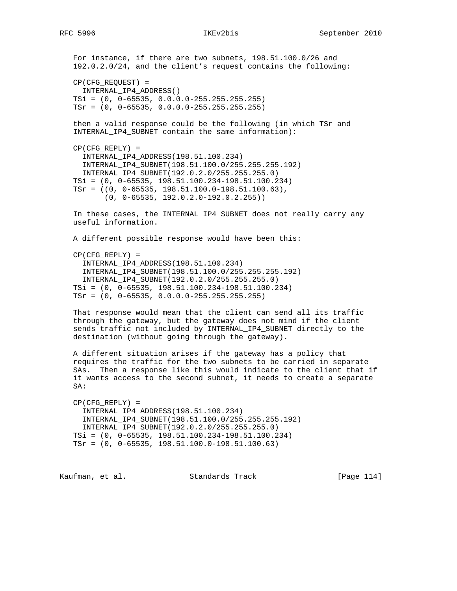For instance, if there are two subnets, 198.51.100.0/26 and 192.0.2.0/24, and the client's request contains the following: CP(CFG\_REQUEST) = INTERNAL\_IP4\_ADDRESS() TSi = (0, 0-65535, 0.0.0.0-255.255.255.255) TSr = (0, 0-65535, 0.0.0.0-255.255.255.255) then a valid response could be the following (in which TSr and INTERNAL\_IP4\_SUBNET contain the same information): CP(CFG\_REPLY) = INTERNAL\_IP4\_ADDRESS(198.51.100.234) INTERNAL\_IP4\_SUBNET(198.51.100.0/255.255.255.192) INTERNAL\_IP4\_SUBNET(192.0.2.0/255.255.255.0) TSi = (0, 0-65535, 198.51.100.234-198.51.100.234) TSr = ((0, 0-65535, 198.51.100.0-198.51.100.63), (0, 0-65535, 192.0.2.0-192.0.2.255)) In these cases, the INTERNAL\_IP4\_SUBNET does not really carry any useful information. A different possible response would have been this: CP(CFG\_REPLY) = INTERNAL\_IP4\_ADDRESS(198.51.100.234) INTERNAL\_IP4\_SUBNET(198.51.100.0/255.255.255.192) INTERNAL\_IP4\_SUBNET(192.0.2.0/255.255.255.0) TSi = (0, 0-65535, 198.51.100.234-198.51.100.234) TSr = (0, 0-65535, 0.0.0.0-255.255.255.255) That response would mean that the client can send all its traffic through the gateway, but the gateway does not mind if the client sends traffic not included by INTERNAL\_IP4\_SUBNET directly to the destination (without going through the gateway). A different situation arises if the gateway has a policy that requires the traffic for the two subnets to be carried in separate SAs. Then a response like this would indicate to the client that if it wants access to the second subnet, it needs to create a separate SA: CP(CFG\_REPLY) = INTERNAL\_IP4\_ADDRESS(198.51.100.234) INTERNAL\_IP4\_SUBNET(198.51.100.0/255.255.255.192)

 INTERNAL\_IP4\_SUBNET(192.0.2.0/255.255.255.0) TSi = (0, 0-65535, 198.51.100.234-198.51.100.234) TSr = (0, 0-65535, 198.51.100.0-198.51.100.63)

Kaufman, et al. Standards Track [Page 114]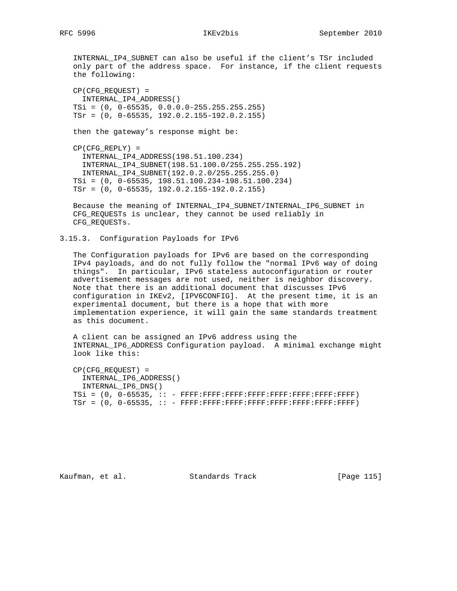INTERNAL\_IP4\_SUBNET can also be useful if the client's TSr included only part of the address space. For instance, if the client requests the following:

 CP(CFG\_REQUEST) = INTERNAL\_IP4\_ADDRESS() TSi = (0, 0-65535, 0.0.0.0-255.255.255.255) TSr = (0, 0-65535, 192.0.2.155-192.0.2.155)

then the gateway's response might be:

 CP(CFG\_REPLY) = INTERNAL\_IP4\_ADDRESS(198.51.100.234) INTERNAL\_IP4\_SUBNET(198.51.100.0/255.255.255.192) INTERNAL\_IP4\_SUBNET(192.0.2.0/255.255.255.0) TSi = (0, 0-65535, 198.51.100.234-198.51.100.234) TSr = (0, 0-65535, 192.0.2.155-192.0.2.155)

 Because the meaning of INTERNAL\_IP4\_SUBNET/INTERNAL\_IP6\_SUBNET in CFG\_REQUESTs is unclear, they cannot be used reliably in CFG\_REQUESTs.

3.15.3. Configuration Payloads for IPv6

 The Configuration payloads for IPv6 are based on the corresponding IPv4 payloads, and do not fully follow the "normal IPv6 way of doing things". In particular, IPv6 stateless autoconfiguration or router advertisement messages are not used, neither is neighbor discovery. Note that there is an additional document that discusses IPv6 configuration in IKEv2, [IPV6CONFIG]. At the present time, it is an experimental document, but there is a hope that with more implementation experience, it will gain the same standards treatment as this document.

 A client can be assigned an IPv6 address using the INTERNAL\_IP6\_ADDRESS Configuration payload. A minimal exchange might look like this:

 CP(CFG\_REQUEST) = INTERNAL\_IP6\_ADDRESS() INTERNAL\_IP6\_DNS() TSi = (0, 0-65535, :: - FFFF:FFFF:FFFF:FFFF:FFFF:FFFF:FFFF:FFFF) TSr = (0, 0-65535, :: - FFFF:FFFF:FFFF:FFFF:FFFF:FFFF:FFFF:FFFF)

Kaufman, et al. Standards Track [Page 115]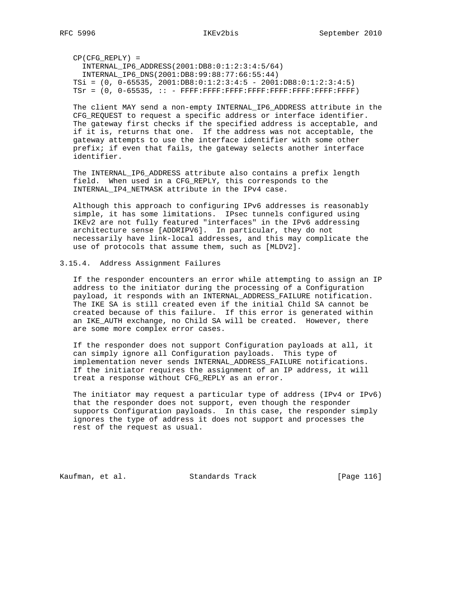CP(CFG\_REPLY) = INTERNAL\_IP6\_ADDRESS(2001:DB8:0:1:2:3:4:5/64) INTERNAL\_IP6\_DNS(2001:DB8:99:88:77:66:55:44) TSi = (0, 0-65535, 2001:DB8:0:1:2:3:4:5 - 2001:DB8:0:1:2:3:4:5)  $TST = (0, 0-65535, :: - FFFF:FFF:FFFF:FFFF:FFFF:FFFF:FFFF:FFFF:FFFF:FFF)$ 

 The client MAY send a non-empty INTERNAL\_IP6\_ADDRESS attribute in the CFG\_REQUEST to request a specific address or interface identifier. The gateway first checks if the specified address is acceptable, and if it is, returns that one. If the address was not acceptable, the gateway attempts to use the interface identifier with some other prefix; if even that fails, the gateway selects another interface identifier.

 The INTERNAL\_IP6\_ADDRESS attribute also contains a prefix length field. When used in a CFG\_REPLY, this corresponds to the INTERNAL\_IP4\_NETMASK attribute in the IPv4 case.

 Although this approach to configuring IPv6 addresses is reasonably simple, it has some limitations. IPsec tunnels configured using IKEv2 are not fully featured "interfaces" in the IPv6 addressing architecture sense [ADDRIPV6]. In particular, they do not necessarily have link-local addresses, and this may complicate the use of protocols that assume them, such as [MLDV2].

## 3.15.4. Address Assignment Failures

 If the responder encounters an error while attempting to assign an IP address to the initiator during the processing of a Configuration payload, it responds with an INTERNAL\_ADDRESS\_FAILURE notification. The IKE SA is still created even if the initial Child SA cannot be created because of this failure. If this error is generated within an IKE\_AUTH exchange, no Child SA will be created. However, there are some more complex error cases.

 If the responder does not support Configuration payloads at all, it can simply ignore all Configuration payloads. This type of implementation never sends INTERNAL\_ADDRESS\_FAILURE notifications. If the initiator requires the assignment of an IP address, it will treat a response without CFG REPLY as an error.

 The initiator may request a particular type of address (IPv4 or IPv6) that the responder does not support, even though the responder supports Configuration payloads. In this case, the responder simply ignores the type of address it does not support and processes the rest of the request as usual.

Kaufman, et al. Standards Track [Page 116]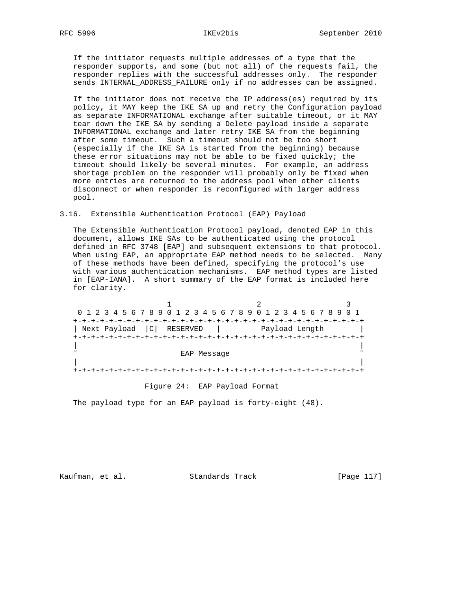If the initiator requests multiple addresses of a type that the responder supports, and some (but not all) of the requests fail, the responder replies with the successful addresses only. The responder sends INTERNAL ADDRESS FAILURE only if no addresses can be assigned.

 If the initiator does not receive the IP address(es) required by its policy, it MAY keep the IKE SA up and retry the Configuration payload as separate INFORMATIONAL exchange after suitable timeout, or it MAY tear down the IKE SA by sending a Delete payload inside a separate INFORMATIONAL exchange and later retry IKE SA from the beginning after some timeout. Such a timeout should not be too short (especially if the IKE SA is started from the beginning) because these error situations may not be able to be fixed quickly; the timeout should likely be several minutes. For example, an address shortage problem on the responder will probably only be fixed when more entries are returned to the address pool when other clients disconnect or when responder is reconfigured with larger address pool.

## 3.16. Extensible Authentication Protocol (EAP) Payload

 The Extensible Authentication Protocol payload, denoted EAP in this document, allows IKE SAs to be authenticated using the protocol defined in RFC 3748 [EAP] and subsequent extensions to that protocol. When using EAP, an appropriate EAP method needs to be selected. Many of these methods have been defined, specifying the protocol's use with various authentication mechanisms. EAP method types are listed in [EAP-IANA]. A short summary of the EAP format is included here for clarity.

1 2 3 0 1 2 3 4 5 6 7 8 9 0 1 2 3 4 5 6 7 8 9 0 1 2 3 4 5 6 7 8 9 0 1 +-+-+-+-+-+-+-+-+-+-+-+-+-+-+-+-+-+-+-+-+-+-+-+-+-+-+-+-+-+-+-+-+ | Next Payload | C | RESERVED | Payload Length +-+-+-+-+-+-+-+-+-+-+-+-+-+-+-+-+-+-+-+-+-+-+-+-+-+-+-+-+-+-+-+-+ | | EAP Message | | +-+-+-+-+-+-+-+-+-+-+-+-+-+-+-+-+-+-+-+-+-+-+-+-+-+-+-+-+-+-+-+-+

Figure 24: EAP Payload Format

The payload type for an EAP payload is forty-eight (48).

Kaufman, et al. Standards Track [Page 117]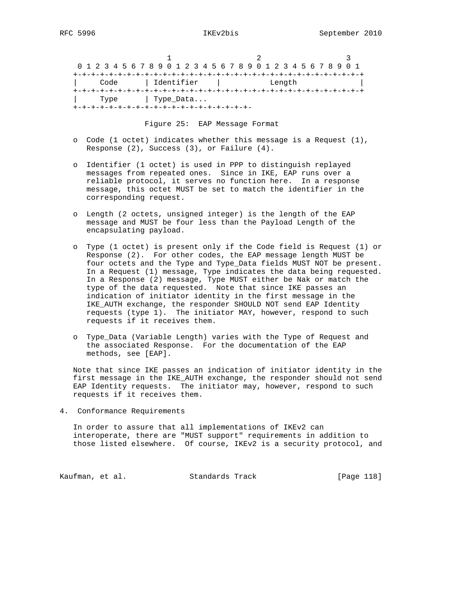Figure 25: EAP Message Format

- o Code (1 octet) indicates whether this message is a Request (1), Response (2), Success (3), or Failure (4).
- o Identifier (1 octet) is used in PPP to distinguish replayed messages from repeated ones. Since in IKE, EAP runs over a reliable protocol, it serves no function here. In a response message, this octet MUST be set to match the identifier in the corresponding request.
- o Length (2 octets, unsigned integer) is the length of the EAP message and MUST be four less than the Payload Length of the encapsulating payload.
- o Type (1 octet) is present only if the Code field is Request (1) or Response (2). For other codes, the EAP message length MUST be four octets and the Type and Type\_Data fields MUST NOT be present. In a Request (1) message, Type indicates the data being requested. In a Response (2) message, Type MUST either be Nak or match the type of the data requested. Note that since IKE passes an indication of initiator identity in the first message in the IKE\_AUTH exchange, the responder SHOULD NOT send EAP Identity requests (type 1). The initiator MAY, however, respond to such requests if it receives them.
- o Type\_Data (Variable Length) varies with the Type of Request and the associated Response. For the documentation of the EAP methods, see [EAP].

 Note that since IKE passes an indication of initiator identity in the first message in the IKE\_AUTH exchange, the responder should not send EAP Identity requests. The initiator may, however, respond to such requests if it receives them.

4. Conformance Requirements

 In order to assure that all implementations of IKEv2 can interoperate, there are "MUST support" requirements in addition to those listed elsewhere. Of course, IKEv2 is a security protocol, and

Kaufman, et al. Standards Track [Page 118]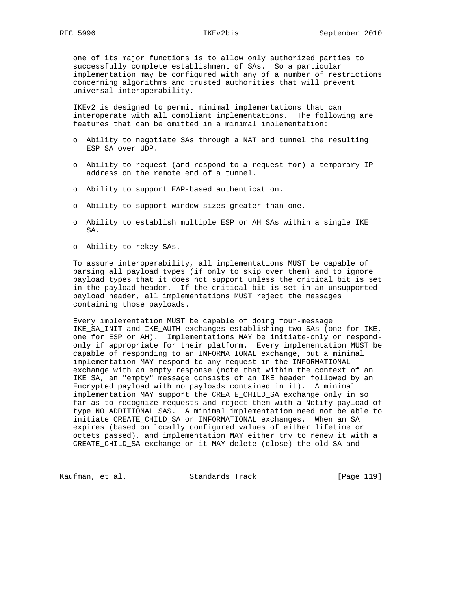one of its major functions is to allow only authorized parties to successfully complete establishment of SAs. So a particular implementation may be configured with any of a number of restrictions concerning algorithms and trusted authorities that will prevent universal interoperability.

 IKEv2 is designed to permit minimal implementations that can interoperate with all compliant implementations. The following are features that can be omitted in a minimal implementation:

- o Ability to negotiate SAs through a NAT and tunnel the resulting ESP SA over UDP.
- o Ability to request (and respond to a request for) a temporary IP address on the remote end of a tunnel.
- o Ability to support EAP-based authentication.
- o Ability to support window sizes greater than one.
- o Ability to establish multiple ESP or AH SAs within a single IKE SA.
- o Ability to rekey SAs.

 To assure interoperability, all implementations MUST be capable of parsing all payload types (if only to skip over them) and to ignore payload types that it does not support unless the critical bit is set in the payload header. If the critical bit is set in an unsupported payload header, all implementations MUST reject the messages containing those payloads.

 Every implementation MUST be capable of doing four-message IKE\_SA\_INIT and IKE\_AUTH exchanges establishing two SAs (one for IKE, one for ESP or AH). Implementations MAY be initiate-only or respond only if appropriate for their platform. Every implementation MUST be capable of responding to an INFORMATIONAL exchange, but a minimal implementation MAY respond to any request in the INFORMATIONAL exchange with an empty response (note that within the context of an IKE SA, an "empty" message consists of an IKE header followed by an Encrypted payload with no payloads contained in it). A minimal implementation MAY support the CREATE\_CHILD\_SA exchange only in so far as to recognize requests and reject them with a Notify payload of type NO\_ADDITIONAL\_SAS. A minimal implementation need not be able to initiate CREATE\_CHILD\_SA or INFORMATIONAL exchanges. When an SA expires (based on locally configured values of either lifetime or octets passed), and implementation MAY either try to renew it with a CREATE\_CHILD\_SA exchange or it MAY delete (close) the old SA and

Kaufman, et al. Standards Track [Page 119]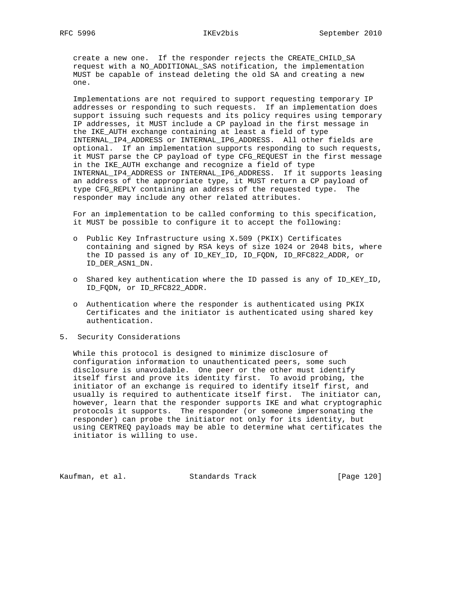create a new one. If the responder rejects the CREATE\_CHILD\_SA request with a NO\_ADDITIONAL\_SAS notification, the implementation MUST be capable of instead deleting the old SA and creating a new one.

 Implementations are not required to support requesting temporary IP addresses or responding to such requests. If an implementation does support issuing such requests and its policy requires using temporary IP addresses, it MUST include a CP payload in the first message in the IKE\_AUTH exchange containing at least a field of type INTERNAL\_IP4\_ADDRESS or INTERNAL\_IP6\_ADDRESS. All other fields are optional. If an implementation supports responding to such requests, it MUST parse the CP payload of type CFG\_REQUEST in the first message in the IKE\_AUTH exchange and recognize a field of type INTERNAL\_IP4\_ADDRESS or INTERNAL\_IP6\_ADDRESS. If it supports leasing an address of the appropriate type, it MUST return a CP payload of type CFG\_REPLY containing an address of the requested type. The responder may include any other related attributes.

 For an implementation to be called conforming to this specification, it MUST be possible to configure it to accept the following:

- o Public Key Infrastructure using X.509 (PKIX) Certificates containing and signed by RSA keys of size 1024 or 2048 bits, where the ID passed is any of ID\_KEY\_ID, ID\_FQDN, ID\_RFC822\_ADDR, or ID\_DER\_ASN1\_DN.
- o Shared key authentication where the ID passed is any of ID\_KEY\_ID, ID\_FQDN, or ID\_RFC822\_ADDR.
- o Authentication where the responder is authenticated using PKIX Certificates and the initiator is authenticated using shared key authentication.
- 5. Security Considerations

 While this protocol is designed to minimize disclosure of configuration information to unauthenticated peers, some such disclosure is unavoidable. One peer or the other must identify itself first and prove its identity first. To avoid probing, the initiator of an exchange is required to identify itself first, and usually is required to authenticate itself first. The initiator can, however, learn that the responder supports IKE and what cryptographic protocols it supports. The responder (or someone impersonating the responder) can probe the initiator not only for its identity, but using CERTREQ payloads may be able to determine what certificates the initiator is willing to use.

Kaufman, et al. Standards Track [Page 120]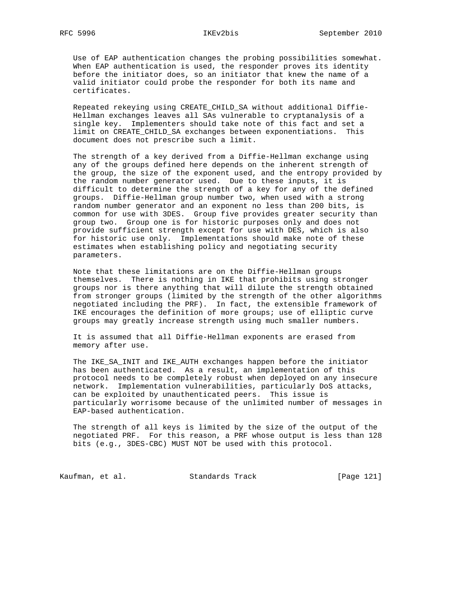Use of EAP authentication changes the probing possibilities somewhat. When EAP authentication is used, the responder proves its identity before the initiator does, so an initiator that knew the name of a valid initiator could probe the responder for both its name and certificates.

 Repeated rekeying using CREATE\_CHILD\_SA without additional Diffie- Hellman exchanges leaves all SAs vulnerable to cryptanalysis of a single key. Implementers should take note of this fact and set a limit on CREATE\_CHILD\_SA exchanges between exponentiations. This document does not prescribe such a limit.

 The strength of a key derived from a Diffie-Hellman exchange using any of the groups defined here depends on the inherent strength of the group, the size of the exponent used, and the entropy provided by the random number generator used. Due to these inputs, it is difficult to determine the strength of a key for any of the defined groups. Diffie-Hellman group number two, when used with a strong random number generator and an exponent no less than 200 bits, is common for use with 3DES. Group five provides greater security than group two. Group one is for historic purposes only and does not provide sufficient strength except for use with DES, which is also for historic use only. Implementations should make note of these estimates when establishing policy and negotiating security parameters.

 Note that these limitations are on the Diffie-Hellman groups themselves. There is nothing in IKE that prohibits using stronger groups nor is there anything that will dilute the strength obtained from stronger groups (limited by the strength of the other algorithms negotiated including the PRF). In fact, the extensible framework of IKE encourages the definition of more groups; use of elliptic curve groups may greatly increase strength using much smaller numbers.

 It is assumed that all Diffie-Hellman exponents are erased from memory after use.

 The IKE\_SA\_INIT and IKE\_AUTH exchanges happen before the initiator has been authenticated. As a result, an implementation of this protocol needs to be completely robust when deployed on any insecure network. Implementation vulnerabilities, particularly DoS attacks, can be exploited by unauthenticated peers. This issue is particularly worrisome because of the unlimited number of messages in EAP-based authentication.

 The strength of all keys is limited by the size of the output of the negotiated PRF. For this reason, a PRF whose output is less than 128 bits (e.g., 3DES-CBC) MUST NOT be used with this protocol.

Kaufman, et al. Standards Track [Page 121]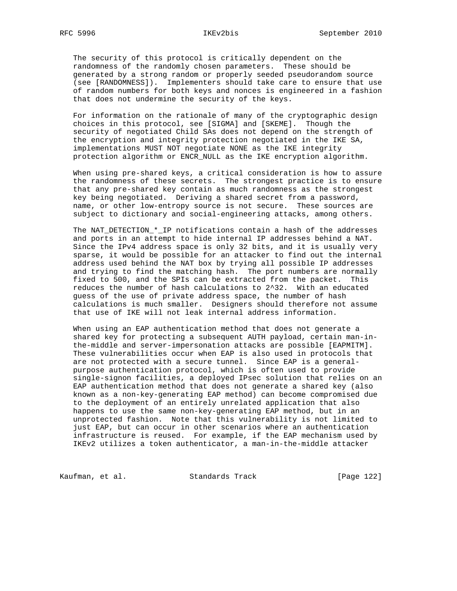The security of this protocol is critically dependent on the randomness of the randomly chosen parameters. These should be generated by a strong random or properly seeded pseudorandom source (see [RANDOMNESS]). Implementers should take care to ensure that use of random numbers for both keys and nonces is engineered in a fashion that does not undermine the security of the keys.

 For information on the rationale of many of the cryptographic design choices in this protocol, see [SIGMA] and [SKEME]. Though the security of negotiated Child SAs does not depend on the strength of the encryption and integrity protection negotiated in the IKE SA, implementations MUST NOT negotiate NONE as the IKE integrity protection algorithm or ENCR\_NULL as the IKE encryption algorithm.

 When using pre-shared keys, a critical consideration is how to assure the randomness of these secrets. The strongest practice is to ensure that any pre-shared key contain as much randomness as the strongest key being negotiated. Deriving a shared secret from a password, name, or other low-entropy source is not secure. These sources are subject to dictionary and social-engineering attacks, among others.

 The NAT\_DETECTION\_\*\_IP notifications contain a hash of the addresses and ports in an attempt to hide internal IP addresses behind a NAT. Since the IPv4 address space is only 32 bits, and it is usually very sparse, it would be possible for an attacker to find out the internal address used behind the NAT box by trying all possible IP addresses and trying to find the matching hash. The port numbers are normally fixed to 500, and the SPIs can be extracted from the packet. This reduces the number of hash calculations to 2^32. With an educated guess of the use of private address space, the number of hash calculations is much smaller. Designers should therefore not assume that use of IKE will not leak internal address information.

 When using an EAP authentication method that does not generate a shared key for protecting a subsequent AUTH payload, certain man-in the-middle and server-impersonation attacks are possible [EAPMITM]. These vulnerabilities occur when EAP is also used in protocols that are not protected with a secure tunnel. Since EAP is a general purpose authentication protocol, which is often used to provide single-signon facilities, a deployed IPsec solution that relies on an EAP authentication method that does not generate a shared key (also known as a non-key-generating EAP method) can become compromised due to the deployment of an entirely unrelated application that also happens to use the same non-key-generating EAP method, but in an unprotected fashion. Note that this vulnerability is not limited to just EAP, but can occur in other scenarios where an authentication infrastructure is reused. For example, if the EAP mechanism used by IKEv2 utilizes a token authenticator, a man-in-the-middle attacker

Kaufman, et al. Standards Track [Page 122]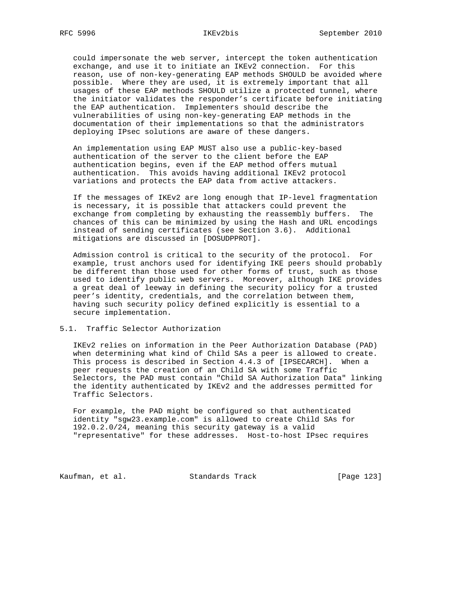could impersonate the web server, intercept the token authentication exchange, and use it to initiate an IKEv2 connection. For this reason, use of non-key-generating EAP methods SHOULD be avoided where possible. Where they are used, it is extremely important that all usages of these EAP methods SHOULD utilize a protected tunnel, where the initiator validates the responder's certificate before initiating the EAP authentication. Implementers should describe the vulnerabilities of using non-key-generating EAP methods in the documentation of their implementations so that the administrators deploying IPsec solutions are aware of these dangers.

 An implementation using EAP MUST also use a public-key-based authentication of the server to the client before the EAP authentication begins, even if the EAP method offers mutual authentication. This avoids having additional IKEv2 protocol variations and protects the EAP data from active attackers.

 If the messages of IKEv2 are long enough that IP-level fragmentation is necessary, it is possible that attackers could prevent the exchange from completing by exhausting the reassembly buffers. The chances of this can be minimized by using the Hash and URL encodings instead of sending certificates (see Section 3.6). Additional mitigations are discussed in [DOSUDPPROT].

 Admission control is critical to the security of the protocol. For example, trust anchors used for identifying IKE peers should probably be different than those used for other forms of trust, such as those used to identify public web servers. Moreover, although IKE provides a great deal of leeway in defining the security policy for a trusted peer's identity, credentials, and the correlation between them, having such security policy defined explicitly is essential to a secure implementation.

## 5.1. Traffic Selector Authorization

 IKEv2 relies on information in the Peer Authorization Database (PAD) when determining what kind of Child SAs a peer is allowed to create. This process is described in Section 4.4.3 of [IPSECARCH]. When a peer requests the creation of an Child SA with some Traffic Selectors, the PAD must contain "Child SA Authorization Data" linking the identity authenticated by IKEv2 and the addresses permitted for Traffic Selectors.

 For example, the PAD might be configured so that authenticated identity "sgw23.example.com" is allowed to create Child SAs for 192.0.2.0/24, meaning this security gateway is a valid "representative" for these addresses. Host-to-host IPsec requires

Kaufman, et al. Standards Track [Page 123]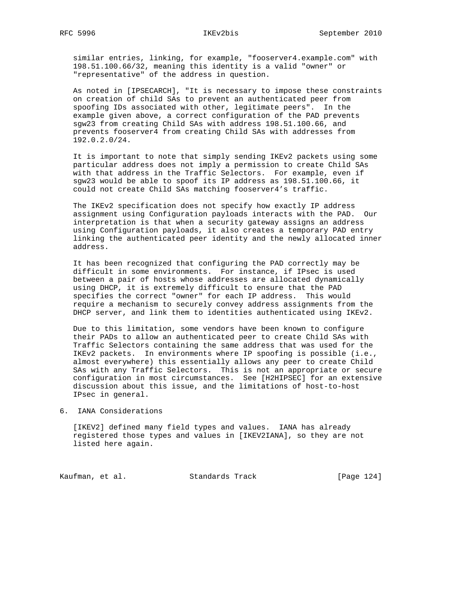similar entries, linking, for example, "fooserver4.example.com" with 198.51.100.66/32, meaning this identity is a valid "owner" or "representative" of the address in question.

 As noted in [IPSECARCH], "It is necessary to impose these constraints on creation of child SAs to prevent an authenticated peer from spoofing IDs associated with other, legitimate peers". In the example given above, a correct configuration of the PAD prevents sgw23 from creating Child SAs with address 198.51.100.66, and prevents fooserver4 from creating Child SAs with addresses from 192.0.2.0/24.

 It is important to note that simply sending IKEv2 packets using some particular address does not imply a permission to create Child SAs with that address in the Traffic Selectors. For example, even if sgw23 would be able to spoof its IP address as 198.51.100.66, it could not create Child SAs matching fooserver4's traffic.

 The IKEv2 specification does not specify how exactly IP address assignment using Configuration payloads interacts with the PAD. Our interpretation is that when a security gateway assigns an address using Configuration payloads, it also creates a temporary PAD entry linking the authenticated peer identity and the newly allocated inner address.

 It has been recognized that configuring the PAD correctly may be difficult in some environments. For instance, if IPsec is used between a pair of hosts whose addresses are allocated dynamically using DHCP, it is extremely difficult to ensure that the PAD specifies the correct "owner" for each IP address. This would require a mechanism to securely convey address assignments from the DHCP server, and link them to identities authenticated using IKEv2.

 Due to this limitation, some vendors have been known to configure their PADs to allow an authenticated peer to create Child SAs with Traffic Selectors containing the same address that was used for the IKEv2 packets. In environments where IP spoofing is possible (i.e., almost everywhere) this essentially allows any peer to create Child SAs with any Traffic Selectors. This is not an appropriate or secure configuration in most circumstances. See [H2HIPSEC] for an extensive discussion about this issue, and the limitations of host-to-host IPsec in general.

6. IANA Considerations

 [IKEV2] defined many field types and values. IANA has already registered those types and values in [IKEV2IANA], so they are not listed here again.

Kaufman, et al. Standards Track [Page 124]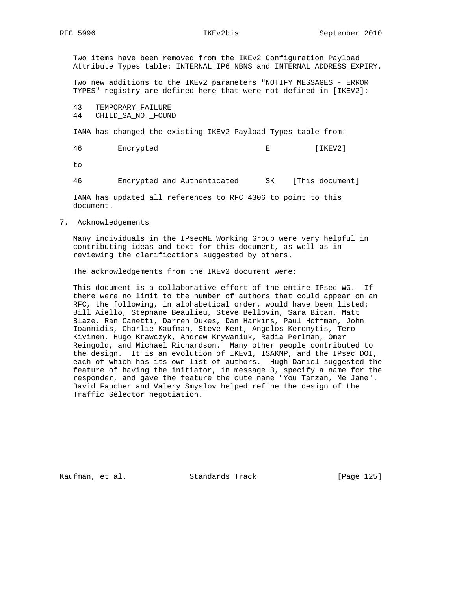Two items have been removed from the IKEv2 Configuration Payload Attribute Types table: INTERNAL\_IP6\_NBNS and INTERNAL\_ADDRESS\_EXPIRY.

 Two new additions to the IKEv2 parameters "NOTIFY MESSAGES - ERROR TYPES" registry are defined here that were not defined in [IKEV2]:

43 TEMPORARY\_FAILURE

44 CHILD\_SA\_NOT\_FOUND

IANA has changed the existing IKEv2 Payload Types table from:

46 Encrypted E [IKEV2]

to

46 Encrypted and Authenticated SK [This document]

 IANA has updated all references to RFC 4306 to point to this document.

7. Acknowledgements

 Many individuals in the IPsecME Working Group were very helpful in contributing ideas and text for this document, as well as in reviewing the clarifications suggested by others.

The acknowledgements from the IKEv2 document were:

 This document is a collaborative effort of the entire IPsec WG. If there were no limit to the number of authors that could appear on an RFC, the following, in alphabetical order, would have been listed: Bill Aiello, Stephane Beaulieu, Steve Bellovin, Sara Bitan, Matt Blaze, Ran Canetti, Darren Dukes, Dan Harkins, Paul Hoffman, John Ioannidis, Charlie Kaufman, Steve Kent, Angelos Keromytis, Tero Kivinen, Hugo Krawczyk, Andrew Krywaniuk, Radia Perlman, Omer Reingold, and Michael Richardson. Many other people contributed to the design. It is an evolution of IKEv1, ISAKMP, and the IPsec DOI, each of which has its own list of authors. Hugh Daniel suggested the feature of having the initiator, in message 3, specify a name for the responder, and gave the feature the cute name "You Tarzan, Me Jane". David Faucher and Valery Smyslov helped refine the design of the Traffic Selector negotiation.

Kaufman, et al. Standards Track [Page 125]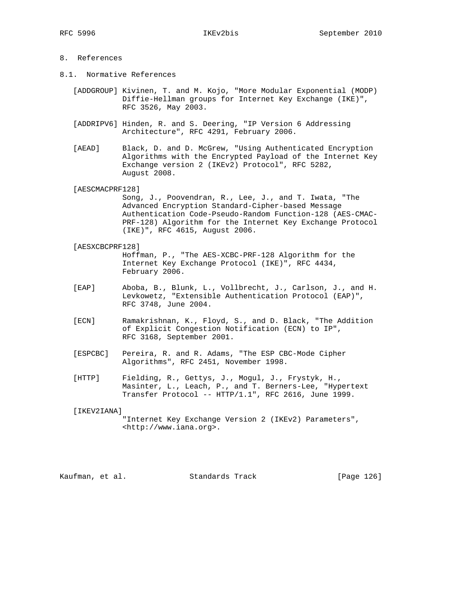# 8. References

8.1. Normative References

 [ADDGROUP] Kivinen, T. and M. Kojo, "More Modular Exponential (MODP) Diffie-Hellman groups for Internet Key Exchange (IKE)", RFC 3526, May 2003.

- [ADDRIPV6] Hinden, R. and S. Deering, "IP Version 6 Addressing Architecture", RFC 4291, February 2006.
- [AEAD] Black, D. and D. McGrew, "Using Authenticated Encryption Algorithms with the Encrypted Payload of the Internet Key Exchange version 2 (IKEv2) Protocol", RFC 5282, August 2008.

[AESCMACPRF128]

 Song, J., Poovendran, R., Lee, J., and T. Iwata, "The Advanced Encryption Standard-Cipher-based Message Authentication Code-Pseudo-Random Function-128 (AES-CMAC- PRF-128) Algorithm for the Internet Key Exchange Protocol (IKE)", RFC 4615, August 2006.

- [AESXCBCPRF128] Hoffman, P., "The AES-XCBC-PRF-128 Algorithm for the Internet Key Exchange Protocol (IKE)", RFC 4434, February 2006.
- [EAP] Aboba, B., Blunk, L., Vollbrecht, J., Carlson, J., and H. Levkowetz, "Extensible Authentication Protocol (EAP)", RFC 3748, June 2004.
- [ECN] Ramakrishnan, K., Floyd, S., and D. Black, "The Addition of Explicit Congestion Notification (ECN) to IP", RFC 3168, September 2001.
- [ESPCBC] Pereira, R. and R. Adams, "The ESP CBC-Mode Cipher Algorithms", RFC 2451, November 1998.
- [HTTP] Fielding, R., Gettys, J., Mogul, J., Frystyk, H., Masinter, L., Leach, P., and T. Berners-Lee, "Hypertext Transfer Protocol -- HTTP/1.1", RFC 2616, June 1999.

# [IKEV2IANA] "Internet Key Exchange Version 2 (IKEv2) Parameters", <http://www.iana.org>.

Kaufman, et al. Standards Track [Page 126]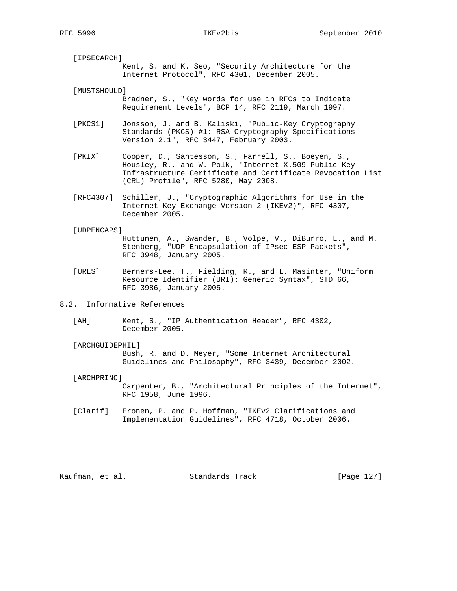[IPSECARCH] Kent, S. and K. Seo, "Security Architecture for the Internet Protocol", RFC 4301, December 2005.

 [MUSTSHOULD] Bradner, S., "Key words for use in RFCs to Indicate Requirement Levels", BCP 14, RFC 2119, March 1997.

- [PKCS1] Jonsson, J. and B. Kaliski, "Public-Key Cryptography Standards (PKCS) #1: RSA Cryptography Specifications Version 2.1", RFC 3447, February 2003.
- [PKIX] Cooper, D., Santesson, S., Farrell, S., Boeyen, S., Housley, R., and W. Polk, "Internet X.509 Public Key Infrastructure Certificate and Certificate Revocation List (CRL) Profile", RFC 5280, May 2008.
- [RFC4307] Schiller, J., "Cryptographic Algorithms for Use in the Internet Key Exchange Version 2 (IKEv2)", RFC 4307, December 2005.

[UDPENCAPS]

 Huttunen, A., Swander, B., Volpe, V., DiBurro, L., and M. Stenberg, "UDP Encapsulation of IPsec ESP Packets", RFC 3948, January 2005.

- [URLS] Berners-Lee, T., Fielding, R., and L. Masinter, "Uniform Resource Identifier (URI): Generic Syntax", STD 66, RFC 3986, January 2005.
- 8.2. Informative References
	- [AH] Kent, S., "IP Authentication Header", RFC 4302, December 2005.

[ARCHGUIDEPHIL]

 Bush, R. and D. Meyer, "Some Internet Architectural Guidelines and Philosophy", RFC 3439, December 2002.

## [ARCHPRINC]

 Carpenter, B., "Architectural Principles of the Internet", RFC 1958, June 1996.

 [Clarif] Eronen, P. and P. Hoffman, "IKEv2 Clarifications and Implementation Guidelines", RFC 4718, October 2006.

Kaufman, et al. Standards Track [Page 127]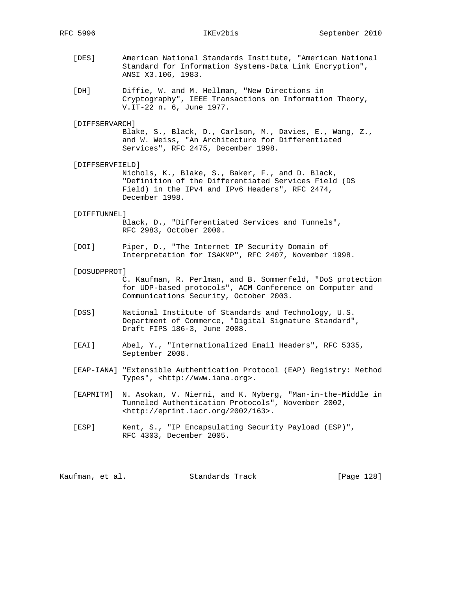- [DES] American National Standards Institute, "American National Standard for Information Systems-Data Link Encryption", ANSI X3.106, 1983.
- [DH] Diffie, W. and M. Hellman, "New Directions in Cryptography", IEEE Transactions on Information Theory, V.IT-22 n. 6, June 1977.

### [DIFFSERVARCH]

 Blake, S., Black, D., Carlson, M., Davies, E., Wang, Z., and W. Weiss, "An Architecture for Differentiated Services", RFC 2475, December 1998.

### [DIFFSERVFIELD]

 Nichols, K., Blake, S., Baker, F., and D. Black, "Definition of the Differentiated Services Field (DS Field) in the IPv4 and IPv6 Headers", RFC 2474, December 1998.

### [DIFFTUNNEL]

 Black, D., "Differentiated Services and Tunnels", RFC 2983, October 2000.

 [DOI] Piper, D., "The Internet IP Security Domain of Interpretation for ISAKMP", RFC 2407, November 1998.

### [DOSUDPPROT]

 C. Kaufman, R. Perlman, and B. Sommerfeld, "DoS protection for UDP-based protocols", ACM Conference on Computer and Communications Security, October 2003.

- [DSS] National Institute of Standards and Technology, U.S. Department of Commerce, "Digital Signature Standard", Draft FIPS 186-3, June 2008.
- [EAI] Abel, Y., "Internationalized Email Headers", RFC 5335, September 2008.
- [EAP-IANA] "Extensible Authentication Protocol (EAP) Registry: Method Types", <http://www.iana.org>.
- [EAPMITM] N. Asokan, V. Nierni, and K. Nyberg, "Man-in-the-Middle in Tunneled Authentication Protocols", November 2002, <http://eprint.iacr.org/2002/163>.
- [ESP] Kent, S., "IP Encapsulating Security Payload (ESP)", RFC 4303, December 2005.

Kaufman, et al. Standards Track [Page 128]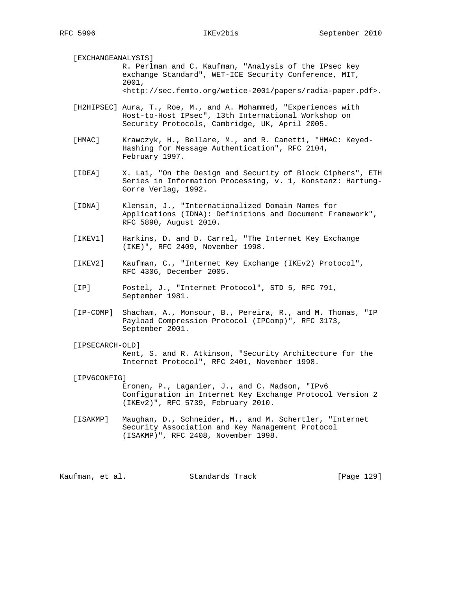[EXCHANGEANALYSIS]

 R. Perlman and C. Kaufman, "Analysis of the IPsec key exchange Standard", WET-ICE Security Conference, MIT, 2001, <http://sec.femto.org/wetice-2001/papers/radia-paper.pdf>.

 [H2HIPSEC] Aura, T., Roe, M., and A. Mohammed, "Experiences with Host-to-Host IPsec", 13th International Workshop on Security Protocols, Cambridge, UK, April 2005.

 [HMAC] Krawczyk, H., Bellare, M., and R. Canetti, "HMAC: Keyed- Hashing for Message Authentication", RFC 2104, February 1997.

 [IDEA] X. Lai, "On the Design and Security of Block Ciphers", ETH Series in Information Processing, v. 1, Konstanz: Hartung- Gorre Verlag, 1992.

 [IDNA] Klensin, J., "Internationalized Domain Names for Applications (IDNA): Definitions and Document Framework", RFC 5890, August 2010.

 [IKEV1] Harkins, D. and D. Carrel, "The Internet Key Exchange (IKE)", RFC 2409, November 1998.

 [IKEV2] Kaufman, C., "Internet Key Exchange (IKEv2) Protocol", RFC 4306, December 2005.

- [IP] Postel, J., "Internet Protocol", STD 5, RFC 791, September 1981.
- [IP-COMP] Shacham, A., Monsour, B., Pereira, R., and M. Thomas, "IP Payload Compression Protocol (IPComp)", RFC 3173, September 2001.

 [IPSECARCH-OLD] Kent, S. and R. Atkinson, "Security Architecture for the Internet Protocol", RFC 2401, November 1998.

[IPV6CONFIG]

 Eronen, P., Laganier, J., and C. Madson, "IPv6 Configuration in Internet Key Exchange Protocol Version 2 (IKEv2)", RFC 5739, February 2010.

 [ISAKMP] Maughan, D., Schneider, M., and M. Schertler, "Internet Security Association and Key Management Protocol (ISAKMP)", RFC 2408, November 1998.

Kaufman, et al. Standards Track [Page 129]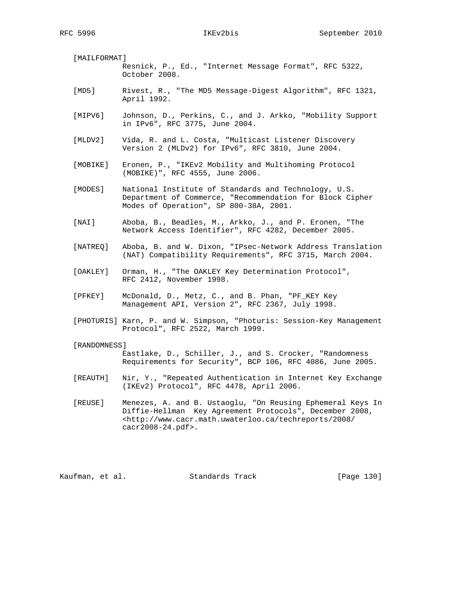[MAILFORMAT] Resnick, P., Ed., "Internet Message Format", RFC 5322, October 2008.

- [MD5] Rivest, R., "The MD5 Message-Digest Algorithm", RFC 1321, April 1992.
- [MIPV6] Johnson, D., Perkins, C., and J. Arkko, "Mobility Support in IPv6", RFC 3775, June 2004.
- [MLDV2] Vida, R. and L. Costa, "Multicast Listener Discovery Version 2 (MLDv2) for IPv6", RFC 3810, June 2004.
- [MOBIKE] Eronen, P., "IKEv2 Mobility and Multihoming Protocol (MOBIKE)", RFC 4555, June 2006.
- [MODES] National Institute of Standards and Technology, U.S. Department of Commerce, "Recommendation for Block Cipher Modes of Operation", SP 800-38A, 2001.
- [NAI] Aboba, B., Beadles, M., Arkko, J., and P. Eronen, "The Network Access Identifier", RFC 4282, December 2005.
- [NATREQ] Aboba, B. and W. Dixon, "IPsec-Network Address Translation (NAT) Compatibility Requirements", RFC 3715, March 2004.
- [OAKLEY] Orman, H., "The OAKLEY Key Determination Protocol", RFC 2412, November 1998.
- [PFKEY] McDonald, D., Metz, C., and B. Phan, "PF\_KEY Key Management API, Version 2", RFC 2367, July 1998.
- [PHOTURIS] Karn, P. and W. Simpson, "Photuris: Session-Key Management Protocol", RFC 2522, March 1999.

### [RANDOMNESS]

 Eastlake, D., Schiller, J., and S. Crocker, "Randomness Requirements for Security", BCP 106, RFC 4086, June 2005.

- [REAUTH] Nir, Y., "Repeated Authentication in Internet Key Exchange (IKEv2) Protocol", RFC 4478, April 2006.
- [REUSE] Menezes, A. and B. Ustaoglu, "On Reusing Ephemeral Keys In Diffie-Hellman Key Agreement Protocols", December 2008, <http://www.cacr.math.uwaterloo.ca/techreports/2008/ cacr2008-24.pdf>.

Kaufman, et al. Standards Track [Page 130]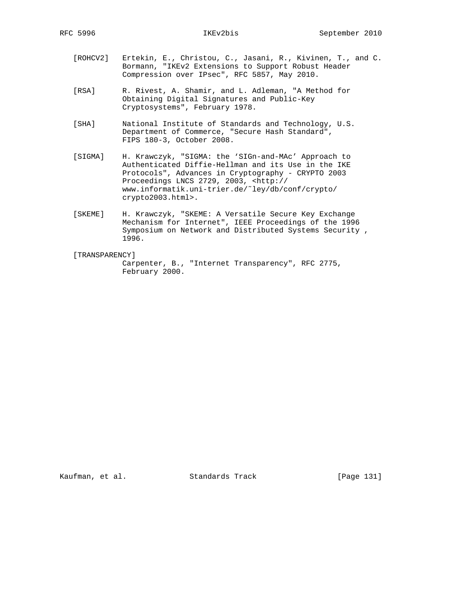- [ROHCV2] Ertekin, E., Christou, C., Jasani, R., Kivinen, T., and C. Bormann, "IKEv2 Extensions to Support Robust Header Compression over IPsec", RFC 5857, May 2010.
- [RSA] R. Rivest, A. Shamir, and L. Adleman, "A Method for Obtaining Digital Signatures and Public-Key Cryptosystems", February 1978.
- [SHA] National Institute of Standards and Technology, U.S. Department of Commerce, "Secure Hash Standard", FIPS 180-3, October 2008.
- [SIGMA] H. Krawczyk, "SIGMA: the 'SIGn-and-MAc' Approach to Authenticated Diffie-Hellman and its Use in the IKE Protocols", Advances in Cryptography - CRYPTO 2003 Proceedings LNCS 2729, 2003, <http:// www.informatik.uni-trier.de/˜ley/db/conf/crypto/ crypto2003.html>.
- [SKEME] H. Krawczyk, "SKEME: A Versatile Secure Key Exchange Mechanism for Internet", IEEE Proceedings of the 1996 Symposium on Network and Distributed Systems Security , 1996.

## [TRANSPARENCY]

 Carpenter, B., "Internet Transparency", RFC 2775, February 2000.

Kaufman, et al. Standards Track [Page 131]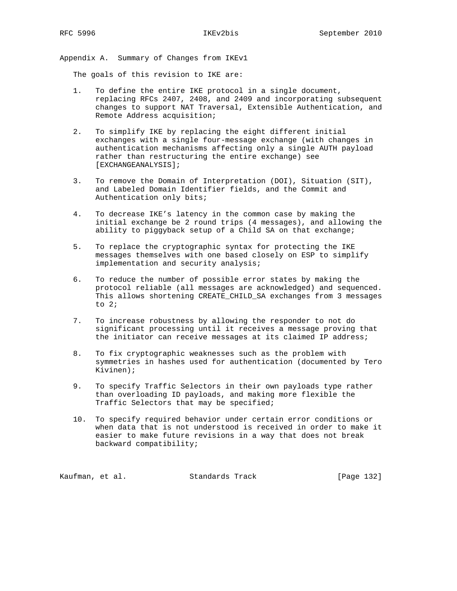Appendix A. Summary of Changes from IKEv1

The goals of this revision to IKE are:

- 1. To define the entire IKE protocol in a single document, replacing RFCs 2407, 2408, and 2409 and incorporating subsequent changes to support NAT Traversal, Extensible Authentication, and Remote Address acquisition;
- 2. To simplify IKE by replacing the eight different initial exchanges with a single four-message exchange (with changes in authentication mechanisms affecting only a single AUTH payload rather than restructuring the entire exchange) see [EXCHANGEANALYSIS];
- 3. To remove the Domain of Interpretation (DOI), Situation (SIT), and Labeled Domain Identifier fields, and the Commit and Authentication only bits;
- 4. To decrease IKE's latency in the common case by making the initial exchange be 2 round trips (4 messages), and allowing the ability to piggyback setup of a Child SA on that exchange;
- 5. To replace the cryptographic syntax for protecting the IKE messages themselves with one based closely on ESP to simplify implementation and security analysis;
- 6. To reduce the number of possible error states by making the protocol reliable (all messages are acknowledged) and sequenced. This allows shortening CREATE\_CHILD\_SA exchanges from 3 messages to 2;
- 7. To increase robustness by allowing the responder to not do significant processing until it receives a message proving that the initiator can receive messages at its claimed IP address;
- 8. To fix cryptographic weaknesses such as the problem with symmetries in hashes used for authentication (documented by Tero Kivinen);
- 9. To specify Traffic Selectors in their own payloads type rather than overloading ID payloads, and making more flexible the Traffic Selectors that may be specified;
- 10. To specify required behavior under certain error conditions or when data that is not understood is received in order to make it easier to make future revisions in a way that does not break backward compatibility;

Kaufman, et al. Standards Track [Page 132]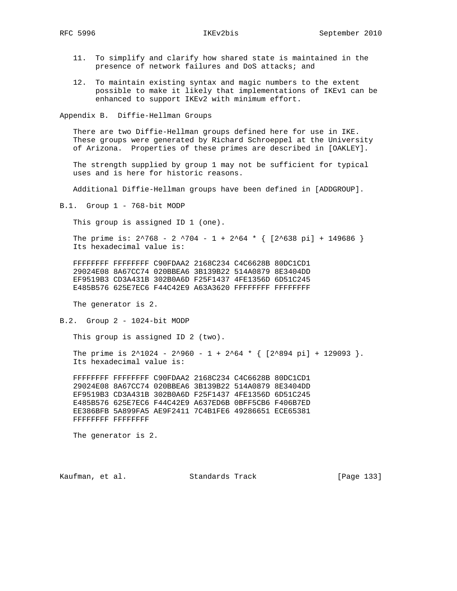- 11. To simplify and clarify how shared state is maintained in the presence of network failures and DoS attacks; and
- 12. To maintain existing syntax and magic numbers to the extent possible to make it likely that implementations of IKEv1 can be enhanced to support IKEv2 with minimum effort.

Appendix B. Diffie-Hellman Groups

 There are two Diffie-Hellman groups defined here for use in IKE. These groups were generated by Richard Schroeppel at the University of Arizona. Properties of these primes are described in [OAKLEY].

 The strength supplied by group 1 may not be sufficient for typical uses and is here for historic reasons.

Additional Diffie-Hellman groups have been defined in [ADDGROUP].

B.1. Group 1 - 768-bit MODP

This group is assigned ID 1 (one).

The prime is:  $2^{\wedge}768 - 2^{\wedge}704 - 1 + 2^{\wedge}64 \times \{ [2^{\wedge}638 \text{ pi}] + 149686 \}$ Its hexadecimal value is:

 FFFFFFFF FFFFFFFF C90FDAA2 2168C234 C4C6628B 80DC1CD1 29024E08 8A67CC74 020BBEA6 3B139B22 514A0879 8E3404DD EF9519B3 CD3A431B 302B0A6D F25F1437 4FE1356D 6D51C245 E485B576 625E7EC6 F44C42E9 A63A3620 FFFFFFFF FFFFFFFFF

The generator is 2.

B.2. Group 2 - 1024-bit MODP

This group is assigned ID 2 (two).

The prime is  $2^1024 - 2^960 - 1 + 2^64 \cdot {\sqrt{2^894 \pi}} + 129093$ . Its hexadecimal value is:

 FFFFFFFF FFFFFFFF C90FDAA2 2168C234 C4C6628B 80DC1CD1 29024E08 8A67CC74 020BBEA6 3B139B22 514A0879 8E3404DD EF9519B3 CD3A431B 302B0A6D F25F1437 4FE1356D 6D51C245 E485B576 625E7EC6 F44C42E9 A637ED6B 0BFF5CB6 F406B7ED EE386BFB 5A899FA5 AE9F2411 7C4B1FE6 49286651 ECE65381 FFFFFFFF FFFFFFFF

The generator is 2.

Kaufman, et al. Standards Track [Page 133]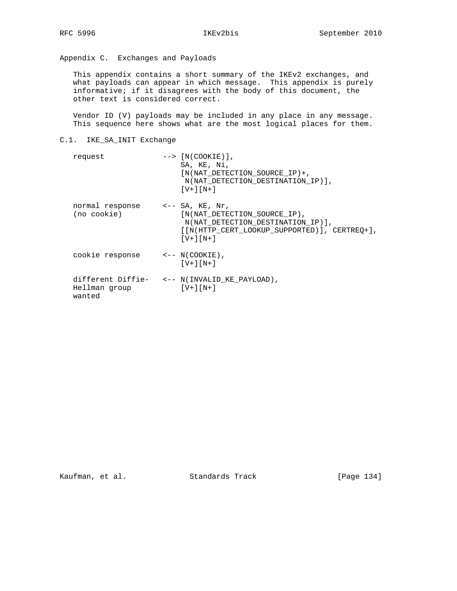# Appendix C. Exchanges and Payloads

 This appendix contains a short summary of the IKEv2 exchanges, and what payloads can appear in which message. This appendix is purely informative; if it disagrees with the body of this document, the other text is considered correct.

 Vendor ID (V) payloads may be included in any place in any message. This sequence here shows what are the most logical places for them.

# C.1. IKE\_SA\_INIT Exchange

| request                                        | $\left[-\right]$ [N(COOKIE)],<br>SA, KE, Ni,<br>$[N(NAT DETERCTION SOURCE IP) +$ ,<br>N(NAT_DETECTION_DESTINATION_IP)],<br>$[V+1[N+1]$ |
|------------------------------------------------|----------------------------------------------------------------------------------------------------------------------------------------|
| normal response <-- SA, KE, Nr,<br>(no cookie) | [N(NAT DETECTION SOURCE IP),<br>N(NAT_DETECTION_DESTINATION_IP)],<br>[[N(HTTP CERT LOOKUP SUPPORTED)], CERTREO+],<br>$[V+1[N+1]$       |
| cookie response                                | $\leftarrow -N(COOKIE)$ ,<br>$[V+1[N+1]$                                                                                               |
| Hellman group<br>wanted                        | different Diffie- <-- N(INVALID_KE_PAYLOAD),<br>$[V+1[N+1]$                                                                            |

Kaufman, et al. Standards Track [Page 134]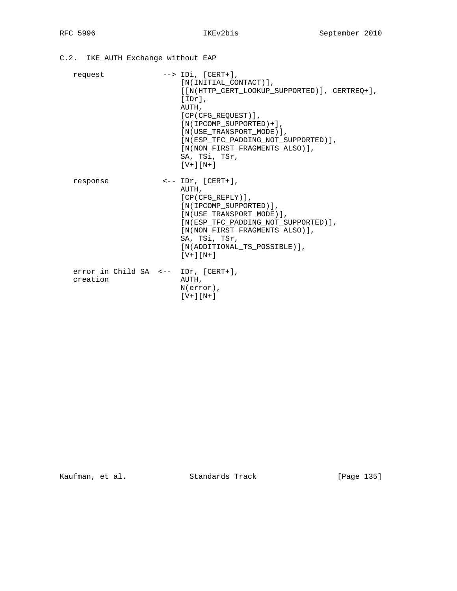C.2. IKE\_AUTH Exchange without EAP request --> IDi, [CERT+], [N(INITIAL\_CONTACT)], [[N(HTTP\_CERT\_LOOKUP\_SUPPORTED)], CERTREQ+], [IDr], AUTH, [CP(CFG\_REQUEST)], [N(IPCOMP\_SUPPORTED)+], [N(USE\_TRANSPORT\_MODE)], [N(ESP\_TFC\_PADDING\_NOT\_SUPPORTED)], [N(NON\_FIRST\_FRAGMENTS\_ALSO)], SA, TSi, TSr, [V+][N+] response <-- IDr, [CERT+], AUTH, [CP(CFG\_REPLY)], [N(IPCOMP\_SUPPORTED)], [N(USE\_TRANSPORT\_MODE)], [N(ESP\_TFC\_PADDING\_NOT\_SUPPORTED)], [N(NON\_FIRST\_FRAGMENTS\_ALSO)], SA, TSi, TSr, [N(ADDITIONAL\_TS\_POSSIBLE)], [V+][N+] error in Child SA <-- IDr, [CERT+], creation AUTH, N(error), [V+][N+]

Kaufman, et al. Standards Track [Page 135]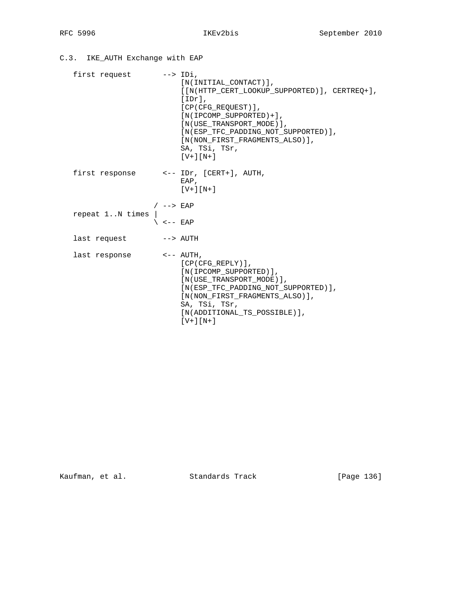C.3. IKE\_AUTH Exchange with EAP

| first request --> IDi,  |                                                                                                                                                                                                                                                                                                                                                                                                                                                                                                                                                                                                                                                           | $[N(INITIAL CONTROL)$ ,<br>[[N(HTTP_CERT_LOOKUP_SUPPORTED)], CERTREQ+],<br>$[IDr]$ ,<br>$[CP(CFG_RECUEST)]$ ,<br>$[N(IPCOMP_SUPPORTED)+],$<br>[N(USE TRANSPORT MODE)].<br>[N(ESP TFC PADDING NOT SUPPORTED)],<br>[N(NON FIRST FRAGMENTS ALSO)],<br>SA, TSi, TSr,<br>$[V+] [N+]$ |
|-------------------------|-----------------------------------------------------------------------------------------------------------------------------------------------------------------------------------------------------------------------------------------------------------------------------------------------------------------------------------------------------------------------------------------------------------------------------------------------------------------------------------------------------------------------------------------------------------------------------------------------------------------------------------------------------------|---------------------------------------------------------------------------------------------------------------------------------------------------------------------------------------------------------------------------------------------------------------------------------|
|                         |                                                                                                                                                                                                                                                                                                                                                                                                                                                                                                                                                                                                                                                           | first response $\leftarrow$ -- IDr, [CERT+], AUTH,<br>EAP,<br>$[V+1[N+1]$                                                                                                                                                                                                       |
| repeat 1N times         | / $--$ EAP<br>$\begin{array}{c}\n\Big\downarrow & \Big\downarrow & \Big\downarrow & \Big\downarrow & \Big\downarrow & \Big\downarrow & \Big\downarrow & \Big\downarrow & \Big\downarrow & \Big\downarrow & \Big\downarrow & \Big\downarrow & \Big\downarrow & \Big\downarrow & \Big\downarrow & \Big\downarrow & \Big\downarrow & \Big\downarrow & \Big\downarrow & \Big\downarrow & \Big\downarrow & \Big\downarrow & \Big\downarrow & \Big\downarrow & \Big\downarrow & \Big\downarrow & \Big\downarrow & \Big\downarrow & \Big\downarrow & \Big\downarrow & \Big\downarrow & \Big\downarrow & \Big\downarrow & \Big\downarrow & \Big\downarrow & \Big$ |                                                                                                                                                                                                                                                                                 |
| last request --> AUTH   |                                                                                                                                                                                                                                                                                                                                                                                                                                                                                                                                                                                                                                                           |                                                                                                                                                                                                                                                                                 |
| last response <-- AUTH, |                                                                                                                                                                                                                                                                                                                                                                                                                                                                                                                                                                                                                                                           | $[CP(CFG_REPLY)],$<br>[N(IPCOMP SUPPORTED)],<br>[N(USE TRANSPORT MODE)].<br>[N(ESP_TFC_PADDING_NOT_SUPPORTED)],<br>[N(NON FIRST FRAGMENTS ALSO)],<br>SA, TSi, TSr,<br>[N(ADDITIONAL TS POSSIBLE)],<br>$[V+] [N+]$                                                               |

Kaufman, et al. Standards Track [Page 136]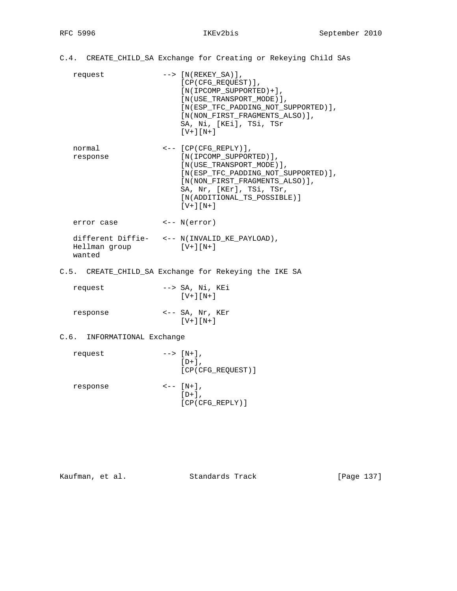- C.4. CREATE\_CHILD\_SA Exchange for Creating or Rekeying Child SAs
	- request --> [N(REKEY\_SA)], [CP(CFG\_REQUEST)], [N(IPCOMP\_SUPPORTED)+], [N(USE\_TRANSPORT\_MODE)], [N(ESP\_TFC\_PADDING\_NOT\_SUPPORTED)], [N(NON\_FIRST\_FRAGMENTS\_ALSO)], SA, Ni, [KEi], TSi, TSr  $[V+]$ [N+]
	- normal <-- [CP(CFG\_REPLY)], response [N(IPCOMP\_SUPPORTED)], [N(USE\_TRANSPORT\_MODE)], [N(ESP\_TFC\_PADDING\_NOT\_SUPPORTED)], [N(NON\_FIRST\_FRAGMENTS\_ALSO)], SA, Nr, [KEr], TSi, TSr, [N(ADDITIONAL\_TS\_POSSIBLE)] [V+][N+]
- error case <-- N(error) different Diffie- <-- N(INVALID\_KE\_PAYLOAD), Hellman group [V+][N+] wanted
- C.5. CREATE\_CHILD\_SA Exchange for Rekeying the IKE SA

| request  | $\leftarrow$ > SA, Ni, KEi<br>$[V+1[N+1]$  |
|----------|--------------------------------------------|
| response | $\leftarrow$ -- SA, Nr, KEr<br>$[V+] [N+]$ |

# C.6. INFORMATIONAL Exchange

| request  | $---& [N+],$<br>$[D+]$ ,<br>[CP(CFG REQUEST)]   |
|----------|-------------------------------------------------|
| response | $\left\{ - - \left[ \text{N+} \right] \right\}$ |

 $[D+]$ , [CP(CFG\_REPLY)]

| Kaufman, | et al. |  |
|----------|--------|--|
|----------|--------|--|

Standards Track [Page 137]